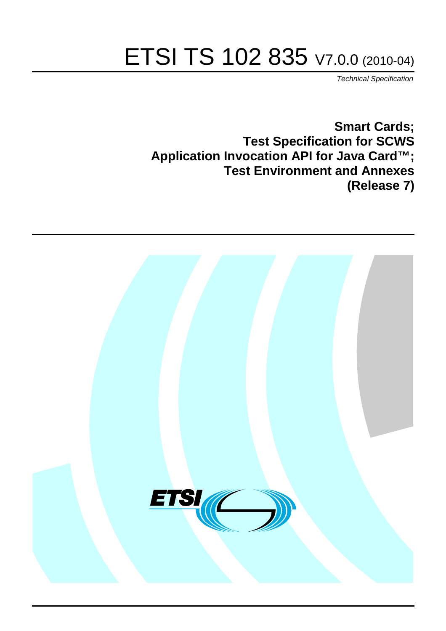# ETSI TS 102 835 V7.0.0 (2010-04)

*Technical Specification*

**Smart Cards; Test Specification for SCWS Application Invocation API for Java Card™; Test Environment and Annexes (Release 7)**

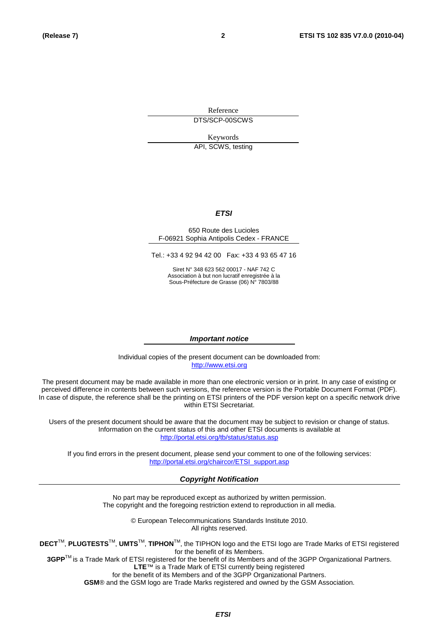Reference DTS/SCP-00SCWS

Keywords

API, SCWS, testing

#### *ETSI*

#### 650 Route des Lucioles F-06921 Sophia Antipolis Cedex - FRANCE

Tel.: +33 4 92 94 42 00 Fax: +33 4 93 65 47 16

Siret N° 348 623 562 00017 - NAF 742 C Association à but non lucratif enregistrée à la Sous-Préfecture de Grasse (06) N° 7803/88

#### *Important notice*

Individual copies of the present document can be downloaded from: [http://www.etsi.org](http://www.etsi.org/)

The present document may be made available in more than one electronic version or in print. In any case of existing or perceived difference in contents between such versions, the reference version is the Portable Document Format (PDF). In case of dispute, the reference shall be the printing on ETSI printers of the PDF version kept on a specific network drive within ETSI Secretariat.

Users of the present document should be aware that the document may be subject to revision or change of status. Information on the current status of this and other ETSI documents is available at <http://portal.etsi.org/tb/status/status.asp>

If you find errors in the present document, please send your comment to one of the following services: [http://portal.etsi.org/chaircor/ETSI\\_support.asp](http://portal.etsi.org/chaircor/ETSI_support.asp)

#### *Copyright Notification*

No part may be reproduced except as authorized by written permission. The copyright and the foregoing restriction extend to reproduction in all media.

> © European Telecommunications Standards Institute 2010. All rights reserved.

**DECT**TM, **PLUGTESTS**TM, **UMTS**TM, **TIPHON**TM, the TIPHON logo and the ETSI logo are Trade Marks of ETSI registered for the benefit of its Members.

**3GPP**TM is a Trade Mark of ETSI registered for the benefit of its Members and of the 3GPP Organizational Partners. **LTE**™ is a Trade Mark of ETSI currently being registered

for the benefit of its Members and of the 3GPP Organizational Partners.

**GSM**® and the GSM logo are Trade Marks registered and owned by the GSM Association.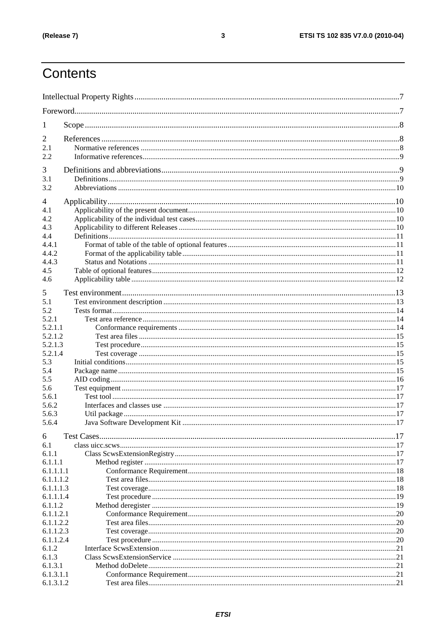# Contents

| 1                      |  |  |  |  |  |  |
|------------------------|--|--|--|--|--|--|
| 2                      |  |  |  |  |  |  |
| 2.1                    |  |  |  |  |  |  |
| 2.2                    |  |  |  |  |  |  |
|                        |  |  |  |  |  |  |
| 3<br>3.1               |  |  |  |  |  |  |
| 3.2                    |  |  |  |  |  |  |
|                        |  |  |  |  |  |  |
| 4                      |  |  |  |  |  |  |
| 4.1                    |  |  |  |  |  |  |
| 4.2                    |  |  |  |  |  |  |
| 4.3                    |  |  |  |  |  |  |
| 4.4                    |  |  |  |  |  |  |
| 4.4.1                  |  |  |  |  |  |  |
| 4.4.2                  |  |  |  |  |  |  |
| 4.4.3                  |  |  |  |  |  |  |
| 4.5                    |  |  |  |  |  |  |
| 4.6                    |  |  |  |  |  |  |
| 5                      |  |  |  |  |  |  |
| 5.1                    |  |  |  |  |  |  |
| 5.2                    |  |  |  |  |  |  |
| 5.2.1                  |  |  |  |  |  |  |
| 5.2.1.1                |  |  |  |  |  |  |
| 5.2.1.2                |  |  |  |  |  |  |
| 5.2.1.3                |  |  |  |  |  |  |
| 5.2.1.4                |  |  |  |  |  |  |
| 5.3                    |  |  |  |  |  |  |
| 5.4                    |  |  |  |  |  |  |
| 5.5                    |  |  |  |  |  |  |
| 5.6                    |  |  |  |  |  |  |
| 5.6.1<br>5.6.2         |  |  |  |  |  |  |
| 5.6.3                  |  |  |  |  |  |  |
| 5.6.4                  |  |  |  |  |  |  |
|                        |  |  |  |  |  |  |
| 6                      |  |  |  |  |  |  |
| 6.1                    |  |  |  |  |  |  |
| 6.1.1                  |  |  |  |  |  |  |
| 6.1.1.1                |  |  |  |  |  |  |
| 6.1.1.1.1              |  |  |  |  |  |  |
| 6.1.1.1.2              |  |  |  |  |  |  |
| 6.1.1.1.3<br>6.1.1.1.4 |  |  |  |  |  |  |
| 6.1.1.2                |  |  |  |  |  |  |
| 6.1.1.2.1              |  |  |  |  |  |  |
| 6.1.1.2.2              |  |  |  |  |  |  |
| 6.1.1.2.3              |  |  |  |  |  |  |
| 6.1.1.2.4              |  |  |  |  |  |  |
| 6.1.2                  |  |  |  |  |  |  |
| 6.1.3                  |  |  |  |  |  |  |
| 6.1.3.1                |  |  |  |  |  |  |
| 6.1.3.1.1              |  |  |  |  |  |  |
| 6.1.3.1.2              |  |  |  |  |  |  |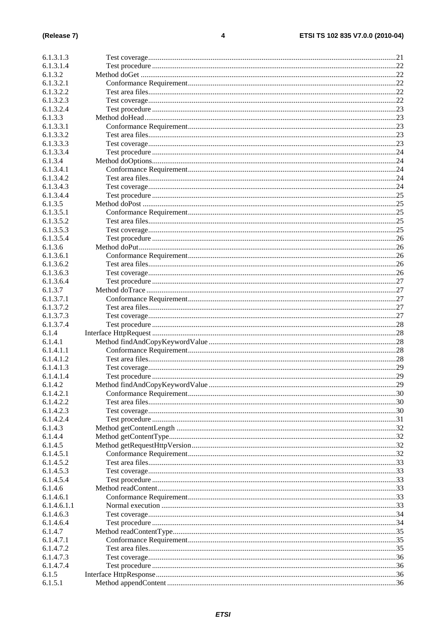| 6.1.3.1.3   |  |
|-------------|--|
| 6.1.3.1.4   |  |
| 6.1.3.2     |  |
| 6.1.3.2.1   |  |
| 6.1.3.2.2   |  |
| 6.1.3.2.3   |  |
| 6.1.3.2.4   |  |
| 6.1.3.3     |  |
| 6.1.3.3.1   |  |
| 6.1.3.3.2   |  |
| 6.1.3.3.3   |  |
| 6.1.3.3.4   |  |
| 6.1.3.4     |  |
| 6.1.3.4.1   |  |
| 6.1.3.4.2   |  |
| 6.1.3.4.3   |  |
| 6.1.3.4.4   |  |
| 6.1.3.5     |  |
| 6.1.3.5.1   |  |
| 6.1.3.5.2   |  |
| 6.1.3.5.3   |  |
| 6.1.3.5.4   |  |
| 6.1.3.6     |  |
| 6.1.3.6.1   |  |
| 6.1.3.6.2   |  |
| 6.1.3.6.3   |  |
| 6.1.3.6.4   |  |
| 6.1.3.7     |  |
| 6.1.3.7.1   |  |
| 6.1.3.7.2   |  |
| 6.1.3.7.3   |  |
| 6.1.3.7.4   |  |
| 6.1.4       |  |
| 6.1.4.1     |  |
| 6.1.4.1.1   |  |
| 6.1.4.1.2   |  |
| 6.1.4.1.3   |  |
| 6.1.4.1.4   |  |
| 6.1.4.2     |  |
| 6.1.4.2.1   |  |
| 6.1.4.2.2   |  |
| 6.1.4.2.3   |  |
| 6.1.4.2.4   |  |
| 6.1.4.3     |  |
| 6.1.4.4     |  |
| 6.1.4.5     |  |
| 6.1.4.5.1   |  |
| 6.1.4.5.2   |  |
| 6.1.4.5.3   |  |
| 6.1.4.5.4   |  |
| 6.1.4.6     |  |
| 6.1.4.6.1   |  |
| 6.1.4.6.1.1 |  |
| 6.1.4.6.3   |  |
| 6.1.4.6.4   |  |
| 6.1.4.7     |  |
| 6.1.4.7.1   |  |
| 6.1.4.7.2   |  |
| 6.1.4.7.3   |  |
| 6.1.4.7.4   |  |
| 6.1.5       |  |
| 6.1.5.1     |  |
|             |  |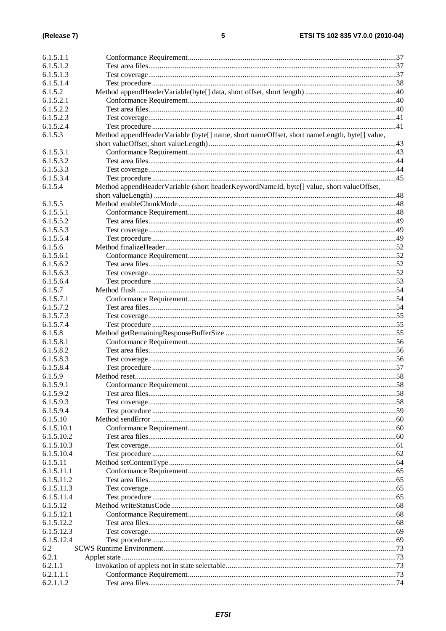| 6.1.5.1.1              |                                                                                             |    |
|------------------------|---------------------------------------------------------------------------------------------|----|
| 6.1.5.1.2              |                                                                                             |    |
| 6.1.5.1.3              |                                                                                             |    |
| 6.1.5.1.4              |                                                                                             |    |
| 6.1.5.2                |                                                                                             |    |
|                        |                                                                                             |    |
| 6.1.5.2.1<br>6.1.5.2.2 |                                                                                             |    |
|                        |                                                                                             |    |
| 6.1.5.2.3              |                                                                                             |    |
| 6.1.5.2.4              |                                                                                             |    |
| 6.1.5.3                | Method appendHeaderVariable (byte[] name, short nameOffset, short nameLength, byte[] value, |    |
|                        |                                                                                             |    |
| 6.1.5.3.1              |                                                                                             |    |
| 6.1.5.3.2              |                                                                                             |    |
| 6.1.5.3.3              |                                                                                             |    |
| 6.1.5.3.4              |                                                                                             |    |
| 6.1.5.4                | Method appendHeaderVariable (short headerKeywordNameId, byte[] value, short valueOffset,    |    |
|                        |                                                                                             |    |
| 6.1.5.5                |                                                                                             |    |
| 6.1.5.5.1              |                                                                                             |    |
| 6.1.5.5.2              |                                                                                             |    |
| 6.1.5.5.3              |                                                                                             |    |
| 6.1.5.5.4              |                                                                                             |    |
| 6.1.5.6                |                                                                                             |    |
| 6.1.5.6.1              |                                                                                             |    |
| 6.1.5.6.2              |                                                                                             |    |
| 6.1.5.6.3              |                                                                                             |    |
| 6.1.5.6.4              |                                                                                             |    |
| 6.1.5.7                |                                                                                             |    |
| 6.1.5.7.1              |                                                                                             |    |
| 6.1.5.7.2              |                                                                                             |    |
| 6.1.5.7.3              |                                                                                             |    |
| 6.1.5.7.4              |                                                                                             |    |
| 6.1.5.8                |                                                                                             |    |
| 6.1.5.8.1              |                                                                                             |    |
| 6.1.5.8.2              |                                                                                             |    |
| 6.1.5.8.3              |                                                                                             |    |
| 6.1.5.8.4              |                                                                                             |    |
| 6.1.5.9                |                                                                                             |    |
| 6.1.5.9.1              |                                                                                             | 58 |
| 6.1.5.9.2              |                                                                                             |    |
| 6.1.5.9.3              |                                                                                             |    |
| 6.1.5.9.4              |                                                                                             |    |
| 6.1.5.10               |                                                                                             |    |
| 6.1.5.10.1             |                                                                                             |    |
| 6.1.5.10.2             |                                                                                             |    |
| 6.1.5.10.3             |                                                                                             |    |
| 6.1.5.10.4             |                                                                                             |    |
| 6.1.5.11               |                                                                                             |    |
| 6.1.5.11.1             |                                                                                             |    |
| 6.1.5.11.2             |                                                                                             |    |
|                        |                                                                                             |    |
| 6.1.5.11.3             |                                                                                             |    |
| 6.1.5.11.4<br>6.1.5.12 |                                                                                             |    |
|                        |                                                                                             |    |
| 6.1.5.12.1             |                                                                                             |    |
| 6.1.5.12.2             |                                                                                             |    |
| 6.1.5.12.3             |                                                                                             |    |
| 6.1.5.12.4             |                                                                                             |    |
| 6.2                    |                                                                                             |    |
| 6.2.1                  |                                                                                             |    |
| 6.2.1.1                |                                                                                             |    |
| 6.2.1.1.1              |                                                                                             |    |
| 6.2.1.1.2              |                                                                                             |    |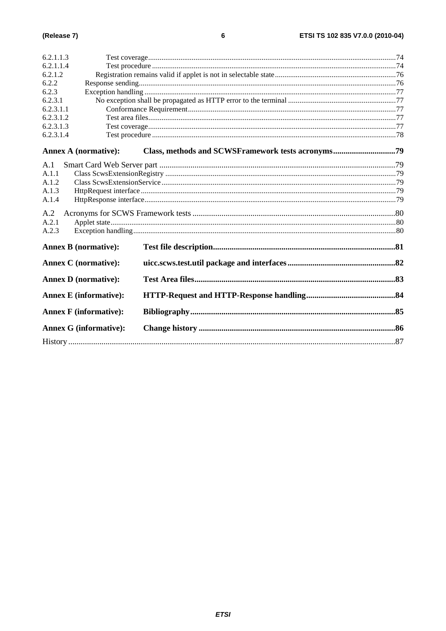| 6.2.1.1.3 |                               |  |
|-----------|-------------------------------|--|
| 6.2.1.1.4 |                               |  |
| 6.2.1.2   |                               |  |
| 6.2.2     |                               |  |
| 6.2.3     |                               |  |
| 6.2.3.1   |                               |  |
| 6.2.3.1.1 |                               |  |
| 6.2.3.1.2 |                               |  |
| 6.2.3.1.3 |                               |  |
| 6.2.3.1.4 |                               |  |
|           | <b>Annex A (normative):</b>   |  |
| A.1       |                               |  |
| A.1.1     |                               |  |
| A.1.2     |                               |  |
| A.1.3     |                               |  |
| A.1.4     |                               |  |
| A.2       |                               |  |
| A.2.1     |                               |  |
| A.2.3     |                               |  |
|           | <b>Annex B</b> (normative):   |  |
|           | <b>Annex C</b> (normative):   |  |
|           | <b>Annex D</b> (normative):   |  |
|           | <b>Annex E</b> (informative): |  |
|           | <b>Annex F</b> (informative): |  |
|           | <b>Annex G (informative):</b> |  |
|           |                               |  |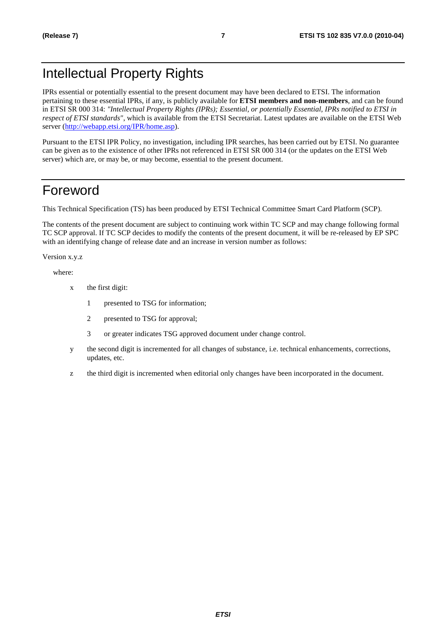# Intellectual Property Rights

IPRs essential or potentially essential to the present document may have been declared to ETSI. The information pertaining to these essential IPRs, if any, is publicly available for **ETSI members and non-members**, and can be found in ETSI SR 000 314: *"Intellectual Property Rights (IPRs); Essential, or potentially Essential, IPRs notified to ETSI in respect of ETSI standards"*, which is available from the ETSI Secretariat. Latest updates are available on the ETSI Web server [\(http://webapp.etsi.org/IPR/home.asp](http://webapp.etsi.org/IPR/home.asp)).

Pursuant to the ETSI IPR Policy, no investigation, including IPR searches, has been carried out by ETSI. No guarantee can be given as to the existence of other IPRs not referenced in ETSI SR 000 314 (or the updates on the ETSI Web server) which are, or may be, or may become, essential to the present document.

# Foreword

This Technical Specification (TS) has been produced by ETSI Technical Committee Smart Card Platform (SCP).

The contents of the present document are subject to continuing work within TC SCP and may change following formal TC SCP approval. If TC SCP decides to modify the contents of the present document, it will be re-released by EP SPC with an identifying change of release date and an increase in version number as follows:

Version x.y.z

where:

- x the first digit:
	- 1 presented to TSG for information;
	- 2 presented to TSG for approval;
	- 3 or greater indicates TSG approved document under change control.
- y the second digit is incremented for all changes of substance, i.e. technical enhancements, corrections, updates, etc.
- z the third digit is incremented when editorial only changes have been incorporated in the document.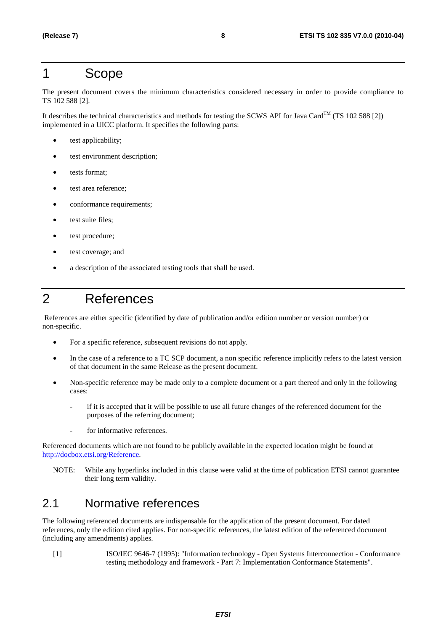# 1 Scope

The present document covers the minimum characteristics considered necessary in order to provide compliance to TS 102 588 [2].

It describes the technical characteristics and methods for testing the SCWS API for Java Card<sup>TM</sup> (TS 102 588 [2]) implemented in a UICC platform. It specifies the following parts:

- test applicability;
- test environment description;
- tests format;
- test area reference:
- conformance requirements;
- test suite files:
- test procedure:
- test coverage; and
- a description of the associated testing tools that shall be used.

# 2 References

 References are either specific (identified by date of publication and/or edition number or version number) or non-specific.

- For a specific reference, subsequent revisions do not apply.
- In the case of a reference to a TC SCP document, a non specific reference implicitly refers to the latest version of that document in the same Release as the present document.
- Non-specific reference may be made only to a complete document or a part thereof and only in the following cases:
	- if it is accepted that it will be possible to use all future changes of the referenced document for the purposes of the referring document;
	- for informative references.

Referenced documents which are not found to be publicly available in the expected location might be found at <http://docbox.etsi.org/Reference>.

NOTE: While any hyperlinks included in this clause were valid at the time of publication ETSI cannot guarantee their long term validity.

# 2.1 Normative references

The following referenced documents are indispensable for the application of the present document. For dated references, only the edition cited applies. For non-specific references, the latest edition of the referenced document (including any amendments) applies.

[1] ISO/IEC 9646-7 (1995): "Information technology - Open Systems Interconnection - Conformance testing methodology and framework - Part 7: Implementation Conformance Statements".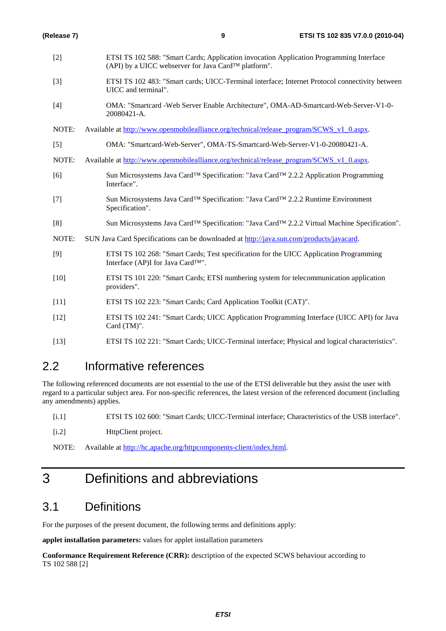| (Release 7)       | 9                                                                                                                                                           | ETSI TS 102 835 V7.0.0 (2010-04) |
|-------------------|-------------------------------------------------------------------------------------------------------------------------------------------------------------|----------------------------------|
| $[2]$             | ETSI TS 102 588: "Smart Cards; Application invocation Application Programming Interface<br>(API) by a UICC webserver for Java Card <sup>TM</sup> platform". |                                  |
| $[3]$             | ETSI TS 102 483: "Smart cards; UICC-Terminal interface; Internet Protocol connectivity between<br>UICC and terminal".                                       |                                  |
| $[4]$             | OMA: "Smartcard -Web Server Enable Architecture", OMA-AD-Smartcard-Web-Server-V1-0-<br>20080421-A.                                                          |                                  |
| NOTE:             | Available at http://www.openmobilealliance.org/technical/release_program/SCWS_v1_0.aspx.                                                                    |                                  |
| $\lceil 5 \rceil$ | OMA: "Smartcard-Web-Server", OMA-TS-Smartcard-Web-Server-V1-0-20080421-A.                                                                                   |                                  |
| NOTE:             | Available at http://www.openmobilealliance.org/technical/release_program/SCWS_v1_0.aspx.                                                                    |                                  |
| [6]               | Sun Microsystems Java Card™ Specification: "Java Card™ 2.2.2 Application Programming<br>Interface".                                                         |                                  |
| $[7]$             | Sun Microsystems Java Card™ Specification: "Java Card™ 2.2.2 Runtime Environment<br>Specification".                                                         |                                  |
| [8]               | Sun Microsystems Java Card <sup>TM</sup> Specification: "Java Card <sup>TM</sup> 2.2.2 Virtual Machine Specification".                                      |                                  |
| NOTE:             | SUN Java Card Specifications can be downloaded at http://java.sun.com/products/javacard.                                                                    |                                  |
| $[9]$             | ETSI TS 102 268: "Smart Cards; Test specification for the UICC Application Programming<br>Interface (AP)I for Java Card <sup>TM"</sup> .                    |                                  |
| $[10]$            | ETSI TS 101 220: "Smart Cards; ETSI numbering system for telecommunication application<br>providers".                                                       |                                  |
| $[11]$            | ETSI TS 102 223: "Smart Cards; Card Application Toolkit (CAT)".                                                                                             |                                  |
| $[12]$            | ETSI TS 102 241: "Smart Cards; UICC Application Programming Interface (UICC API) for Java<br>Card (TM)".                                                    |                                  |
| $[13]$            | ETSI TS 102 221: "Smart Cards; UICC-Terminal interface; Physical and logical characteristics".                                                              |                                  |

# 2.2 Informative references

The following referenced documents are not essential to the use of the ETSI deliverable but they assist the user with regard to a particular subject area. For non-specific references, the latest version of the referenced document (including any amendments) applies.

- [i.1] ETSI TS 102 600: "Smart Cards; UICC-Terminal interface; Characteristics of the USB interface".
- [i.2] HttpClient project.

NOTE: Available at<http://hc.apache.org/httpcomponents-client/index.html>.

# 3 Definitions and abbreviations

# 3.1 Definitions

For the purposes of the present document, the following terms and definitions apply:

**applet installation parameters:** values for applet installation parameters

**Conformance Requirement Reference (CRR):** description of the expected SCWS behaviour according to TS 102 588 [2]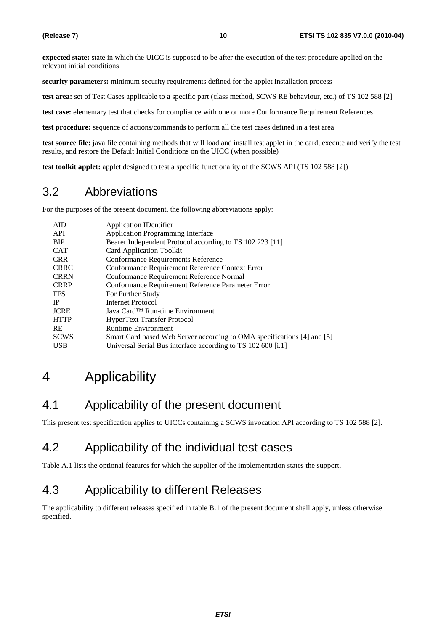**expected state:** state in which the UICC is supposed to be after the execution of the test procedure applied on the relevant initial conditions

**security parameters:** minimum security requirements defined for the applet installation process

**test area:** set of Test Cases applicable to a specific part (class method, SCWS RE behaviour, etc.) of TS 102 588 [2]

**test case:** elementary test that checks for compliance with one or more Conformance Requirement References

**test procedure:** sequence of actions/commands to perform all the test cases defined in a test area

**test source file:** java file containing methods that will load and install test applet in the card, execute and verify the test results, and restore the Default Initial Conditions on the UICC (when possible)

**test toolkit applet:** applet designed to test a specific functionality of the SCWS API (TS 102 588 [2])

# 3.2 Abbreviations

For the purposes of the present document, the following abbreviations apply:

| <b>Application IDentifier</b>                                           |
|-------------------------------------------------------------------------|
| <b>Application Programming Interface</b>                                |
| Bearer Independent Protocol according to TS 102 223 [11]                |
| <b>Card Application Toolkit</b>                                         |
| Conformance Requirements Reference                                      |
| Conformance Requirement Reference Context Error                         |
| Conformance Requirement Reference Normal                                |
| Conformance Requirement Reference Parameter Error                       |
| For Further Study                                                       |
| Internet Protocol                                                       |
| Java Card <sup>TM</sup> Run-time Environment                            |
| HyperText Transfer Protocol                                             |
| <b>Runtime Environment</b>                                              |
| Smart Card based Web Server according to OMA specifications [4] and [5] |
| Universal Serial Bus interface according to TS 102 600 [i.1]            |
|                                                                         |

# 4 Applicability

# 4.1 Applicability of the present document

This present test specification applies to UICCs containing a SCWS invocation API according to TS 102 588 [2].

# 4.2 Applicability of the individual test cases

Table A.1 lists the optional features for which the supplier of the implementation states the support.

# 4.3 Applicability to different Releases

The applicability to different releases specified in table B.1 of the present document shall apply, unless otherwise specified.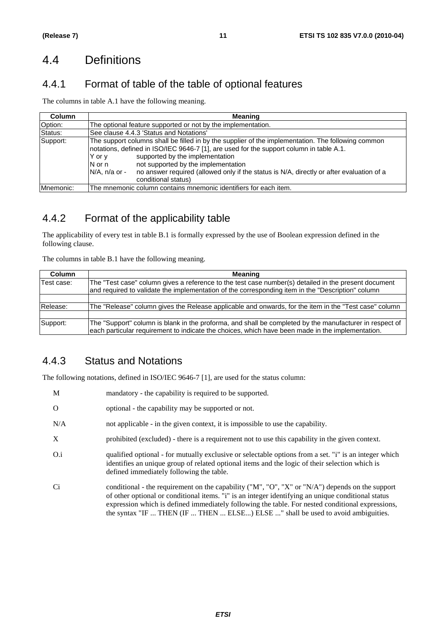# 4.4 Definitions

# 4.4.1 Format of table of the table of optional features

The columns in table A.1 have the following meaning.

| <b>Column</b> | <b>Meaning</b>                                                                                                                                                                                                                                                                                                                                                                                                                       |  |  |  |  |  |
|---------------|--------------------------------------------------------------------------------------------------------------------------------------------------------------------------------------------------------------------------------------------------------------------------------------------------------------------------------------------------------------------------------------------------------------------------------------|--|--|--|--|--|
| Option:       | The optional feature supported or not by the implementation.                                                                                                                                                                                                                                                                                                                                                                         |  |  |  |  |  |
| Status:       | See clause 4.4.3 'Status and Notations'                                                                                                                                                                                                                                                                                                                                                                                              |  |  |  |  |  |
| Support:      | The support columns shall be filled in by the supplier of the implementation. The following common<br>notations, defined in ISO/IEC 9646-7 [1], are used for the support column in table A.1.<br>supported by the implementation<br>Y or y<br>not supported by the implementation<br>$N$ or n<br>$N/A$ , n/a or -<br>no answer required (allowed only if the status is N/A, directly or after evaluation of a<br>conditional status) |  |  |  |  |  |
| Mnemonic:     | The mnemonic column contains mnemonic identifiers for each item.                                                                                                                                                                                                                                                                                                                                                                     |  |  |  |  |  |

# 4.4.2 Format of the applicability table

The applicability of every test in table B.1 is formally expressed by the use of Boolean expression defined in the following clause.

The columns in table B.1 have the following meaning.

| <b>Column</b>                                                                                                                                                                                                            | Meaning                                                                                                                                                                                                     |  |  |  |
|--------------------------------------------------------------------------------------------------------------------------------------------------------------------------------------------------------------------------|-------------------------------------------------------------------------------------------------------------------------------------------------------------------------------------------------------------|--|--|--|
| lTest case:<br>The "Test case" column gives a reference to the test case number(s) detailed in the present document<br>and required to validate the implementation of the corresponding item in the "Description" column |                                                                                                                                                                                                             |  |  |  |
|                                                                                                                                                                                                                          |                                                                                                                                                                                                             |  |  |  |
| Release:                                                                                                                                                                                                                 | The "Release" column gives the Release applicable and onwards, for the item in the "Test case" column                                                                                                       |  |  |  |
|                                                                                                                                                                                                                          |                                                                                                                                                                                                             |  |  |  |
| Support:                                                                                                                                                                                                                 | The "Support" column is blank in the proforma, and shall be completed by the manufacturer in respect of<br>each particular requirement to indicate the choices, which have been made in the implementation. |  |  |  |

# 4.4.3 Status and Notations

The following notations, defined in ISO/IEC 9646-7 [1], are used for the status column:

- M mandatory the capability is required to be supported.
- O optional the capability may be supported or not.
- N/A not applicable in the given context, it is impossible to use the capability.
- X prohibited (excluded) there is a requirement not to use this capability in the given context.
- O.i qualified optional for mutually exclusive or selectable options from a set. "i" is an integer which identifies an unique group of related optional items and the logic of their selection which is defined immediately following the table.
- Ci conditional the requirement on the capability ("M", "O", "X" or "N/A") depends on the support of other optional or conditional items. "i" is an integer identifying an unique conditional status expression which is defined immediately following the table. For nested conditional expressions, the syntax "IF ... THEN (IF ... THEN ... ELSE...) ELSE ..." shall be used to avoid ambiguities.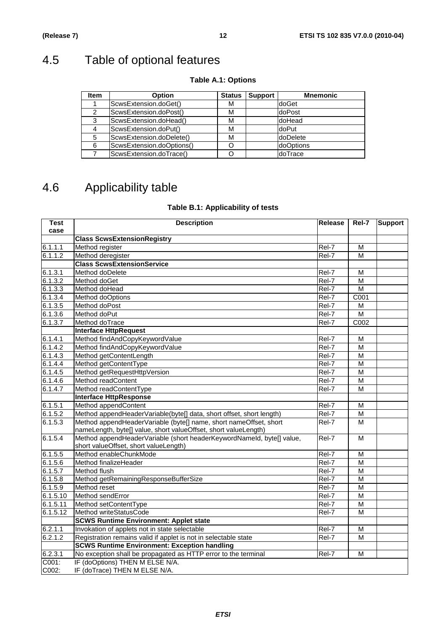# 4.5 Table of optional features

| <b>Item</b> | <b>Option</b>             | <b>Status</b> | <b>Support</b> | <b>Mnemonic</b>  |
|-------------|---------------------------|---------------|----------------|------------------|
|             | ScwsExtension.doGet()     | М             |                | doGet            |
| 2           | ScwsExtension.doPost()    | М             |                | doPost           |
| 3           | ScwsExtension.doHead()    | М             |                | ldoHead          |
| 4           | ScwsExtension.doPut()     | М             |                | doPut            |
| 5           | ScwsExtension.doDelete()  | М             |                | <b>doDelete</b>  |
| 6           | ScwsExtension.doOptions() |               |                | <b>doOptions</b> |
|             | ScwsExtension.doTrace()   |               |                | doTrace          |

### **Table A.1: Options**

# 4.6 Applicability table

### **Table B.1: Applicability of tests**

| <b>Test</b> | <b>Description</b>                                                            | Release             | Rel-7<br><b>Support</b> |  |  |  |  |
|-------------|-------------------------------------------------------------------------------|---------------------|-------------------------|--|--|--|--|
| case        |                                                                               |                     |                         |  |  |  |  |
|             | <b>Class ScwsExtensionRegistry</b>                                            |                     |                         |  |  |  |  |
| 6.1.1.1     | Method register                                                               | Rel-7               | M                       |  |  |  |  |
| 6.1.1.2     | Method deregister                                                             | Rel-7               | M                       |  |  |  |  |
|             | <b>Class ScwsExtensionService</b>                                             |                     |                         |  |  |  |  |
| 6.1.3.1     | Method doDelete                                                               | Rel-7               | M                       |  |  |  |  |
| 6.1.3.2     | Method doGet                                                                  | Rel-7               | M                       |  |  |  |  |
| 6.1.3.3     | Method doHead                                                                 | Rel-7               | M                       |  |  |  |  |
| 6.1.3.4     | Method doOptions                                                              | $\overline{R}$ el-7 | C001                    |  |  |  |  |
| 6.1.3.5     | Method doPost                                                                 | Rel-7               | М                       |  |  |  |  |
| 6.1.3.6     | Method doPut                                                                  | Rel-7               | M                       |  |  |  |  |
| 6.1.3.7     | Method doTrace                                                                | Rel-7               | C002                    |  |  |  |  |
|             | <b>Interface HttpRequest</b>                                                  |                     |                         |  |  |  |  |
| 6.1.4.1     | Method findAndCopyKeywordValue                                                | Rel-7               | М                       |  |  |  |  |
| 6.1.4.2     | Method findAndCopyKeywordValue                                                | Rel-7               | M                       |  |  |  |  |
| 6.1.4.3     | Method getContentLength                                                       | Rel-7               | M                       |  |  |  |  |
| 6.1.4.4     | Method getContentType                                                         | Rel-7               | M                       |  |  |  |  |
| 6.1.4.5     | Method getRequestHttpVersion                                                  | Rel-7               | М                       |  |  |  |  |
| 6.1.4.6     | Method readContent                                                            | Rel-7               | M                       |  |  |  |  |
| 6.1.4.7     | Method readContentType                                                        | Rel-7               | M                       |  |  |  |  |
|             | <b>Interface HttpResponse</b>                                                 |                     |                         |  |  |  |  |
| 6.1.5.1     | Method appendContent                                                          | Rel-7               | М                       |  |  |  |  |
| 6.1.5.2     | Method appendHeaderVariable(byte[] data, short offset, short length)          | Rel-7               | M                       |  |  |  |  |
| 6.1.5.3     | Method appendHeaderVariable (byte[] name, short nameOffset, short             | Rel-7               | M                       |  |  |  |  |
|             | nameLength, byte[] value, short valueOffset, short valueLength)               |                     |                         |  |  |  |  |
| 6.1.5.4     | Method appendHeaderVariable (short headerKeywordNameld, byte[] value,         | Rel-7               | M                       |  |  |  |  |
|             | short valueOffset, short valueLength)                                         |                     |                         |  |  |  |  |
| 6.1.5.5     | Method enableChunkMode                                                        | Rel-7               | M                       |  |  |  |  |
| 6.1.5.6     | Method finalizeHeader                                                         | Rel-7               | M                       |  |  |  |  |
| 6.1.5.7     | Method flush                                                                  | Rel-7               | М                       |  |  |  |  |
| 6.1.5.8     | Method getRemainingResponseBufferSize                                         | Rel-7               | M                       |  |  |  |  |
| 6.1.5.9     | Method reset                                                                  | Rel-7               | M                       |  |  |  |  |
| 6.1.5.10    | Method sendError                                                              | Rel-7               | M                       |  |  |  |  |
| 6.1.5.11    | Method setContentType                                                         | Rel-7               | М                       |  |  |  |  |
| 6.1.5.12    | Method writeStatusCode                                                        | Rel-7               | M                       |  |  |  |  |
|             | <b>SCWS Runtime Environment: Applet state</b>                                 |                     |                         |  |  |  |  |
| 6.2.1.1     | Invokation of applets not in state selectable                                 | Rel-7               | M                       |  |  |  |  |
| 6.2.1.2     | Registration remains valid if applet is not in selectable state<br>Rel-7<br>M |                     |                         |  |  |  |  |
|             | <b>SCWS Runtime Environment: Exception handling</b>                           |                     |                         |  |  |  |  |
| 6.2.3.1     | No exception shall be propagated as HTTP error to the terminal                | Rel-7               | M                       |  |  |  |  |
| $COO1$ :    | IF (doOptions) THEN M ELSE N/A.                                               |                     |                         |  |  |  |  |
| C002:       | IF (doTrace) THEN M ELSE N/A.                                                 |                     |                         |  |  |  |  |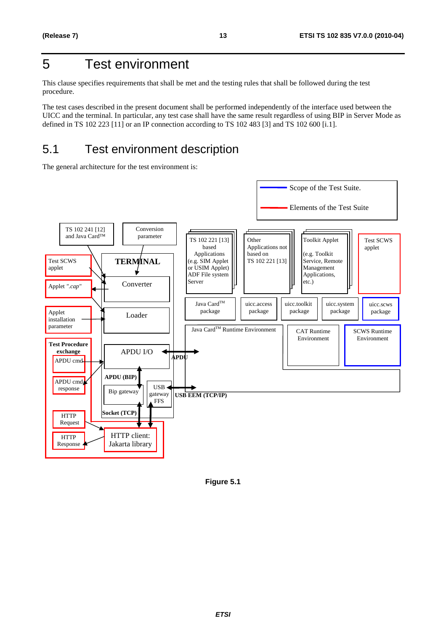# 5 Test environment

This clause specifies requirements that shall be met and the testing rules that shall be followed during the test procedure.

The test cases described in the present document shall be performed independently of the interface used between the UICC and the terminal. In particular, any test case shall have the same result regardless of using BIP in Server Mode as defined in TS 102 223 [11] or an IP connection according to TS 102 483 [3] and TS 102 600 [i.1].

# 5.1 Test environment description

The general architecture for the test environment is:



**Figure 5.1**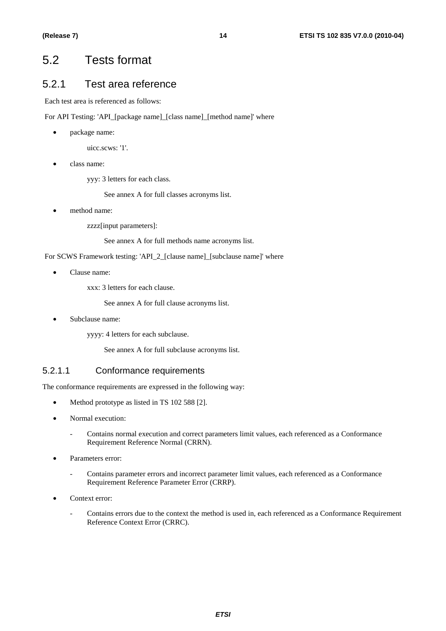# 5.2 Tests format

### 5.2.1 Test area reference

Each test area is referenced as follows:

For API Testing: 'API\_[package name]\_[class name]\_[method name]' where

• package name:

uicc.scws: '1'.

• class name:

yyy: 3 letters for each class.

See annex A for full classes acronyms list.

method name:

zzzz[input parameters]:

See annex A for full methods name acronyms list.

For SCWS Framework testing: 'API\_2\_[clause name]\_[subclause name]' where

• Clause name:

xxx: 3 letters for each clause.

See annex A for full clause acronyms list.

Subclause name:

yyyy: 4 letters for each subclause.

See annex A for full subclause acronyms list.

#### 5.2.1.1 Conformance requirements

The conformance requirements are expressed in the following way:

- Method prototype as listed in TS 102 588 [2].
- Normal execution:
	- Contains normal execution and correct parameters limit values, each referenced as a Conformance Requirement Reference Normal (CRRN).
- Parameters error:
	- Contains parameter errors and incorrect parameter limit values, each referenced as a Conformance Requirement Reference Parameter Error (CRRP).
- Context error:
	- Contains errors due to the context the method is used in, each referenced as a Conformance Requirement Reference Context Error (CRRC).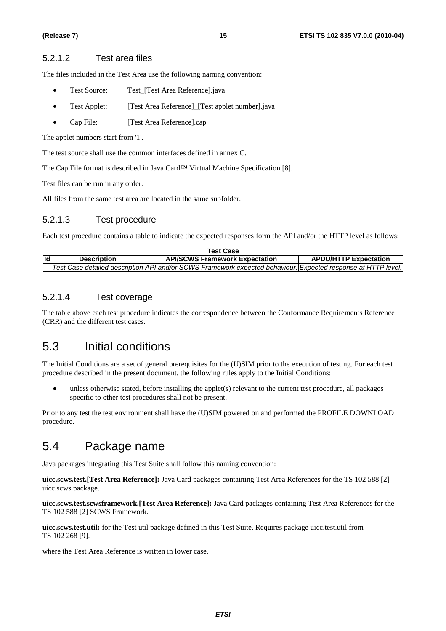#### 5.2.1.2 Test area files

The files included in the Test Area use the following naming convention:

- Test Source: Test\_[Test Area Reference].java
- Test Applet: [Test Area Reference] [Test applet number].java
- Cap File: [Test Area Reference].cap

The applet numbers start from '1'.

The test source shall use the common interfaces defined in annex C.

The Cap File format is described in Java Card™ Virtual Machine Specification [8].

Test files can be run in any order.

All files from the same test area are located in the same subfolder.

#### 5.2.1.3 Test procedure

Each test procedure contains a table to indicate the expected responses form the API and/or the HTTP level as follows:

|      | <b>Test Case</b>   |                                                                                                               |                              |  |  |  |  |
|------|--------------------|---------------------------------------------------------------------------------------------------------------|------------------------------|--|--|--|--|
| lld' | <b>Description</b> | <b>API/SCWS Framework Expectation</b>                                                                         | <b>APDU/HTTP Expectation</b> |  |  |  |  |
|      |                    | Test Case detailed description API and/or SCWS Framework expected behaviour. Expected response at HTTP level. |                              |  |  |  |  |

#### 5.2.1.4 Test coverage

The table above each test procedure indicates the correspondence between the Conformance Requirements Reference (CRR) and the different test cases.

# 5.3 Initial conditions

The Initial Conditions are a set of general prerequisites for the (U)SIM prior to the execution of testing. For each test procedure described in the present document, the following rules apply to the Initial Conditions:

• unless otherwise stated, before installing the applet(s) relevant to the current test procedure, all packages specific to other test procedures shall not be present.

Prior to any test the test environment shall have the (U)SIM powered on and performed the PROFILE DOWNLOAD procedure.

# 5.4 Package name

Java packages integrating this Test Suite shall follow this naming convention:

**uicc.scws.test.[Test Area Reference]:** Java Card packages containing Test Area References for the TS 102 588 [2] uicc.scws package.

**uicc.scws.test.scwsframework.[Test Area Reference]:** Java Card packages containing Test Area References for the TS 102 588 [2] SCWS Framework.

**uicc.scws.test.util:** for the Test util package defined in this Test Suite. Requires package uicc.test.util from TS 102 268 [9].

where the Test Area Reference is written in lower case.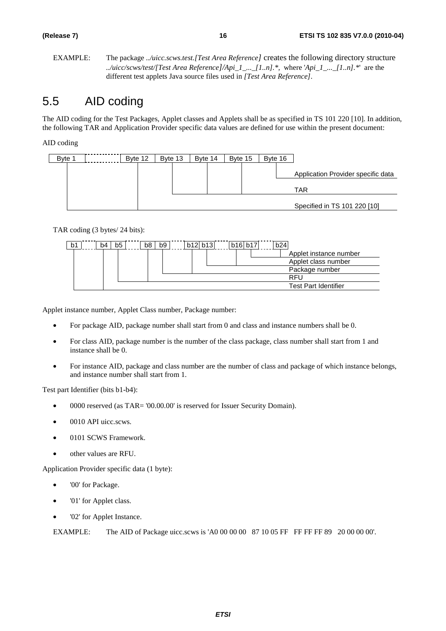EXAMPLE: The package *../uicc.scws.test.[Test Area Reference]* creates the following directory structure *../uicc/scws/test/[Test Area Reference]/Api\_1\_...\_[1..n].\*,* where '*Api\_1\_...\_[1..n].\**' are the different test applets Java source files used in *[Test Area Reference]*.

# 5.5 AID coding

The AID coding for the Test Packages, Applet classes and Applets shall be as specified in TS 101 220 [10]. In addition, the following TAR and Application Provider specific data values are defined for use within the present document:

AID coding

| Byte 1 | Byte 12 | Byte 13 | Byte 14 | Byte 15 | Byte 16 |                                           |
|--------|---------|---------|---------|---------|---------|-------------------------------------------|
|        |         |         |         |         |         | Application Provider specific data<br>TAR |
|        |         |         |         |         |         | Specified in TS 101 220 [10]              |

TAR coding (3 bytes/ 24 bits):

| b1 | b4 | b5 | b8 | b <sub>9</sub> | b12 b13 | b16 b17 | b24                         |
|----|----|----|----|----------------|---------|---------|-----------------------------|
|    |    |    |    |                |         |         | Applet instance number      |
|    |    |    |    |                |         |         | Applet class number         |
|    |    |    |    |                |         |         | Package number              |
|    |    |    |    |                |         |         | RFU                         |
|    |    |    |    |                |         |         | <b>Test Part Identifier</b> |

Applet instance number, Applet Class number, Package number:

- For package AID, package number shall start from 0 and class and instance numbers shall be 0.
- For class AID, package number is the number of the class package, class number shall start from 1 and instance shall be 0.
- For instance AID, package and class number are the number of class and package of which instance belongs, and instance number shall start from 1.

Test part Identifier (bits b1-b4):

- 0000 reserved (as TAR= '00.00.00' is reserved for Issuer Security Domain).
- 0010 API uicc.scws.
- 0101 SCWS Framework.
- other values are RFU.

Application Provider specific data (1 byte):

- '00' for Package.
- '01' for Applet class.
- '02' for Applet Instance.

EXAMPLE: The AID of Package uicc.scws is 'A0 00 00 00 87 10 05 FF FF FF FF 89 20 00 00 00'.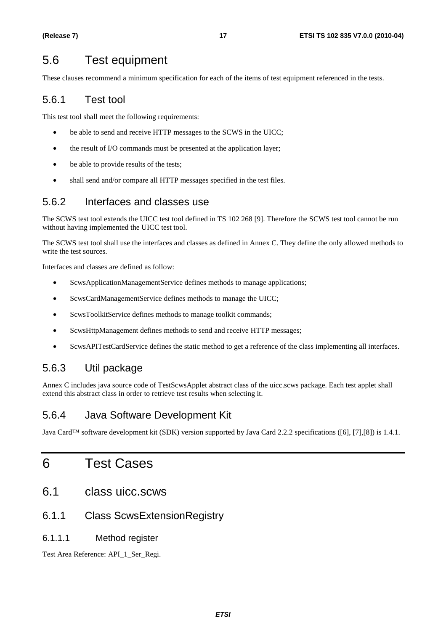# 5.6 Test equipment

These clauses recommend a minimum specification for each of the items of test equipment referenced in the tests.

# 5.6.1 Test tool

This test tool shall meet the following requirements:

- be able to send and receive HTTP messages to the SCWS in the UICC;
- the result of I/O commands must be presented at the application layer;
- be able to provide results of the tests;
- shall send and/or compare all HTTP messages specified in the test files.

### 5.6.2 Interfaces and classes use

The SCWS test tool extends the UICC test tool defined in TS 102 268 [9]. Therefore the SCWS test tool cannot be run without having implemented the UICC test tool.

The SCWS test tool shall use the interfaces and classes as defined in Annex C. They define the only allowed methods to write the test sources.

Interfaces and classes are defined as follow:

- ScwsApplicationManagementService defines methods to manage applications;
- ScwsCardManagementService defines methods to manage the UICC;
- ScwsToolkitService defines methods to manage toolkit commands;
- ScwsHttpManagement defines methods to send and receive HTTP messages;
- ScwsAPITestCardService defines the static method to get a reference of the class implementing all interfaces.

### 5.6.3 Util package

Annex C includes java source code of TestScwsApplet abstract class of the uicc.scws package. Each test applet shall extend this abstract class in order to retrieve test results when selecting it.

# 5.6.4 Java Software Development Kit

Java Card™ software development kit (SDK) version supported by Java Card 2.2.2 specifications ([6], [7],[8]) is 1.4.1.

# 6 Test Cases

- 6.1 class uicc.scws
- 6.1.1 Class ScwsExtensionRegistry
- 6.1.1.1 Method register

Test Area Reference: API\_1\_Ser\_Regi.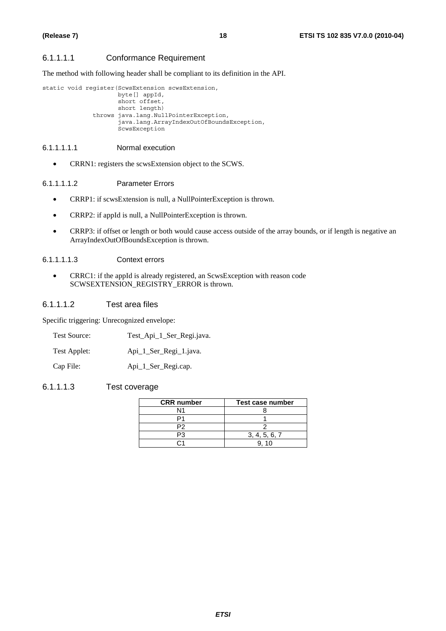#### 6.1.1.1.1 Conformance Requirement

The method with following header shall be compliant to its definition in the API.

static void register(ScwsExtension scwsExtension,

 byte[] appId, short offset, short length) throws java.lang.NullPointerException, java.lang.ArrayIndexOutOfBoundsException, ScwsException

#### 6.1.1.1.1.1 Normal execution

• CRRN1: registers the scwsExtension object to the SCWS.

#### 6.1.1.1.1.2 Parameter Errors

- CRRP1: if scwsExtension is null, a NullPointerException is thrown.
- CRRP2: if appId is null, a NullPointerException is thrown.
- CRRP3: if offset or length or both would cause access outside of the array bounds, or if length is negative an ArrayIndexOutOfBoundsException is thrown.

#### 6.1.1.1.1.3 Context errors

• CRRC1: if the appId is already registered, an ScwsException with reason code SCWSEXTENSION\_REGISTRY\_ERROR is thrown.

#### 6.1.1.1.2 Test area files

Specific triggering: Unrecognized envelope:

- Test Source: Test\_Api\_1\_Ser\_Regi.java.
- Test Applet: Api\_1\_Ser\_Regi\_1.java.

Cap File: Api\_1\_Ser\_Regi.cap.

#### 6.1.1.1.3 Test coverage

| <b>CRR</b> number | Test case number |  |  |
|-------------------|------------------|--|--|
| N1                |                  |  |  |
|                   |                  |  |  |
|                   |                  |  |  |
|                   | 3, 4, 5, 6, 7    |  |  |
|                   |                  |  |  |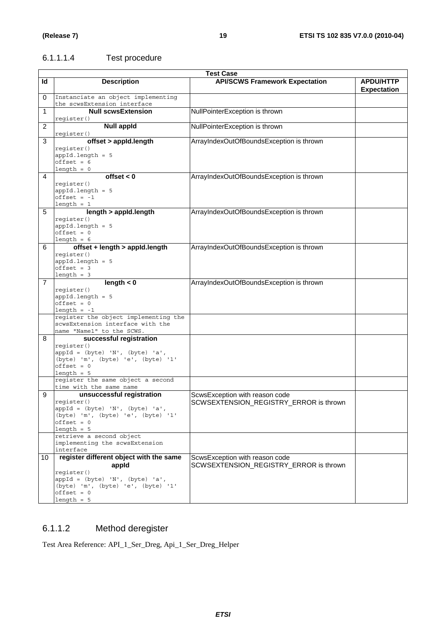## 6.1.1.1.4 Test procedure

|                | <b>Test Case</b>                                                                                                                                                                                                   |                                                                          |                                        |  |  |  |
|----------------|--------------------------------------------------------------------------------------------------------------------------------------------------------------------------------------------------------------------|--------------------------------------------------------------------------|----------------------------------------|--|--|--|
| ld             | <b>Description</b>                                                                                                                                                                                                 | <b>API/SCWS Framework Expectation</b>                                    | <b>APDU/HTTP</b><br><b>Expectation</b> |  |  |  |
| 0              | Instanciate an object implementing<br>the scwsExtension interface                                                                                                                                                  |                                                                          |                                        |  |  |  |
| 1              | <b>Null scwsExtension</b><br>register()                                                                                                                                                                            | NullPointerException is thrown                                           |                                        |  |  |  |
| $\overline{2}$ | <b>Null appld</b><br>register()                                                                                                                                                                                    | NullPointerException is thrown                                           |                                        |  |  |  |
| 3              | offset > appld.length<br>register()<br>$appId.length = 5$<br>$offset = 6$<br>$length = 0$                                                                                                                          | ArrayIndexOutOfBoundsException is thrown                                 |                                        |  |  |  |
| 4              | offset $< 0$<br>register()<br>$appId.length = 5$<br>$offset = -1$<br>$length = 1$                                                                                                                                  | ArrayIndexOutOfBoundsException is thrown                                 |                                        |  |  |  |
| 5              | length > appld.length<br>register()<br>$appId.length = 5$<br>$offset = 0$<br>length = $6$                                                                                                                          | ArrayIndexOutOfBoundsException is thrown                                 |                                        |  |  |  |
| 6              | offset + length > appld.length<br>register()<br>$appId.length = 5$<br>$offset = 3$<br>$length = 3$                                                                                                                 | ArrayIndexOutOfBoundsException is thrown                                 |                                        |  |  |  |
| 7              | length $< 0$<br>register()<br>$appId.length = 5$<br>$offset = 0$<br>$length = -1$<br>register the object implementing the<br>scwsExtension interface with the                                                      | ArrayIndexOutOfBoundsException is thrown                                 |                                        |  |  |  |
| 8              | name "Name1" to the SCWS.<br>successful registration<br>register()<br>$appId = (byte) 'N', (byte) 'a',$<br>(byte) 'm', (byte) 'e', (byte) '1'<br>$offset = 0$<br>$length = 5$<br>reqister the same object a second |                                                                          |                                        |  |  |  |
| 9              | time with the same name<br>unsuccessful registration<br>register()                                                                                                                                                 | ScwsException with reason code<br>SCWSEXTENSION_REGISTRY_ERROR is thrown |                                        |  |  |  |
|                | appId = (byte) 'N', (byte) 'a',<br>(byte) 'm', (byte) 'e', (byte) '1'<br>$offset = 0$<br>$length = 5$<br>retrieve a second object<br>implementing the scwsExtension                                                |                                                                          |                                        |  |  |  |
| 10             | interface<br>register different object with the same<br>appid<br>register()<br>$appId = (byte) 'N', (byte) 'a',$<br>(byte) 'm', (byte) 'e', (byte) '1'<br>$offset = 0$<br>$length = 5$                             | ScwsException with reason code<br>SCWSEXTENSION_REGISTRY_ERROR is thrown |                                        |  |  |  |

## 6.1.1.2 Method deregister

Test Area Reference: API\_1\_Ser\_Dreg, Api\_1\_Ser\_Dreg\_Helper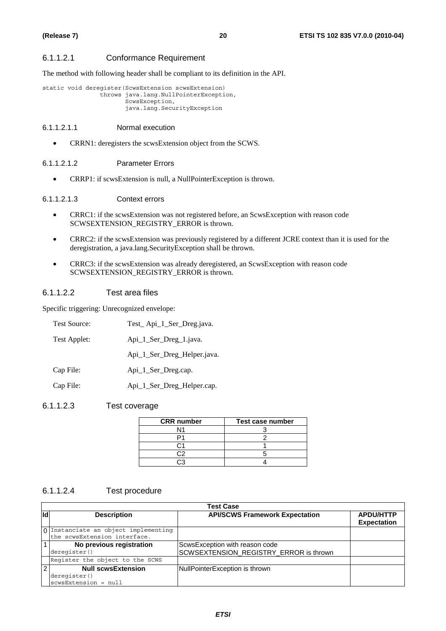#### 6.1.1.2.1 Conformance Requirement

The method with following header shall be compliant to its definition in the API.

```
static void deregister(ScwsExtension scwsExtension) 
                  throws java.lang.NullPointerException, 
                         ScwsException, 
                         java.lang.SecurityException
```
#### 6.1.1.2.1.1 Normal execution

• CRRN1: deregisters the scwsExtension object from the SCWS.

#### 6.1.1.2.1.2 Parameter Errors

• CRRP1: if scwsExtension is null, a NullPointerException is thrown.

#### 6.1.1.2.1.3 Context errors

- CRRC1: if the scwsExtension was not registered before, an ScwsException with reason code SCWSEXTENSION\_REGISTRY\_ERROR is thrown.
- CRRC2: if the scwsExtension was previously registered by a different JCRE context than it is used for the deregistration, a java.lang.SecurityException shall be thrown.
- CRRC3: if the scwsExtension was already deregistered, an ScwsException with reason code SCWSEXTENSION\_REGISTRY\_ERROR is thrown.

#### 6.1.1.2.2 Test area files

Specific triggering: Unrecognized envelope:

| <b>Test Source:</b> | Test_Api_1_Ser_Dreg.java.   |
|---------------------|-----------------------------|
| Test Applet:        | Api_1_Ser_Dreg_1.java.      |
|                     | Api_1_Ser_Dreg_Helper.java. |
| Cap File:           | Api_1_Ser_Dreg.cap.         |
| Cap File:           | Api_1_Ser_Dreg_Helper.cap.  |

#### 6.1.1.2.3 Test coverage

| <b>CRR</b> number | Test case number |
|-------------------|------------------|
| N <sub>1</sub>    |                  |
|                   |                  |
|                   |                  |
|                   |                  |
|                   |                  |

#### 6.1.1.2.4 Test procedure

|                | <b>Test Case</b>                     |                                        |                                        |  |  |  |  |
|----------------|--------------------------------------|----------------------------------------|----------------------------------------|--|--|--|--|
| <b>Id</b>      | <b>Description</b>                   | <b>API/SCWS Framework Expectation</b>  | <b>APDU/HTTP</b><br><b>Expectation</b> |  |  |  |  |
|                | 0 Instanciate an object implementing |                                        |                                        |  |  |  |  |
|                | the scwsExtension interface.         |                                        |                                        |  |  |  |  |
| $\vert$ 1      | No previous registration             | ScwsException with reason code         |                                        |  |  |  |  |
|                | deregister()                         | SCWSEXTENSION_REGISTRY_ERROR is thrown |                                        |  |  |  |  |
|                | Register the object to the SCWS      |                                        |                                        |  |  |  |  |
| $\overline{2}$ | <b>Null scwsExtension</b>            | NullPointerException is thrown         |                                        |  |  |  |  |
|                | deregister()                         |                                        |                                        |  |  |  |  |
|                | scwsExtension = null                 |                                        |                                        |  |  |  |  |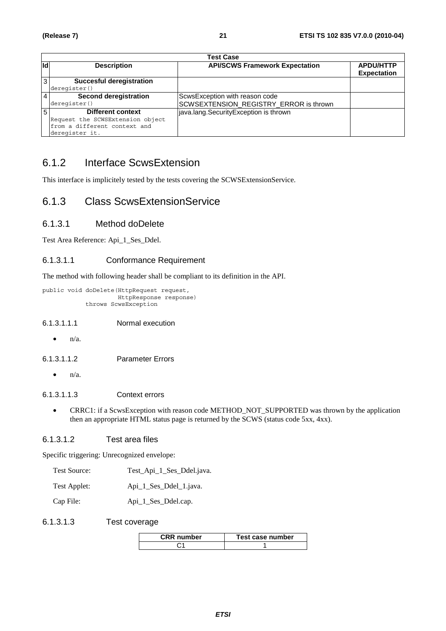|     | <b>Test Case</b>                 |                                        |                    |  |  |  |
|-----|----------------------------------|----------------------------------------|--------------------|--|--|--|
| lld | <b>Description</b>               | <b>API/SCWS Framework Expectation</b>  | <b>APDU/HTTP</b>   |  |  |  |
|     |                                  |                                        | <b>Expectation</b> |  |  |  |
| 3   | <b>Succesful deregistration</b>  |                                        |                    |  |  |  |
|     | deregister()                     |                                        |                    |  |  |  |
|     | <b>Second deregistration</b>     | ScwsException with reason code         |                    |  |  |  |
|     | deregister()                     | SCWSEXTENSION_REGISTRY_ERROR is thrown |                    |  |  |  |
|     | <b>Different context</b>         | java.lang.SecurityException is thrown  |                    |  |  |  |
|     | Request the SCWSExtension object |                                        |                    |  |  |  |
|     | from a different context and     |                                        |                    |  |  |  |
|     | deregister it.                   |                                        |                    |  |  |  |

# 6.1.2 Interface ScwsExtension

This interface is implicitely tested by the tests covering the SCWSExtensionService.

## 6.1.3 Class ScwsExtensionService

#### 6.1.3.1 Method doDelete

Test Area Reference: Api\_1\_Ses\_Ddel.

#### 6.1.3.1.1 Conformance Requirement

The method with following header shall be compliant to its definition in the API.

```
public void doDelete(HttpRequest request, 
                       HttpResponse response) 
             throws ScwsException
```
#### 6.1.3.1.1.1 Normal execution

 $n/a$ .

#### 6.1.3.1.1.2 Parameter Errors

 $\bullet$   $\mathsf{n}/\mathsf{a}$ .

#### 6.1.3.1.1.3 Context errors

• CRRC1: if a ScwsException with reason code METHOD\_NOT\_SUPPORTED was thrown by the application then an appropriate HTML status page is returned by the SCWS (status code 5xx, 4xx).

#### 6.1.3.1.2 Test area files

Specific triggering: Unrecognized envelope:

- Test Source: Test\_Api\_1\_Ses\_Ddel.java.
- Test Applet: Api\_1\_Ses\_Ddel\_1.java.

Cap File: Api\_1\_Ses\_Ddel.cap.

#### 6.1.3.1.3 Test coverage

| <b>CRR</b> number | Test case number |  |  |  |
|-------------------|------------------|--|--|--|
|                   |                  |  |  |  |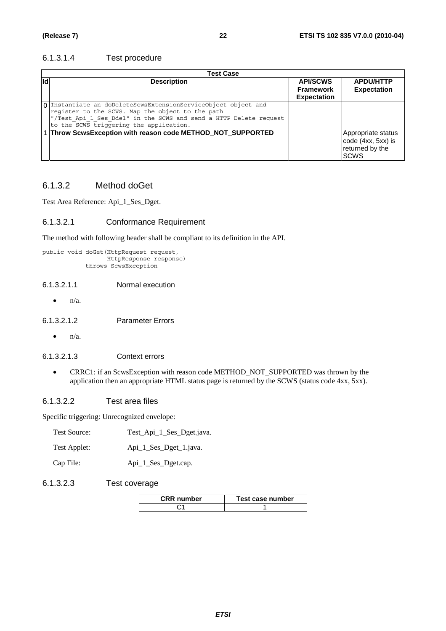#### 6.1.3.1.4 Test procedure

|            | <b>Test Case</b>                                                                                                                                                                                                                   |                                                           |                                                                             |  |  |  |
|------------|------------------------------------------------------------------------------------------------------------------------------------------------------------------------------------------------------------------------------------|-----------------------------------------------------------|-----------------------------------------------------------------------------|--|--|--|
| <b>I</b> d | <b>Description</b>                                                                                                                                                                                                                 | <b>API/SCWS</b><br><b>Framework</b><br><b>Expectation</b> | <b>APDU/HTTP</b><br><b>Expectation</b>                                      |  |  |  |
|            | O Instantiate an doDeleteScwsExtensionServiceObject object and<br>register to the SCWS. Map the object to the path<br>"/Test Api 1 Ses Ddel" in the SCWS and send a HTTP Delete request<br>to the SCWS triggering the application. |                                                           |                                                                             |  |  |  |
|            | 1 Throw ScwsException with reason code METHOD_NOT_SUPPORTED                                                                                                                                                                        |                                                           | Appropriate status<br>code (4xx, 5xx) is<br>returned by the<br><b>ISCWS</b> |  |  |  |

### 6.1.3.2 Method doGet

Test Area Reference: Api\_1\_Ses\_Dget.

#### 6.1.3.2.1 Conformance Requirement

The method with following header shall be compliant to its definition in the API.

```
public void doGet(HttpRequest request, 
                   HttpResponse response) 
             throws ScwsException
```
#### 6.1.3.2.1.1 Normal execution

 $\bullet$   $n/a$ .

6.1.3.2.1.2 Parameter Errors

 $\bullet$   $n/a$ .

#### 6.1.3.2.1.3 Context errors

• CRRC1: if an ScwsException with reason code METHOD\_NOT\_SUPPORTED was thrown by the application then an appropriate HTML status page is returned by the SCWS (status code 4xx, 5xx).

#### 6.1.3.2.2 Test area files

Specific triggering: Unrecognized envelope:

| Test Applet: |  | Api_1_Ses_Dget_1.java. |
|--------------|--|------------------------|

Cap File: Api\_1\_Ses\_Dget.cap.

#### 6.1.3.2.3 Test coverage

| CRR number | Test case number |
|------------|------------------|
|            |                  |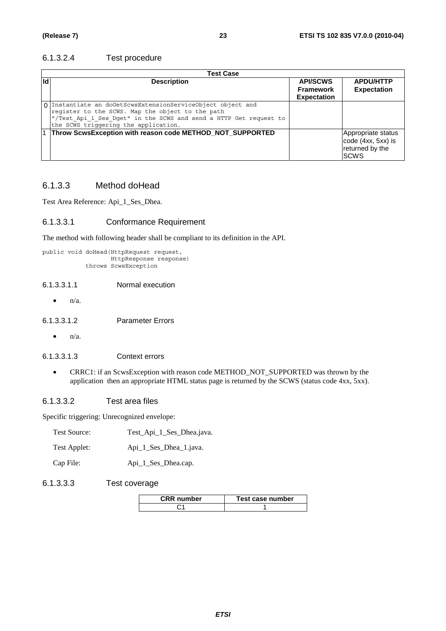#### 6.1.3.2.4 Test procedure

|    | Test Case                                                                                                                                                                                                                    |                                                           |                                                                             |  |  |  |
|----|------------------------------------------------------------------------------------------------------------------------------------------------------------------------------------------------------------------------------|-----------------------------------------------------------|-----------------------------------------------------------------------------|--|--|--|
| Id | <b>Description</b>                                                                                                                                                                                                           | <b>API/SCWS</b><br><b>Framework</b><br><b>Expectation</b> | <b>APDU/HTTP</b><br><b>Expectation</b>                                      |  |  |  |
|    | 0 Instantiate an doGetScwsExtensionServiceObject object and<br>register to the SCWS. Map the object to the path<br>"/Test_Api_1_Ses_Dget" in the SCWS and send a HTTP Get request to<br>the SCWS triggering the application. |                                                           |                                                                             |  |  |  |
|    | Throw ScwsException with reason code METHOD_NOT_SUPPORTED                                                                                                                                                                    |                                                           | Appropriate status<br>code (4xx, 5xx) is<br>returned by the<br><b>ISCWS</b> |  |  |  |

### 6.1.3.3 Method doHead

Test Area Reference: Api\_1\_Ses\_Dhea.

#### 6.1.3.3.1 Conformance Requirement

The method with following header shall be compliant to its definition in the API.

```
public void doHead(HttpRequest request, 
                    HttpResponse response) 
             throws ScwsException
```
#### 6.1.3.3.1.1 Normal execution

 $\bullet$   $n/a$ .

6.1.3.3.1.2 Parameter Errors

 $\bullet$   $n/a$ .

#### 6.1.3.3.1.3 Context errors

• CRRC1: if an ScwsException with reason code METHOD\_NOT\_SUPPORTED was thrown by the application then an appropriate HTML status page is returned by the SCWS (status code 4xx, 5xx).

#### 6.1.3.3.2 Test area files

Specific triggering: Unrecognized envelope:

| Test Source: | Test_Api_1_Ses_Dhea.java. |
|--------------|---------------------------|
|--------------|---------------------------|

| Test Applet: |  |  | Api_1_Ses_Dhea_1.java. |
|--------------|--|--|------------------------|
|              |  |  |                        |

Cap File: Api\_1\_Ses\_Dhea.cap.

#### 6.1.3.3.3 Test coverage

| <b>CRR</b> number | Test case number |
|-------------------|------------------|
|                   |                  |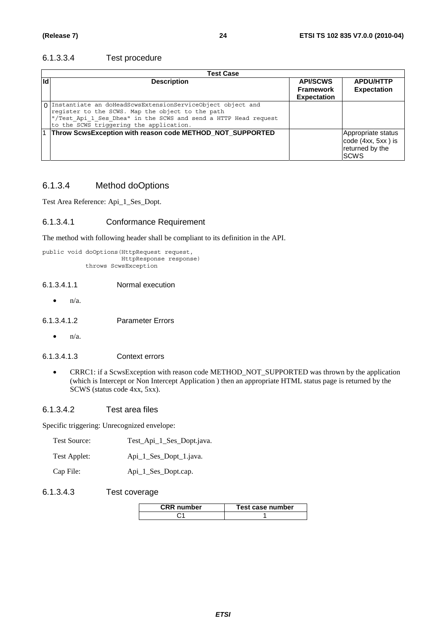#### 6.1.3.3.4 Test procedure

| <b>Test Case</b> |                                                                                                                                                                                                                                |                                                           |                                                                             |  |  |
|------------------|--------------------------------------------------------------------------------------------------------------------------------------------------------------------------------------------------------------------------------|-----------------------------------------------------------|-----------------------------------------------------------------------------|--|--|
| <b>Id</b>        | <b>Description</b>                                                                                                                                                                                                             | <b>API/SCWS</b><br><b>Framework</b><br><b>Expectation</b> | <b>APDU/HTTP</b><br><b>Expectation</b>                                      |  |  |
|                  | O Instantiate an doHeadScwsExtensionServiceObject object and<br>register to the SCWS. Map the object to the path<br>"/Test Api 1 Ses Dhea" in the SCWS and send a HTTP Head request<br>to the SCWS triggering the application. |                                                           |                                                                             |  |  |
|                  | 1 Throw ScwsException with reason code METHOD_NOT_SUPPORTED                                                                                                                                                                    |                                                           | Appropriate status<br>code (4xx, 5xx) is<br>returned by the<br><b>ISCWS</b> |  |  |

#### 6.1.3.4 Method doOptions

Test Area Reference: Api\_1\_Ses\_Dopt.

#### 6.1.3.4.1 Conformance Requirement

The method with following header shall be compliant to its definition in the API.

```
public void doOptions(HttpRequest request, 
                      HttpResponse response)
             throws ScwsException
```
#### 6.1.3.4.1.1 Normal execution

 $\bullet$   $n/a$ .

6.1.3.4.1.2 Parameter Errors

 $\bullet$   $n/a$ .

#### 6.1.3.4.1.3 Context errors

• CRRC1: if a ScwsException with reason code METHOD\_NOT\_SUPPORTED was thrown by the application (which is Intercept or Non Intercept Application ) then an appropriate HTML status page is returned by the SCWS (status code 4xx, 5xx).

#### 6.1.3.4.2 Test area files

Specific triggering: Unrecognized envelope:

| Test Source: | Test_Api_1_Ses_Dopt.java. |
|--------------|---------------------------|
|--------------|---------------------------|

| Test Applet: | Api_1_Ses_Dopt_1.java. |
|--------------|------------------------|
|--------------|------------------------|

Cap File: Api\_1\_Ses\_Dopt.cap.

#### 6.1.3.4.3 Test coverage

| <b>CRR</b> number | Test case number |
|-------------------|------------------|
|                   |                  |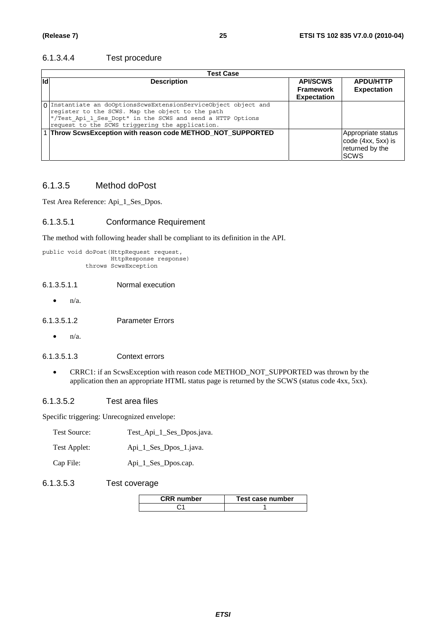#### 6.1.3.4.4 Test procedure

|     | Test Case                                                                                                                                                                                                                            |                                                           |                                                                             |  |  |  |
|-----|--------------------------------------------------------------------------------------------------------------------------------------------------------------------------------------------------------------------------------------|-----------------------------------------------------------|-----------------------------------------------------------------------------|--|--|--|
| lld | <b>Description</b>                                                                                                                                                                                                                   | <b>API/SCWS</b><br><b>Framework</b><br><b>Expectation</b> | <b>APDU/HTTP</b><br><b>Expectation</b>                                      |  |  |  |
|     | 0 Instantiate an doOptionsScwsExtensionServiceObject object and<br>register to the SCWS. Map the object to the path<br>"/Test_Api_1_Ses_Dopt" in the SCWS and send a HTTP Options<br>request to the SCWS triggering the application. |                                                           |                                                                             |  |  |  |
|     | 1 Throw ScwsException with reason code METHOD_NOT_SUPPORTED                                                                                                                                                                          |                                                           | Appropriate status<br>code (4xx, 5xx) is<br>returned by the<br><b>ISCWS</b> |  |  |  |

### 6.1.3.5 Method doPost

Test Area Reference: Api\_1\_Ses\_Dpos.

#### 6.1.3.5.1 Conformance Requirement

The method with following header shall be compliant to its definition in the API.

```
public void doPost(HttpRequest request, 
                    HttpResponse response) 
             throws ScwsException
```
#### 6.1.3.5.1.1 Normal execution

 $\bullet$   $n/a$ .

6.1.3.5.1.2 Parameter Errors

 $\bullet$   $n/a$ .

#### 6.1.3.5.1.3 Context errors

• CRRC1: if an ScwsException with reason code METHOD\_NOT\_SUPPORTED was thrown by the application then an appropriate HTML status page is returned by the SCWS (status code 4xx, 5xx).

#### 6.1.3.5.2 Test area files

Specific triggering: Unrecognized envelope:

| Test Applet: |  |  | Api_1_Ses_Dpos_1.java. |
|--------------|--|--|------------------------|

Cap File: Api\_1\_Ses\_Dpos.cap.

#### 6.1.3.5.3 Test coverage

| CRR number | Test case number |
|------------|------------------|
|            |                  |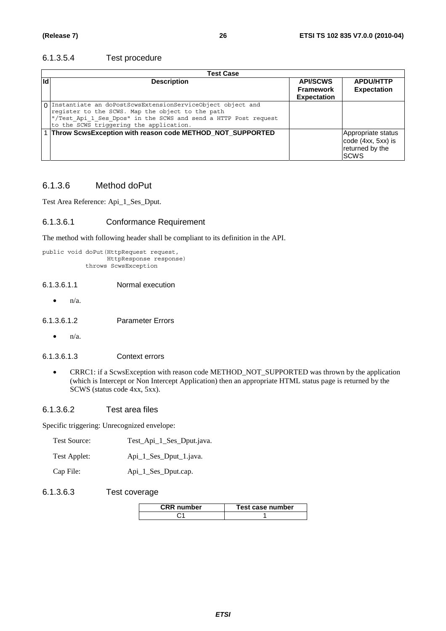#### 6.1.3.5.4 Test procedure

|     | <b>Test Case</b>                                                                                                                                                                                                               |                                                           |                                                                            |  |  |
|-----|--------------------------------------------------------------------------------------------------------------------------------------------------------------------------------------------------------------------------------|-----------------------------------------------------------|----------------------------------------------------------------------------|--|--|
| lld | <b>Description</b>                                                                                                                                                                                                             | <b>API/SCWS</b><br><b>Framework</b><br><b>Expectation</b> | <b>APDU/HTTP</b><br><b>Expectation</b>                                     |  |  |
|     | 0 Instantiate an doPostScwsExtensionServiceObject object and<br>register to the SCWS. Map the object to the path<br>"/Test_Api_1_Ses_Dpos" in the SCWS and send a HTTP Post request<br>to the SCWS triggering the application. |                                                           |                                                                            |  |  |
|     | 1 Throw ScwsException with reason code METHOD_NOT_SUPPORTED                                                                                                                                                                    |                                                           | Appropriate status<br>code (4xx, 5xx) is<br>returned by the<br><b>SCWS</b> |  |  |

### 6.1.3.6 Method doPut

Test Area Reference: Api\_1\_Ses\_Dput.

#### 6.1.3.6.1 Conformance Requirement

The method with following header shall be compliant to its definition in the API.

```
public void doPut(HttpRequest request, 
                   HttpResponse response) 
             throws ScwsException
```
#### 6.1.3.6.1.1 Normal execution

 $\bullet$   $n/a$ .

6.1.3.6.1.2 Parameter Errors

 $\bullet$   $n/a$ .

#### 6.1.3.6.1.3 Context errors

• CRRC1: if a ScwsException with reason code METHOD\_NOT\_SUPPORTED was thrown by the application (which is Intercept or Non Intercept Application) then an appropriate HTML status page is returned by the SCWS (status code 4xx, 5xx).

#### 6.1.3.6.2 Test area files

Specific triggering: Unrecognized envelope:

| Api_1_Ses_Dput_1.java. |
|------------------------|
|                        |

Cap File: Api\_1\_Ses\_Dput.cap.

#### 6.1.3.6.3 Test coverage

| <b>CRR</b> number | Test case number |  |
|-------------------|------------------|--|
|                   |                  |  |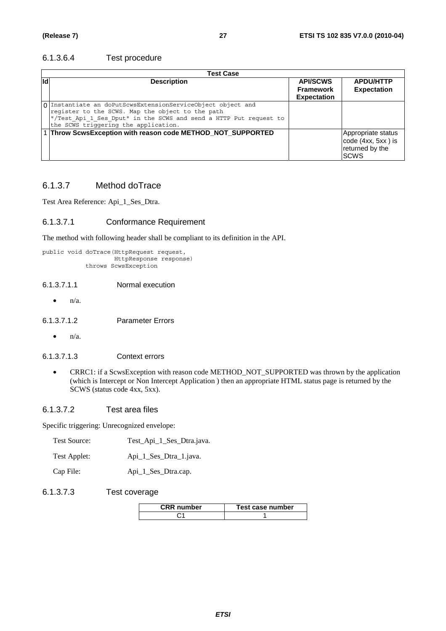#### 6.1.3.6.4 Test procedure

|     | Test Case                                                                                                                                                                                                                    |                                                           |                                                                            |  |
|-----|------------------------------------------------------------------------------------------------------------------------------------------------------------------------------------------------------------------------------|-----------------------------------------------------------|----------------------------------------------------------------------------|--|
| lld | <b>Description</b>                                                                                                                                                                                                           | <b>API/SCWS</b><br><b>Framework</b><br><b>Expectation</b> | <b>APDU/HTTP</b><br><b>Expectation</b>                                     |  |
|     | 0 Instantiate an doPutScwsExtensionServiceObject object and<br>register to the SCWS. Map the object to the path<br>"/Test_Api_1_Ses_Dput" in the SCWS and send a HTTP Put request to<br>the SCWS triggering the application. |                                                           |                                                                            |  |
|     | 1 Throw ScwsException with reason code METHOD_NOT_SUPPORTED                                                                                                                                                                  |                                                           | Appropriate status<br>code (4xx, 5xx) is<br>returned by the<br><b>SCWS</b> |  |

### 6.1.3.7 Method doTrace

Test Area Reference: Api\_1\_Ses\_Dtra.

#### 6.1.3.7.1 Conformance Requirement

The method with following header shall be compliant to its definition in the API.

```
public void doTrace(HttpRequest request, 
                     HttpResponse response) 
             throws ScwsException
```
#### 6.1.3.7.1.1 Normal execution

 $\bullet$   $n/a$ .

6.1.3.7.1.2 Parameter Errors

 $\bullet$  n/a.

#### 6.1.3.7.1.3 Context errors

• CRRC1: if a ScwsException with reason code METHOD\_NOT\_SUPPORTED was thrown by the application (which is Intercept or Non Intercept Application ) then an appropriate HTML status page is returned by the SCWS (status code 4xx, 5xx).

#### 6.1.3.7.2 Test area files

Specific triggering: Unrecognized envelope:

| Test Source: | Test_Api_1_Ses_Dtra.java. |
|--------------|---------------------------|
| Test Applet: | Api_1_Ses_Dtra_1.java.    |

| __ |  |
|----|--|
|    |  |
|    |  |
|    |  |
|    |  |
|    |  |
|    |  |
|    |  |
|    |  |

Cap File: Api\_1\_Ses\_Dtra.cap.

#### 6.1.3.7.3 Test coverage

| <b>CRR</b> number | Test case number |  |
|-------------------|------------------|--|
|                   |                  |  |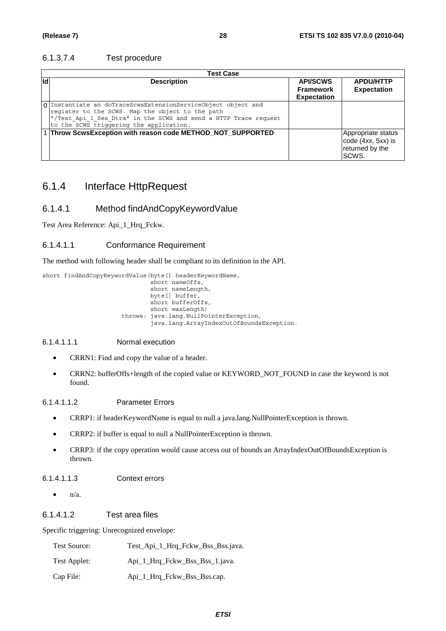#### 6.1.3.7.4 Test procedure

|     | Test Case                                                                                                                                                                                                                        |                                                           |                                                                      |  |
|-----|----------------------------------------------------------------------------------------------------------------------------------------------------------------------------------------------------------------------------------|-----------------------------------------------------------|----------------------------------------------------------------------|--|
| lld | <b>Description</b>                                                                                                                                                                                                               | <b>API/SCWS</b><br><b>Framework</b><br><b>Expectation</b> | <b>APDU/HTTP</b><br><b>Expectation</b>                               |  |
|     | 0 Instantiate an doTraceScwsExtensionServiceObject object and<br>register to the SCWS. Map the object to the path<br>"/Test Api 1 Ses Dtra" in the SCWS and send a HTTP Trace request<br>to the SCWS triggering the application. |                                                           |                                                                      |  |
|     | 1 Throw ScwsException with reason code METHOD_NOT_SUPPORTED                                                                                                                                                                      |                                                           | Appropriate status<br>code (4xx, 5xx) is<br>returned by the<br>SCWS. |  |

# 6.1.4 Interface HttpRequest

### 6.1.4.1 Method findAndCopyKeywordValue

Test Area Reference: Api\_1\_Hrq\_Fckw.

#### 6.1.4.1.1 Conformance Requirement

The method with following header shall be compliant to its definition in the API.

short findAndCopyKeywordValue(byte[] headerKeywordName,  $short$  nameOffs, short nameLength, byte[] buffer, short bufferOffs, short maxLength) throws: java.lang.NullPointerException, java.lang.ArrayIndexOutOfBoundsException.

#### 6.1.4.1.1.1 Normal execution

- CRRN1: Find and copy the value of a header.
- CRRN2: bufferOffs+length of the copied value or KEYWORD\_NOT\_FOUND in case the keyword is not found.

#### 6.1.4.1.1.2 Parameter Errors

- CRRP1: if headerKeywordName is equal to null a java.lang.NullPointerException is thrown.
- CRRP2: if buffer is equal to null a NullPointerException is thrown.
- CRRP3: if the copy operation would cause access out of bounds an ArrayIndexOutOfBoundsException is thrown.

#### 6.1.4.1.1.3 Context errors

 $\bullet$   $n/a$ .

#### 6.1.4.1.2 Test area files

Specific triggering: Unrecognized envelope:

| <b>Test Source:</b> | Test_Api_1_Hrq_Fckw_Bss_Bss.java. |
|---------------------|-----------------------------------|
| Test Applet:        | Api 1 Hrq Fckw Bss Bss 1.java.    |
| Cap File:           | Api_1_Hrq_Fckw_Bss_Bss.cap.       |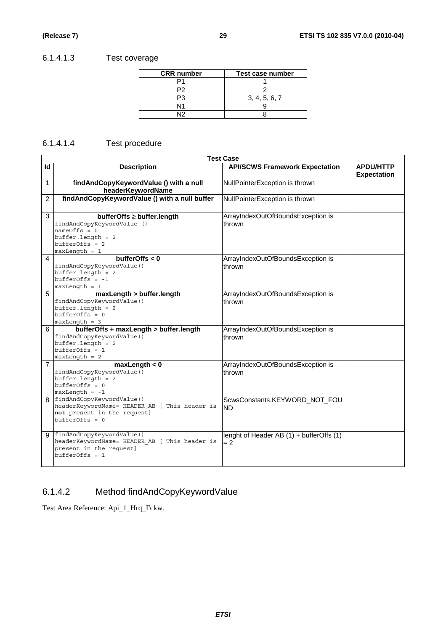## 6.1.4.1.3 Test coverage

| <b>CRR</b> number | Test case number |
|-------------------|------------------|
|                   |                  |
|                   |                  |
|                   | 3, 4, 5, 6, 7    |
| N1                |                  |
| N١                |                  |

### 6.1.4.1.4 Test procedure

|                | <b>Test Case</b>                                                                                                                         |                                                   |                                        |  |
|----------------|------------------------------------------------------------------------------------------------------------------------------------------|---------------------------------------------------|----------------------------------------|--|
| Id             | <b>Description</b>                                                                                                                       | <b>API/SCWS Framework Expectation</b>             | <b>APDU/HTTP</b><br><b>Expectation</b> |  |
| 1              | findAndCopyKeywordValue () with a null<br>headerKeywordName                                                                              | NullPointerException is thrown                    |                                        |  |
| $\overline{c}$ | findAndCopyKeywordValue () with a null buffer                                                                                            | NullPointerException is thrown                    |                                        |  |
| 3              | bufferOffs ≥ buffer.length<br>findAndCopyKeywordValue ()<br>$nameOffs = 0$<br>$buffer.length = 2$<br>$bufferOffs = 2$<br>$maxLength = 1$ | ArrayIndexOutOfBoundsException is<br>thrown       |                                        |  |
| $\overline{4}$ | bufferOffs $< 0$<br>findAndCopyKeywordValue()<br>$buffer.length = 2$<br>$bufferOffs = -1$<br>$maxLength = 1$                             | ArrayIndexOutOfBoundsException is<br>thrown       |                                        |  |
| 5              | maxLength > buffer.length<br>findAndCopyKeywordValue()<br>$buffer.length = 2$<br>$bufferOffs = 0$<br>$maxLength = 3$                     | ArrayIndexOutOfBoundsException is<br>thrown       |                                        |  |
| 6              | bufferOffs + maxLength > buffer.length<br>findAndCopyKeywordValue()<br>$buffer.length = 2$<br>$bufferOffs = 1$<br>$maxLength = 2$        | ArrayIndexOutOfBoundsException is<br>thrown       |                                        |  |
| $\overline{7}$ | maxLength < 0<br>findAndCopyKeywordValue()<br>$buffer.length = 2$<br>$bufferOffs = 0$<br>$maxLength = -1$                                | ArrayIndexOutOfBoundsException is<br>thrown       |                                        |  |
| 8              | findAndCopyKeywordValue()<br>headerKeywordName= HEADER AB [ This header is<br>not present in the request]<br>$bufferOffs = 0$            | ScwsConstants.KEYWORD_NOT_FOU<br><b>ND</b>        |                                        |  |
| 9              | findAndCopyKeywordValue()<br>headerKeywordName= HEADER AB [ This header is<br>present in the request]<br>$bufferOffs = 1$                | lenght of Header AB (1) + bufferOffs (1)<br>$= 2$ |                                        |  |

# 6.1.4.2 Method findAndCopyKeywordValue

Test Area Reference: Api\_1\_Hrq\_Fckw.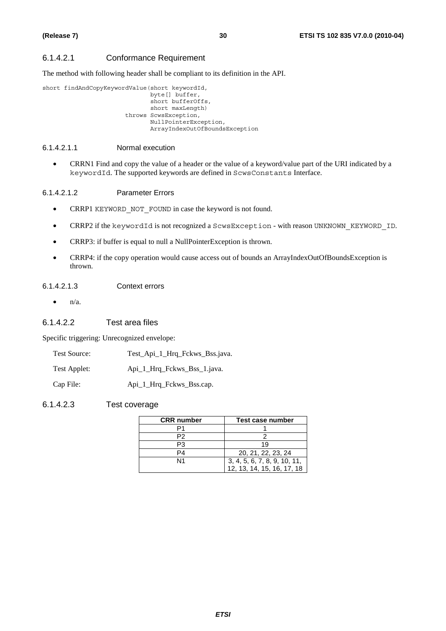#### 6.1.4.2.1 Conformance Requirement

The method with following header shall be compliant to its definition in the API.

```
short findAndCopyKeywordValue(short keywordId, 
                                 byte[] buffer, 
                                 short bufferOffs, 
                                 short maxLength) 
                          throws ScwsException, 
                                 NullPointerException, 
                                 ArrayIndexOutOfBoundsException
```
#### 6.1.4.2.1.1 Normal execution

• CRRN1 Find and copy the value of a header or the value of a keyword/value part of the URI indicated by a keywordId. The supported keywords are defined in ScwsConstants Interface.

#### 6.1.4.2.1.2 Parameter Errors

- CRRP1 KEYWORD NOT FOUND in case the keyword is not found.
- CRRP2 if the keywordId is not recognized a ScwsException with reason UNKNOWN KEYWORD ID.
- CRRP3: if buffer is equal to null a NullPointerException is thrown.
- CRRP4: if the copy operation would cause access out of bounds an ArrayIndexOutOfBoundsException is thrown.

#### 6.1.4.2.1.3 Context errors

 $\bullet$   $n/a$ .

#### 6.1.4.2.2 Test area files

Specific triggering: Unrecognized envelope:

| <b>Test Source:</b> | Test_Api_1_Hrq_Fckws_Bss.java. |
|---------------------|--------------------------------|
|                     |                                |

Test Applet: Api\_1\_Hrq\_Fckws\_Bss\_1.java.

Cap File: Api\_1 Hrq\_Fckws\_Bss.cap.

#### 6.1.4.2.3 Test coverage

| <b>CRR</b> number | Test case number             |
|-------------------|------------------------------|
|                   |                              |
| P2                |                              |
| P3                | 19                           |
| P4                | 20, 21, 22, 23, 24           |
| N1                | 3, 4, 5, 6, 7, 8, 9, 10, 11, |
|                   | 12, 13, 14, 15, 16, 17, 18   |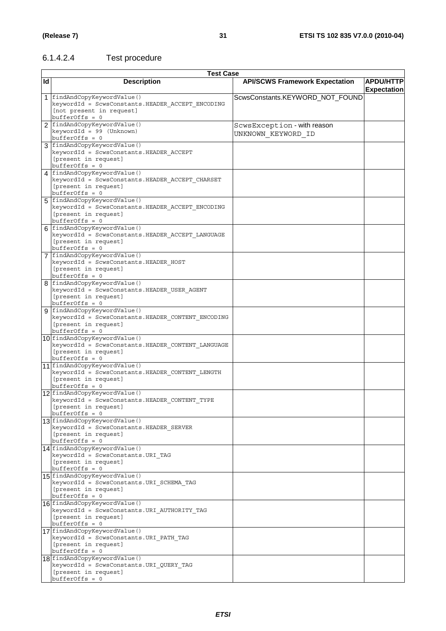## 6.1.4.2.4 Test procedure

|           | <b>Test Case</b>                                                                                                                |                                                   |                                        |
|-----------|---------------------------------------------------------------------------------------------------------------------------------|---------------------------------------------------|----------------------------------------|
| <b>Id</b> | <b>Description</b>                                                                                                              | <b>API/SCWS Framework Expectation</b>             | <b>APDU/HTTP</b><br><b>Expectation</b> |
|           | 1 findAndCopyKeywordValue()<br>keywordId = ScwsConstants.HEADER ACCEPT ENCODING<br>[not present in request]<br>$bufferOffs = 0$ | ScwsConstants.KEYWORD_NOT_FOUND                   |                                        |
|           | 2   findAndCopyKeywordValue()<br>keywordId = 99 (Unknown)<br>$bufferOffs = 0$                                                   | ScwsException - with reason<br>UNKNOWN KEYWORD ID |                                        |
|           | 3   findAndCopyKeywordValue()<br>keywordId = ScwsConstants.HEADER ACCEPT<br>[present in request]<br>$bufferOffs = 0$            |                                                   |                                        |
|           | 4 findAndCopyKeywordValue()<br>keywordId = ScwsConstants.HEADER ACCEPT CHARSET<br>[present in request]<br>$bufferOffs = 0$      |                                                   |                                        |
|           | 5 findAndCopyKeywordValue()<br>keywordId = ScwsConstants.HEADER ACCEPT ENCODING<br>[present in request]<br>$bufferOffs = 0$     |                                                   |                                        |
|           | 6 findAndCopyKeywordValue()<br>keywordId = ScwsConstants.HEADER ACCEPT LANGUAGE<br>[present in request]<br>$bufferOffs = 0$     |                                                   |                                        |
|           | 7 findAndCopyKeywordValue()<br>keywordId = ScwsConstants.HEADER_HOST<br>[present in request]<br>$bufferOffs = 0$                |                                                   |                                        |
|           | 8 findAndCopyKeywordValue()<br>keywordId = ScwsConstants.HEADER USER AGENT<br>[present in request]<br>$bufferOffs = 0$          |                                                   |                                        |
|           | 9 findAndCopyKeywordValue()<br>keywordId = ScwsConstants.HEADER_CONTENT_ENCODING<br>[present in request]<br>$bufferOffs = 0$    |                                                   |                                        |
|           | 10 findAndCopyKeywordValue()<br>keywordId = ScwsConstants.HEADER_CONTENT_LANGUAGE<br>[present in request]<br>$bufferOffs = 0$   |                                                   |                                        |
|           | 11 findAndCopyKeywordValue()<br>keywordId = ScwsConstants.HEADER_CONTENT_LENGTH<br>[present in request]<br>$bufferOffs = 0$     |                                                   |                                        |
|           | 12 findAndCopyKeywordValue()<br>keywordId = ScwsConstants.HEADER CONTENT TYPE<br>[present in request]<br>$bufferOffs = 0$       |                                                   |                                        |
|           | 13 findAndCopyKeywordValue()<br>keywordId = ScwsConstants.HEADER SERVER<br>[present in request]<br>$bufferOffs = 0$             |                                                   |                                        |
|           | 14 findAndCopyKeywordValue()<br>keywordId = ScwsConstants.URI TAG<br>[present in request]<br>$bufferOffs = 0$                   |                                                   |                                        |
|           | 15 findAndCopyKeywordValue()<br>keywordId = ScwsConstants.URI SCHEMA TAG<br>[present in request]<br>$bufferOffs = 0$            |                                                   |                                        |
|           | 16 findAndCopyKeywordValue()<br>keywordId = ScwsConstants.URI AUTHORITY TAG<br>[present in request]<br>$bufferOffs = 0$         |                                                   |                                        |
|           | 17 findAndCopyKeywordValue()<br>keywordId = ScwsConstants.URI PATH TAG<br>[present in request]<br>$bufferOffs = 0$              |                                                   |                                        |
|           | 18 findAndCopyKeywordValue()<br>keywordId = ScwsConstants.URI QUERY TAG<br>[present in request]<br>$bufferOffs = 0$             |                                                   |                                        |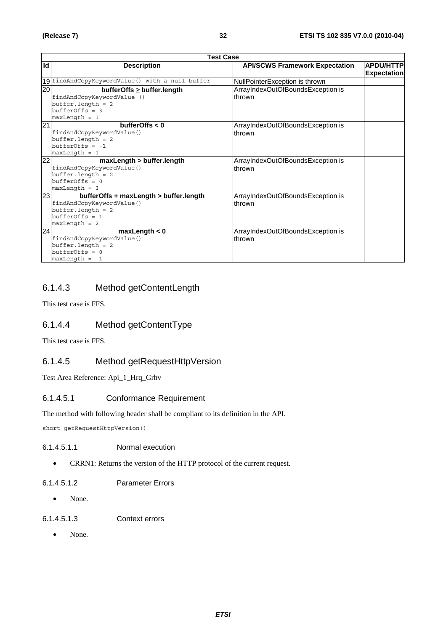|                 | <b>Test Case</b>                                 |                                       |                    |
|-----------------|--------------------------------------------------|---------------------------------------|--------------------|
| Id              | <b>Description</b>                               | <b>API/SCWS Framework Expectation</b> | <b>APDU/HTTP</b>   |
|                 |                                                  |                                       | <b>Expectation</b> |
|                 | 19 findAndCopyKeywordValue() with a null buffer  | NullPointerException is thrown        |                    |
| $\overline{20}$ | $bufferOffs \geq buffer.length$                  | ArrayIndexOutOfBoundsException is     |                    |
|                 | findAndCopyKeywordValue ()                       | thrown                                |                    |
|                 | $buffer.length = 2$                              |                                       |                    |
|                 | $bufferOffs = 3$                                 |                                       |                    |
|                 | $maxLength = 1$                                  |                                       |                    |
| $\overline{21}$ | bufferOffs $< 0$                                 | ArrayIndexOutOfBoundsException is     |                    |
|                 | findAndCopyKeywordValue()                        | thrown                                |                    |
|                 | $buffer.length = 2$                              |                                       |                    |
|                 | $bufferOffs = -1$                                |                                       |                    |
|                 | $maxLength = 1$                                  |                                       |                    |
| 22              | maxLength > buffer.length                        | ArrayIndexOutOfBoundsException is     |                    |
|                 | findAndCopyKeywordValue()                        | thrown                                |                    |
|                 | $buffer.length = 2$                              |                                       |                    |
|                 | $bufferOffs = 0$                                 |                                       |                    |
| 23              | $maxLength = 3$                                  |                                       |                    |
|                 | bufferOffs + maxLength > buffer.length           | ArrayIndexOutOfBoundsException is     |                    |
|                 | findAndCopyKeywordValue()<br>$buffer.length = 2$ | thrown                                |                    |
|                 | $bufferOffs = 1$                                 |                                       |                    |
|                 | $maxLength = 2$                                  |                                       |                    |
| 24              | maxLength < 0                                    | ArrayIndexOutOfBoundsException is     |                    |
|                 | findAndCopyKeywordValue()                        | thrown                                |                    |
|                 | $buffer.length = 2$                              |                                       |                    |
|                 | $bufferOffs = 0$                                 |                                       |                    |
|                 | $maxLength = -1$                                 |                                       |                    |

### 6.1.4.3 Method getContentLength

This test case is FFS.

### 6.1.4.4 Method getContentType

This test case is FFS.

### 6.1.4.5 Method getRequestHttpVersion

Test Area Reference: Api\_1\_Hrq\_Grhv

#### 6.1.4.5.1 Conformance Requirement

The method with following header shall be compliant to its definition in the API.

short getRequestHttpVersion()

#### 6.1.4.5.1.1 Normal execution

• CRRN1: Returns the version of the HTTP protocol of the current request.

#### 6.1.4.5.1.2 Parameter Errors

• None.

#### 6.1.4.5.1.3 Context errors

• None.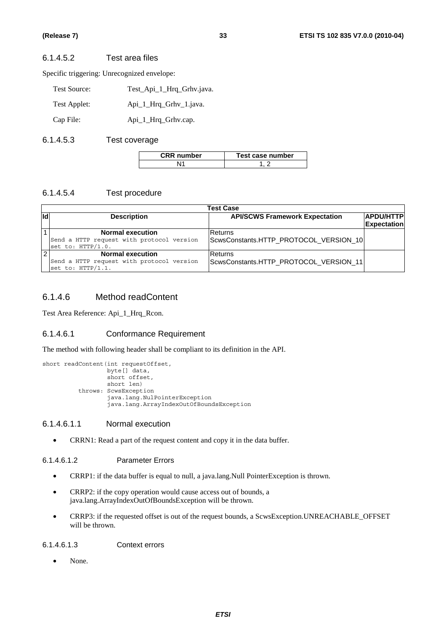#### 6.1.4.5.2 Test area files

Specific triggering: Unrecognized envelope:

| Test Source: | Test_Api_1_Hrq_Grhv.java. |
|--------------|---------------------------|
| Test Applet: | Api_1_Hrq_Grhv_1.java.    |
| Cap File:    | Api_1_Hrq_Grhv.cap.       |

#### 6.1.4.5.3 Test coverage

| <b>CRR</b> number | Test case number |
|-------------------|------------------|
|                   |                  |

#### 6.1.4.5.4 Test procedure

|      | <b>Test Case</b>                          |                                        |                    |
|------|-------------------------------------------|----------------------------------------|--------------------|
| lidl | <b>Description</b>                        | <b>API/SCWS Framework Expectation</b>  | <b>APDU/HTTP</b>   |
|      |                                           |                                        | <b>Expectation</b> |
|      | <b>Normal execution</b>                   | Returns                                |                    |
|      | Send a HTTP request with protocol version | ScwsConstants.HTTP_PROTOCOL_VERSION_10 |                    |
|      | set to: HTTP/1.0.                         |                                        |                    |
| 2    | <b>Normal execution</b>                   | Returns                                |                    |
|      | Send a HTTP request with protocol version | ScwsConstants.HTTP_PROTOCOL_VERSION_11 |                    |
|      | set to: HTTP/1.1.                         |                                        |                    |

#### 6.1.4.6 Method readContent

Test Area Reference: Api\_1\_Hrq\_Rcon.

#### 6.1.4.6.1 Conformance Requirement

The method with following header shall be compliant to its definition in the API.

```
short readContent(int requestOffset,
 byte[] data, 
short offset,
                short len) 
         throws: ScwsException 
                java.lang.NulPointerException 
                java.lang.ArrayIndexOutOfBoundsException
```
#### 6.1.4.6.1.1 Normal execution

• CRRN1: Read a part of the request content and copy it in the data buffer.

#### 6.1.4.6.1.2 Parameter Errors

- CRRP1: if the data buffer is equal to null, a java.lang.Null PointerException is thrown.
- CRRP2: if the copy operation would cause access out of bounds, a java.lang.ArrayIndexOutOfBoundsException will be thrown.
- CRRP3: if the requested offset is out of the request bounds, a ScwsException.UNREACHABLE\_OFFSET will be thrown.

#### 6.1.4.6.1.3 Context errors

• None.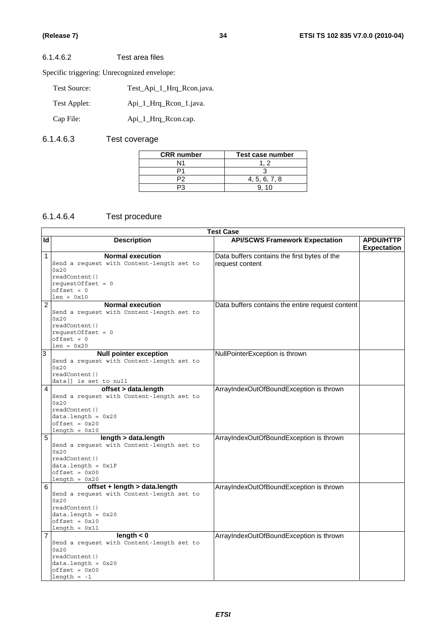#### 6.1.4.6.2 Test area files

Specific triggering: Unrecognized envelope:

| <b>Test Source:</b> | Test Api 1 Hrg Rcon.java. |
|---------------------|---------------------------|
| Test Applet:        | Api_1_Hrq_Rcon_1.java.    |
| Cap File:           | Api_1_Hrq_Rcon.cap.       |

### 6.1.4.6.3 Test coverage

| <b>CRR</b> number | Test case number |
|-------------------|------------------|
|                   |                  |
|                   |                  |
|                   | 4, 5, 6, 7, 8    |
|                   | 10               |

### 6.1.4.6.4 Test procedure

|                | <b>Test Case</b>                          |                                                  |                    |
|----------------|-------------------------------------------|--------------------------------------------------|--------------------|
| Id             | <b>Description</b>                        | <b>API/SCWS Framework Expectation</b>            | <b>APDU/HTTP</b>   |
|                |                                           |                                                  | <b>Expectation</b> |
| 1              | <b>Normal execution</b>                   | Data buffers contains the first bytes of the     |                    |
|                | Send a request with Content-length set to | request content                                  |                    |
|                | 0x20                                      |                                                  |                    |
|                | readContent()                             |                                                  |                    |
|                | requestOffset = $0$                       |                                                  |                    |
|                | $offset = 0$                              |                                                  |                    |
|                | $len = 0x10$                              |                                                  |                    |
| $\overline{2}$ | <b>Normal execution</b>                   | Data buffers contains the entire request content |                    |
|                | Send a request with Content-length set to |                                                  |                    |
|                | 0x20                                      |                                                  |                    |
|                | readContent()                             |                                                  |                    |
|                | requestOffset = $0$<br>$offset = 0$       |                                                  |                    |
|                | $len = 0x20$                              |                                                  |                    |
| 3              | <b>Null pointer exception</b>             | NullPointerException is thrown                   |                    |
|                | Send a request with Content-length set to |                                                  |                    |
|                | 0x20                                      |                                                  |                    |
|                | readContent()                             |                                                  |                    |
|                | data[] is set to null                     |                                                  |                    |
| 4              | offset > data.length                      | ArrayIndexOutOfBoundException is thrown          |                    |
|                | Send a request with Content-length set to |                                                  |                    |
|                | 0x20                                      |                                                  |                    |
|                | readContent()                             |                                                  |                    |
|                | $data.length = 0x20$                      |                                                  |                    |
|                | $offset = 0x20$                           |                                                  |                    |
|                | $length = 0x10$                           |                                                  |                    |
| 5              | length > data.length                      | ArrayIndexOutOfBoundException is thrown          |                    |
|                | Send a request with Content-length set to |                                                  |                    |
|                | 0x20                                      |                                                  |                    |
|                | readContent()<br>$data.length = 0x1F$     |                                                  |                    |
|                | $offset = 0x00$                           |                                                  |                    |
|                | $length = 0x20$                           |                                                  |                    |
| 6              | offset + length > data.length             | ArrayIndexOutOfBoundException is thrown          |                    |
|                | Send a request with Content-length set to |                                                  |                    |
|                | 0x20                                      |                                                  |                    |
|                | readContent()                             |                                                  |                    |
|                | $data.length = 0x20$                      |                                                  |                    |
|                | $offset = 0x10$                           |                                                  |                    |
|                | $length = 0x11$                           |                                                  |                    |
| 7              | length $< 0$                              | ArrayIndexOutOfBoundException is thrown          |                    |
|                | Send a request with Content-length set to |                                                  |                    |
|                | 0x20                                      |                                                  |                    |
|                | readContent()                             |                                                  |                    |
|                | $data.length = 0x20$                      |                                                  |                    |
|                | $offset = 0x00$<br>$length = -1$          |                                                  |                    |
|                |                                           |                                                  |                    |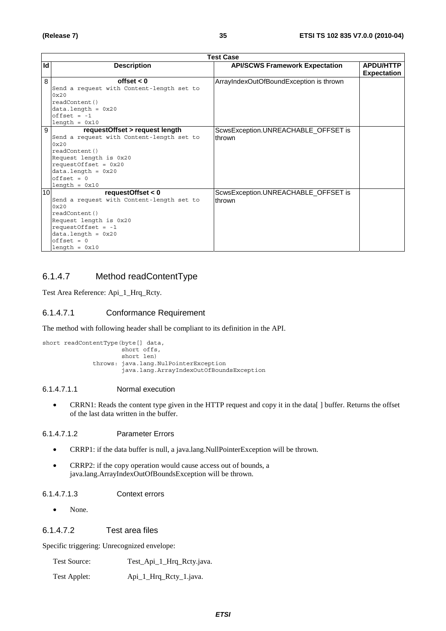|    | <b>Test Case</b>                          |                                         |                    |
|----|-------------------------------------------|-----------------------------------------|--------------------|
| Id | <b>Description</b>                        | <b>API/SCWS Framework Expectation</b>   | <b>APDU/HTTP</b>   |
|    |                                           |                                         | <b>Expectation</b> |
| 8  | offset $< 0$                              | ArrayIndexOutOfBoundException is thrown |                    |
|    | Send a request with Content-length set to |                                         |                    |
|    | 0x20                                      |                                         |                    |
|    | readContent()                             |                                         |                    |
|    | $data.length = 0x20$                      |                                         |                    |
|    | $offset = -1$                             |                                         |                    |
|    | $length = 0x10$                           |                                         |                    |
| 9  | requestOffset > request length            | ScwsException.UNREACHABLE_OFFSET is     |                    |
|    | Send a request with Content-length set to | thrown                                  |                    |
|    | 0x20                                      |                                         |                    |
|    | readContent()                             |                                         |                    |
|    | Request length is 0x20                    |                                         |                    |
|    | requestOffset = $0x20$                    |                                         |                    |
|    | $data.length = 0x20$                      |                                         |                    |
|    | $offset = 0$                              |                                         |                    |
|    | $length = 0x10$                           |                                         |                    |
| 10 | requestOffset $< 0$                       | ScwsException.UNREACHABLE OFFSET is     |                    |
|    | Send a request with Content-length set to | thrown                                  |                    |
|    | 0x20                                      |                                         |                    |
|    | readContent()                             |                                         |                    |
|    | Request length is 0x20                    |                                         |                    |
|    | requestOffset = $-1$                      |                                         |                    |
|    | $data.length = 0x20$                      |                                         |                    |
|    | $offset = 0$                              |                                         |                    |
|    | $length = 0x10$                           |                                         |                    |

### 6.1.4.7 Method readContentType

Test Area Reference: Api\_1\_Hrq\_Rcty.

#### 6.1.4.7.1 Conformance Requirement

The method with following header shall be compliant to its definition in the API.

```
short readContentType(byte[] data, 
 short offs, 
 short len) 
            throws: java.lang.NulPointerException 
                   java.lang.ArrayIndexOutOfBoundsException
```
#### 6.1.4.7.1.1 Normal execution

• CRRN1: Reads the content type given in the HTTP request and copy it in the data[ ] buffer. Returns the offset of the last data written in the buffer.

#### 6.1.4.7.1.2 Parameter Errors

- CRRP1: if the data buffer is null, a java.lang.NullPointerException will be thrown.
- CRRP2: if the copy operation would cause access out of bounds, a java.lang.ArrayIndexOutOfBoundsException will be thrown.

#### 6.1.4.7.1.3 Context errors

• None.

#### 6.1.4.7.2 Test area files

Specific triggering: Unrecognized envelope:

| Test Source: | Test_Api_1_Hrq_Rcty.java. |
|--------------|---------------------------|
|--------------|---------------------------|

Test Applet: Api\_1\_Hrq\_Rcty\_1.java.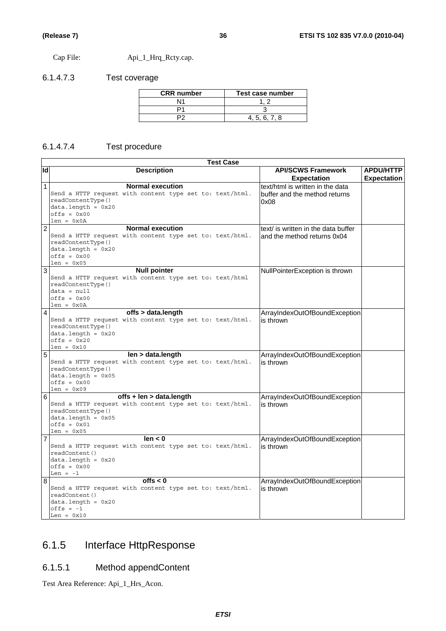Cap File: Api\_1\_Hrq\_Rcty.cap.

### 6.1.4.7.3 Test coverage

| <b>CRR</b> number | Test case number |
|-------------------|------------------|
| Ν1                |                  |
|                   |                  |
|                   | 4.5.6.7.8        |

### 6.1.4.7.4 Test procedure

|                | <b>Test Case</b>                                                                                                                                                               |                                                                           |                                        |  |  |
|----------------|--------------------------------------------------------------------------------------------------------------------------------------------------------------------------------|---------------------------------------------------------------------------|----------------------------------------|--|--|
| Id             | <b>Description</b>                                                                                                                                                             | <b>API/SCWS Framework</b><br><b>Expectation</b>                           | <b>APDU/HTTP</b><br><b>Expectation</b> |  |  |
| 1              | <b>Normal execution</b><br>Send a HTTP request with content type set to: text/html.<br>readContentType()<br>$data.length = 0x20$<br>$offsets = 0x00$<br>$len = 0x0A$           | text/html is written in the data<br>buffer and the method returns<br>0x08 |                                        |  |  |
| $\overline{2}$ | <b>Normal execution</b><br>Send a HTTP request with content type set to: text/html.<br>readContentType()<br>$data.length = 0x20$<br>$offs = 0x00$<br>$len = 0x05$              | text/ is written in the data buffer<br>and the method returns 0x04        |                                        |  |  |
| 3<br>4         | <b>Null pointer</b><br>Send a HTTP request with content type set to: text/html<br>readContentType()<br>$data = null$<br>$offsets = 0x00$<br>$len = 0x0A$<br>offs > data.length | NullPointerException is thrown                                            |                                        |  |  |
|                | Send a HTTP request with content type set to: text/html.<br>readContentType()<br>$data.length = 0x20$<br>$offset = 0x20$<br>$len = 0x10$                                       | ArrayIndexOutOfBoundException<br>is thrown                                |                                        |  |  |
| 5              | len > data.length<br>Send a HTTP request with content type set to: text/html.<br>readContentType()<br>$data.length = 0x05$<br>$offsets = 0x00$<br>$len = 0x09$                 | ArrayIndexOutOfBoundException<br>is thrown                                |                                        |  |  |
| 6              | $offs + len > data.length$<br>Send a HTTP request with content type set to: text/html.<br>readContentType()<br>$data.length = 0x05$<br>$offset = 0x01$<br>$len = 0x05$         | ArrayIndexOutOfBoundException<br>is thrown                                |                                        |  |  |
| 7              | len < 0<br>Send a HTTP request with content type set to: text/html.<br>readContent()<br>$data.length = 0x20$<br>$offset = 0x00$<br>Len = $-1$                                  | ArrayIndexOutOfBoundException<br>is thrown                                |                                        |  |  |
| 8              | offs $< 0$<br>Send a HTTP request with content type set to: text/html.<br>readContent()<br>$data.length = 0x20$<br>$offs = -1$<br>Len = $0x10$                                 | ArrayIndexOutOfBoundException<br>is thrown                                |                                        |  |  |

# 6.1.5 Interface HttpResponse

## 6.1.5.1 Method appendContent

Test Area Reference: Api\_1\_Hrs\_Acon.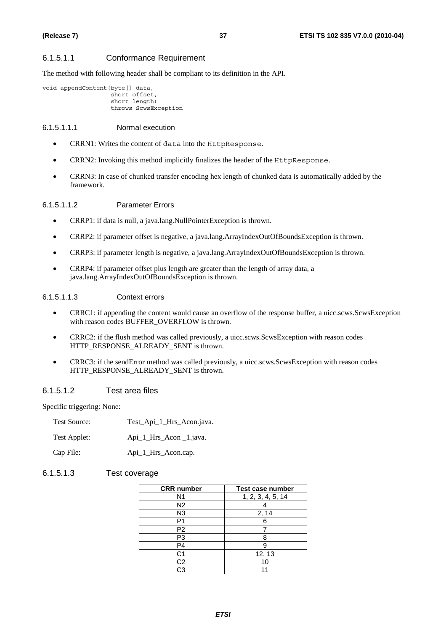#### 6.1.5.1.1 Conformance Requirement

The method with following header shall be compliant to its definition in the API.

```
void appendContent(byte[] data, 
          short offset, 
          short length) 
          throws ScwsException
```
## 6.1.5.1.1.1 Normal execution

- CRRN1: Writes the content of data into the HttpResponse.
- CRRN2: Invoking this method implicitly finalizes the header of the HttpResponse.
- CRRN3: In case of chunked transfer encoding hex length of chunked data is automatically added by the framework.

### 6.1.5.1.1.2 Parameter Errors

- CRRP1: if data is null, a java.lang.NullPointerException is thrown.
- CRRP2: if parameter offset is negative, a java.lang.ArrayIndexOutOfBoundsException is thrown.
- CRRP3: if parameter length is negative, a java.lang.ArrayIndexOutOfBoundsException is thrown.
- CRRP4: if parameter offset plus length are greater than the length of array data, a java.lang.ArrayIndexOutOfBoundsException is thrown.

#### 6.1.5.1.1.3 Context errors

- CRRC1: if appending the content would cause an overflow of the response buffer, a uicc.scws.ScwsException with reason codes BUFFER\_OVERFLOW is thrown.
- CRRC2: if the flush method was called previously, a uicc.scws.ScwsException with reason codes HTTP\_RESPONSE\_ALREADY\_SENT is thrown.
- CRRC3: if the sendError method was called previously, a uicc.scws.ScwsException with reason codes HTTP\_RESPONSE\_ALREADY\_SENT is thrown.

#### 6.1.5.1.2 Test area files

Specific triggering: None:

| <b>Test Source:</b> | Test_Api_1_Hrs_Acon.java. |
|---------------------|---------------------------|
| Test Applet:        | Api_1_Hrs_Acon _1.java.   |
| Cap File:           | Api_1_Hrs_Acon.cap.       |

#### 6.1.5.1.3 Test coverage

| <b>CRR</b> number | <b>Test case number</b> |
|-------------------|-------------------------|
| N <sub>1</sub>    | 1, 2, 3, 4, 5, 14       |
| N <sub>2</sub>    |                         |
| N <sub>3</sub>    | 2, 14                   |
| P1                | 6                       |
| P <sub>2</sub>    |                         |
| P3                | 8                       |
| P4                | g                       |
| C <sub>1</sub>    | 12, 13                  |
| C <sub>2</sub>    | 10                      |
| ۲.3               |                         |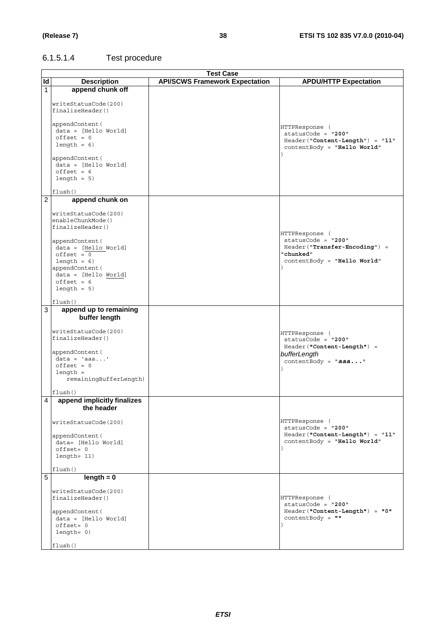# 6.1.5.1.4 Test procedure

|                |                                          | <b>Test Case</b>                      |                                      |
|----------------|------------------------------------------|---------------------------------------|--------------------------------------|
| Id             | <b>Description</b>                       | <b>API/SCWS Framework Expectation</b> | <b>APDU/HTTP Expectation</b>         |
| 1              | append chunk off                         |                                       |                                      |
|                |                                          |                                       |                                      |
|                | writeStatusCode(200)                     |                                       |                                      |
|                | finalizeHeader()                         |                                       |                                      |
|                |                                          |                                       |                                      |
|                | appendContent (                          |                                       | HTTPResponse (                       |
|                | $data = [Hello World]$                   |                                       | $statusCode = "200"$                 |
|                | $offset = 0$                             |                                       | Header("Content-Length") = "11"      |
|                | length = $6)$                            |                                       | contentBody = "Hello World"          |
|                |                                          |                                       |                                      |
|                | appendContent(<br>$data = [Hello World]$ |                                       |                                      |
|                | $offset = 6$                             |                                       |                                      |
|                | $length = 5$                             |                                       |                                      |
|                |                                          |                                       |                                      |
|                | flush()                                  |                                       |                                      |
| $\overline{2}$ | append chunk on                          |                                       |                                      |
|                |                                          |                                       |                                      |
|                | writeStatusCode(200)                     |                                       |                                      |
|                | enableChunkMode()                        |                                       |                                      |
|                | finalizeHeader()                         |                                       |                                      |
|                |                                          |                                       | HTTPResponse (                       |
|                | appendContent (                          |                                       | $statusCode = "200"$                 |
|                | data = [Hello World]                     |                                       | Header("Transfer-Encoding") =        |
|                | $offset = 0$                             |                                       | "chunked"                            |
|                | length = $6)$                            |                                       | contentBody = "Hello World"          |
|                | appendContent (                          |                                       |                                      |
|                | data = [Hello World]<br>$offset = 6$     |                                       |                                      |
|                |                                          |                                       |                                      |
|                | $length = 5$                             |                                       |                                      |
|                | flush()                                  |                                       |                                      |
| 3              | append up to remaining                   |                                       |                                      |
|                | buffer length                            |                                       |                                      |
|                |                                          |                                       |                                      |
|                | writeStatusCode(200)                     |                                       |                                      |
|                | finalizeHeader()                         |                                       | HTTPResponse (<br>statusCode = "200" |
|                |                                          |                                       | Header("Content-Length") =           |
|                | appendContent(                           |                                       | bufferLength                         |
|                | $data = 'aaa'$                           |                                       | contentBody = $"aaa"$                |
|                | $offset = 0$                             |                                       |                                      |
|                | $length =$                               |                                       |                                      |
|                | remainingBufferLength)                   |                                       |                                      |
|                |                                          |                                       |                                      |
|                | flush()                                  |                                       |                                      |
| 4              | append implicitly finalizes              |                                       |                                      |
|                | the neader                               |                                       |                                      |
|                |                                          |                                       | HTTPResponse (                       |
|                | writeStatusCode(200)                     |                                       | statusCode = $"200"$                 |
|                | appendContent (                          |                                       | Header("Content-Length") = "11"      |
|                | data= [Hello World]                      |                                       | contentBody = "Hello World"          |
|                | $offset = 0$                             |                                       |                                      |
|                | length= 11)                              |                                       |                                      |
|                |                                          |                                       |                                      |
|                | flush()                                  |                                       |                                      |
| 5              | $length = 0$                             |                                       |                                      |
|                |                                          |                                       |                                      |
|                | writeStatusCode(200)                     |                                       |                                      |
|                | finalizeHeader()                         |                                       | HTTPResponse (                       |
|                |                                          |                                       | statusCode = "200"                   |
|                | appendContent (                          |                                       | Header("Content-Length") = "0"       |
|                | $data = [Hello World]$                   |                                       | $contentBody = " "$                  |
|                | $offset = 0$                             |                                       |                                      |
|                | $length = 0)$                            |                                       |                                      |
|                | flush()                                  |                                       |                                      |
|                |                                          |                                       |                                      |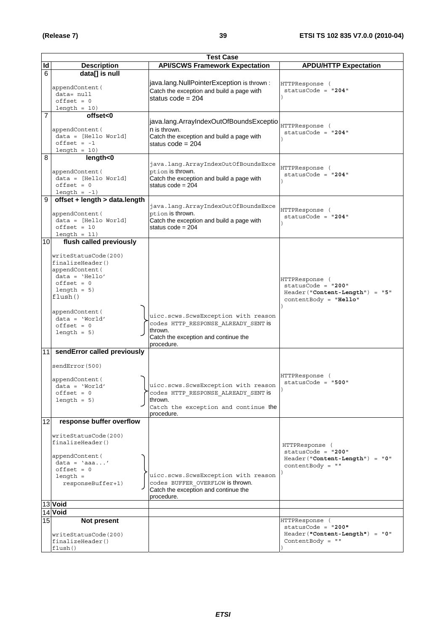|    | <b>Test Case</b>                                                                                                                                                                                  |                                                                                                                                             |                                                                                                       |  |
|----|---------------------------------------------------------------------------------------------------------------------------------------------------------------------------------------------------|---------------------------------------------------------------------------------------------------------------------------------------------|-------------------------------------------------------------------------------------------------------|--|
| ld | <b>Description</b>                                                                                                                                                                                | <b>API/SCWS Framework Expectation</b>                                                                                                       | <b>APDU/HTTP Expectation</b>                                                                          |  |
| 6  | data[] is null                                                                                                                                                                                    |                                                                                                                                             |                                                                                                       |  |
|    | appendContent (<br>data= null<br>$offset = 0$<br>$length = 10$                                                                                                                                    | java.lang.NullPointerException is thrown :<br>Catch the exception and build a page with<br>status $code = 204$                              | HTTPResponse (<br>$statusCode = "204"$                                                                |  |
| 7  | offset<0                                                                                                                                                                                          |                                                                                                                                             |                                                                                                       |  |
|    | appendContent (<br>$data = [Hello World]$<br>$offset = -1$<br>$length = 10$                                                                                                                       | java.lang.ArrayIndexOutOfBoundsExceptio<br>n is thrown.<br>Catch the exception and build a page with<br>status $code = 204$                 | HTTPResponse (<br>$statusCode = "204"$                                                                |  |
| 8  | length<0                                                                                                                                                                                          |                                                                                                                                             |                                                                                                       |  |
|    | appendContent (<br>$data = [Hello World]$<br>$offset = 0$<br>$length = -1$                                                                                                                        | java.lang.ArrayIndexOutOfBoundsExce<br>ption is thrown.<br>Catch the exception and build a page with<br>status $code = 204$                 | HTTPResponse (<br>$statusCode = "204"$                                                                |  |
| 9  | offset + length > data.length                                                                                                                                                                     |                                                                                                                                             |                                                                                                       |  |
|    | appendContent (<br>$data = [Hello World]$<br>$offset = 10$<br>$length = 11$                                                                                                                       | java.lang.ArrayIndexOutOfBoundsExce<br>ption is thrown.<br>Catch the exception and build a page with<br>status $code = 204$                 | HTTPResponse (<br>statusCode = $"204"$                                                                |  |
| 10 | flush called previously                                                                                                                                                                           |                                                                                                                                             |                                                                                                       |  |
|    | writeStatusCode(200)<br>finalizeHeader()<br>appendContent (<br>$data = 'Hello'$<br>$offset = 0$<br>$length = 5$<br>flush()<br>appendContent (<br>$data = 'World'$<br>$offset = 0$<br>$length = 5$ | uicc.scws.ScwsException with reason<br>codes HTTP RESPONSE ALREADY SENT is<br>thrown.<br>Catch the exception and continue the<br>procedure. | HTTPResponse (<br>$statusCode = "200"$<br>$Header("Content-Length") = "5"$<br>$contentBody = "Hello"$ |  |
| 11 | sendError called previously                                                                                                                                                                       |                                                                                                                                             |                                                                                                       |  |
|    | sendError(500)<br>appendContent (<br>$data = 'World'$<br>$offset = 0$<br>$length = 5$                                                                                                             | uicc.scws.ScwsException with reason<br>codes HTTP RESPONSE ALREADY SENT is<br>thrown.<br>Catch the exception and continue the<br>procedure. | HTTPResponse (<br>$statusCode = "500"$                                                                |  |
| 12 | response buffer overflow                                                                                                                                                                          |                                                                                                                                             |                                                                                                       |  |
|    | writeStatusCode(200)<br>finalizeHeader()                                                                                                                                                          |                                                                                                                                             | HTTPResponse (<br>$statusCode = "200"$                                                                |  |
|    | appendContent (<br>$data = 'aaa'$<br>$offset = 0$<br>$length =$<br>responseBuffer+1)                                                                                                              | uicc.scws.ScwsException with reason<br>codes BUFFER OVERFLOW is thrown.<br>Catch the exception and continue the<br>procedure.               | Header("Content-Length") = "0"<br>contentBody = $" "$                                                 |  |
|    | 13 Void                                                                                                                                                                                           |                                                                                                                                             |                                                                                                       |  |
|    | 14 Void                                                                                                                                                                                           |                                                                                                                                             |                                                                                                       |  |
| 15 | Not present<br>writeStatusCode(200)<br>finalizeHeader()<br>flush()                                                                                                                                |                                                                                                                                             | HTTPResponse (<br>$statusCode = "200"$<br>Header("Content-Length") = "0"<br>ContentBody = $"$         |  |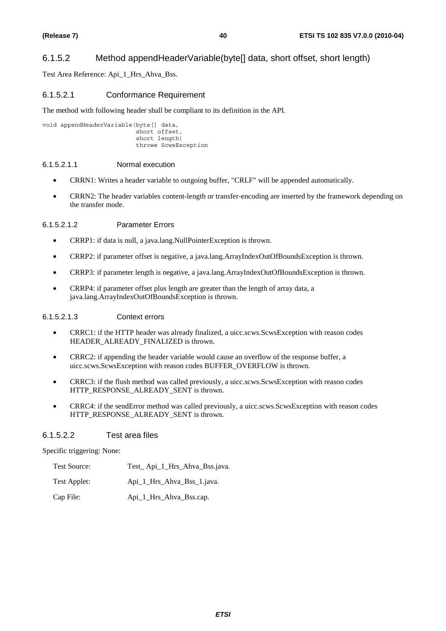## 6.1.5.2 Method appendHeaderVariable(byte[] data, short offset, short length)

Test Area Reference: Api\_1\_Hrs\_Ahva\_Bss.

## 6.1.5.2.1 Conformance Requirement

The method with following header shall be compliant to its definition in the API.

void appendHeaderVariable(byte[] data, short offset, short length) throws ScwsException

### 6.1.5.2.1.1 Normal execution

- CRRN1: Writes a header variable to outgoing buffer, "CRLF" will be appended automatically.
- CRRN2: The header variables content-length or transfer-encoding are inserted by the framework depending on the transfer mode.

## 6.1.5.2.1.2 Parameter Errors

- CRRP1: if data is null, a java.lang.NullPointerException is thrown.
- CRRP2: if parameter offset is negative, a java.lang.ArrayIndexOutOfBoundsException is thrown.
- CRRP3: if parameter length is negative, a java.lang.ArrayIndexOutOfBoundsException is thrown.
- CRRP4: if parameter offset plus length are greater than the length of array data, a java.lang.ArrayIndexOutOfBoundsException is thrown.

## 6.1.5.2.1.3 Context errors

- CRRC1: if the HTTP header was already finalized, a uicc.scws.ScwsException with reason codes HEADER\_ALREADY\_FINALIZED is thrown.
- CRRC2: if appending the header variable would cause an overflow of the response buffer, a uicc.scws.ScwsException with reason codes BUFFER\_OVERFLOW is thrown.
- CRRC3: if the flush method was called previously, a uicc.scws.ScwsException with reason codes HTTP\_RESPONSE\_ALREADY\_SENT is thrown.
- CRRC4: if the sendError method was called previously, a uicc.scws.ScwsException with reason codes HTTP\_RESPONSE\_ALREADY\_SENT is thrown.

## 6.1.5.2.2 Test area files

Specific triggering: None:

| Test Source: | Test_Api_1_Hrs_Ahva_Bss.java. |  |
|--------------|-------------------------------|--|
|--------------|-------------------------------|--|

Test Applet: Api\_1\_Hrs\_Ahva\_Bss\_1.java.

Cap File: Api\_1\_Hrs\_Ahva\_Bss.cap.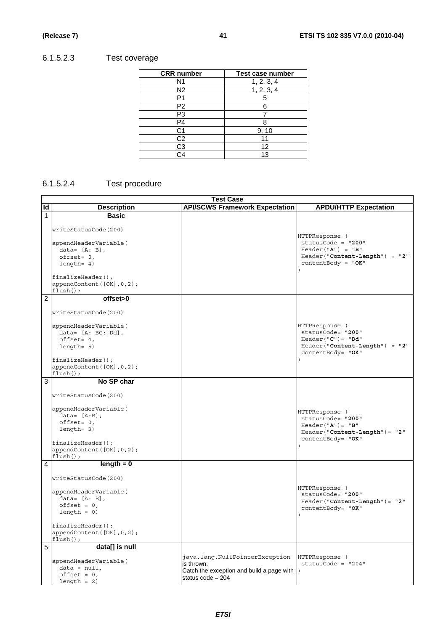# 6.1.5.2.3 Test coverage

| <b>CRR</b> number | Test case number |
|-------------------|------------------|
| N <sub>1</sub>    | 1, 2, 3, 4       |
| N2                | 1, 2, 3, 4       |
| P <sub>1</sub>    | 5                |
| P2                |                  |
| P3                |                  |
| P4                |                  |
| C1                | 9, 10            |
| C2                |                  |
| C <sub>3</sub>    | 12               |
| ≏⊿                | 13               |

# 6.1.5.2.4 Test procedure

|                | <b>Test Case</b>                                                                                                                                                                               |                                                                                                                     |                                                                                                                                  |
|----------------|------------------------------------------------------------------------------------------------------------------------------------------------------------------------------------------------|---------------------------------------------------------------------------------------------------------------------|----------------------------------------------------------------------------------------------------------------------------------|
| Id             | <b>Description</b>                                                                                                                                                                             | <b>API/SCWS Framework Expectation</b>                                                                               | <b>APDU/HTTP Expectation</b>                                                                                                     |
| $\mathbf{1}$   | <b>Basic</b><br>writeStatusCode(200)<br>appendHeaderVariable(<br>$data = [A: B],$<br>$offset = 0,$<br>$l$ ength= 4)<br>$finalizeHeader()$ ;<br>appendContent([OK], 0, 2);<br>$flush()$ ;       |                                                                                                                     | HTTPResponse (<br>statusCode = "200"<br>$\texttt{Header}("A") = "B"$<br>$Header("Content-Length") = "2"$<br>$contentBody = "OK"$ |
| $\overline{2}$ | offset>0<br>writeStatusCode(200)<br>appendHeaderVariable(<br>$data = [A: BC: Dd],$<br>$offset = 4,$<br>$l$ ength= $5)$<br>finalizeHeader();<br>appendContent([OK], 0, 2);<br>$flush()$ ;       |                                                                                                                     | HTTPResponse (<br>statusCode= "200"<br>$Header("C") = "Dd"$<br>$Header("Content-Length") = "2"$<br>contentBody= "OK"             |
| 3              | No SP char<br>writeStatusCode(200)<br>appendHeaderVariable(<br>$data = [A:B]$ ,<br>$offset = 0,$<br>$l$ enqth= $3)$<br>finalizeHeader();<br>appendContent([OK], 0, 2);<br>$\texttt{flush}()$ ; |                                                                                                                     | HTTPResponse (<br>statusCode= "200"<br>$Header("A") = "B"$<br>Header ("Content-Length") = "2"<br>contentBody= "OK"<br>$\lambda$  |
| $\overline{4}$ | $length = 0$<br>writeStatusCode(200)<br>appendHeaderVariable(<br>$data = [A: B],$<br>$offset = 0,$<br>$length = 0$<br>$finalizeHeader()$ ;<br>appendContent([OK], 0, 2);<br>$flush()$ ;        |                                                                                                                     | HTTPResponse (<br>statusCode= "200"<br>$Header("Content-Length") = "2"$<br>contentBody= "OK"                                     |
| 5              | data[] is null<br>appendHeaderVariable(<br>$data = null,$<br>$offset = 0,$<br>$length = 2)$                                                                                                    | java.lang.NullPointerException<br>is thrown.<br>Catch the exception and build a page with  )<br>status $code = 204$ | HTTPResponse (<br>$statusCode = "204"$                                                                                           |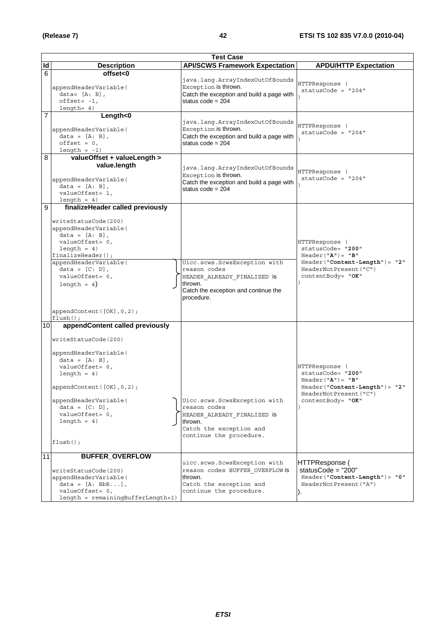|                 | <b>Test Case</b>                                                                                                                                                                                                                                                                                  |                                                                                                                                              |                                                                                                                                               |  |
|-----------------|---------------------------------------------------------------------------------------------------------------------------------------------------------------------------------------------------------------------------------------------------------------------------------------------------|----------------------------------------------------------------------------------------------------------------------------------------------|-----------------------------------------------------------------------------------------------------------------------------------------------|--|
| Id              | <b>Description</b>                                                                                                                                                                                                                                                                                | <b>API/SCWS Framework Expectation</b>                                                                                                        | <b>APDU/HTTP Expectation</b>                                                                                                                  |  |
| 6               | offset<0<br>appendHeaderVariable(<br>$data = [A: B],$<br>$offset = -1,$<br>$length= 4)$                                                                                                                                                                                                           | java.lang.ArrayIndexOutOfBounds<br>Exception is thrown.<br>Catch the exception and build a page with<br>status code = $204$                  | HTTPResponse (<br>$statusCode = "204"$                                                                                                        |  |
| $\overline{7}$  | Length<0<br>appendHeaderVariable(<br>$data = [A: B],$<br>$offset = 0,$<br>$length = -1)$                                                                                                                                                                                                          | java.lang.ArrayIndexOutOfBounds<br>Exception is thrown.<br>Catch the exception and build a page with<br>status $code = 204$                  | HTTPResponse (<br>$statusCode = "204"$                                                                                                        |  |
| 8               | valueOffset + valueLength ><br>value.length<br>appendHeaderVariable(<br>$data = [A: B],$<br>valueOffset= 1,<br>$length = 4)$                                                                                                                                                                      | java.lang.ArrayIndexOutOfBounds<br>Exception is thrown.<br>Catch the exception and build a page with<br>status $code = 204$                  | HTTPResponse (<br>statusCode = $"204"$                                                                                                        |  |
| 9               | finalizeHeader called previously<br>writeStatusCode(200)<br>appendHeaderVariable(<br>data = $[A: B]$ ,<br>valueOffset= 0,<br>length = $4)$<br>$finalizeHeader()$ ;<br>appendHeaderVariable(<br>$data = [C: D],$<br>valueOffset= 0,<br>length = $4$ )<br>appendContent([OK], 0, 2);<br>$flush()$ ; | Uicc.scws.ScwsException with<br>reason codes<br>HEADER ALREADY FINALIZED is<br>thrown.<br>Catch the exception and continue the<br>procedure. | HTTPResponse (<br>statusCode= "200"<br>$Header("A") = "B"$<br>$Header('Content-Length") = "2"$<br>HeaderNotPresent ("C")<br>contentBody= "OK" |  |
| 10 <sup>1</sup> | appendContent called previously<br>writeStatusCode(200)<br>appendHeaderVariable(<br>$data = [A: B],$<br>valueOffset= 0,<br>$l$ ength = 4)<br>appendContent ([OK], 0, 2);<br>appendHeaderVariable(<br>$data = [C: D],$<br>valueOffset= 0,<br>$length = 4)$<br>$flush()$ ;                          | Uicc.scws.ScwsException with<br>reason codes<br>HEADER ALREADY FINALIZED is<br>thrown.<br>Catch the exception and<br>continue the procedure. | HTTPResponse (<br>statusCode= "200"<br>$Header("A") = "B"$<br>$Header('Content-Length") = "2"$<br>HeaderNotPresent ("C")<br>contentBody= "OK" |  |
| 11              | <b>BUFFER_OVERFLOW</b><br>writeStatusCode(200)<br>appendHeaderVariable(<br>data = $[A: BbB]$ ,<br>valueOffset= 0,<br>$length = remainingBufferLength+1)$                                                                                                                                          | uicc.scws.ScwsException with<br>reason codes BUFFER OVERFLOW is<br>thrown.<br>Catch the exception and<br>continue the procedure.             | HTTPResponse (<br>statusCode = $"200"$<br>$Header('Content-Length") = "0"$<br>HeaderNotPresent ("A")                                          |  |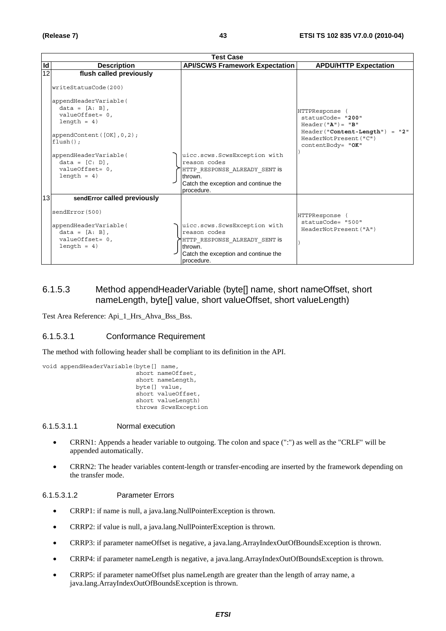|                 | <b>Test Case</b>                                                                                                                                                                                                                                                       |                                                                                                                                                |                                                                                                                                             |  |
|-----------------|------------------------------------------------------------------------------------------------------------------------------------------------------------------------------------------------------------------------------------------------------------------------|------------------------------------------------------------------------------------------------------------------------------------------------|---------------------------------------------------------------------------------------------------------------------------------------------|--|
| Id              | <b>Description</b>                                                                                                                                                                                                                                                     | <b>API/SCWS Framework Expectation</b>                                                                                                          | <b>APDU/HTTP Expectation</b>                                                                                                                |  |
| $\overline{12}$ | flush called previously<br>writeStatusCode(200)<br>appendHeaderVariable(<br>$data = [A: B],$<br>$valueOffset = 0,$<br>$length = 4)$<br>appendContent $([OK], 0, 2)$ ;<br>$flush()$ :<br>appendHeaderVariable(<br>$data = [C: D],$<br>valueOffset= 0,<br>$l$ ength = 4) | uicc.scws.ScwsException with<br>reason codes<br>HTTP RESPONSE ALREADY SENT IS<br>thrown.<br>Catch the exception and continue the               | HTTPResponse<br>statusCode= "200"<br>$Header("A") = "B"$<br>$Header("Content-Length") = "2"$<br>HeaderNotPresent ("C")<br>contentBody= "OK" |  |
| 13              | sendError called previously                                                                                                                                                                                                                                            | procedure.                                                                                                                                     |                                                                                                                                             |  |
|                 | sendError (500)<br>appendHeaderVariable(<br>$data = [A: B],$<br>$valueOffset = 0,$<br>$l$ ength = 4)                                                                                                                                                                   | uicc.scws.ScwsException with<br>reason codes<br>HTTP RESPONSE ALREADY SENT IS<br>thrown.<br>Catch the exception and continue the<br>procedure. | HTTPResponse<br>statusCode= "500"<br>HeaderNotPresent ("A")                                                                                 |  |

## 6.1.5.3 Method appendHeaderVariable (byte[] name, short nameOffset, short nameLength, byte[] value, short valueOffset, short valueLength)

Test Area Reference: Api\_1\_Hrs\_Ahva\_Bss\_Bss.

### 6.1.5.3.1 Conformance Requirement

The method with following header shall be compliant to its definition in the API.

```
void appendHeaderVariable(byte[] name, 
                  short nameOffset, 
                  short nameLength, 
                  byte[] value, 
                  short valueOffset, 
                  short valueLength) 
                  throws ScwsException
```
6.1.5.3.1.1 Normal execution

- CRRN1: Appends a header variable to outgoing. The colon and space (":") as well as the "CRLF" will be appended automatically.
- CRRN2: The header variables content-length or transfer-encoding are inserted by the framework depending on the transfer mode.

#### 6.1.5.3.1.2 Parameter Errors

- CRRP1: if name is null, a java.lang.NullPointerException is thrown.
- CRRP2: if value is null, a java.lang.NullPointerException is thrown.
- CRRP3: if parameter nameOffset is negative, a java.lang.ArrayIndexOutOfBoundsException is thrown.
- CRRP4: if parameter nameLength is negative, a java.lang.ArrayIndexOutOfBoundsException is thrown.
- CRRP5: if parameter nameOffset plus nameLength are greater than the length of array name, a java.lang.ArrayIndexOutOfBoundsException is thrown.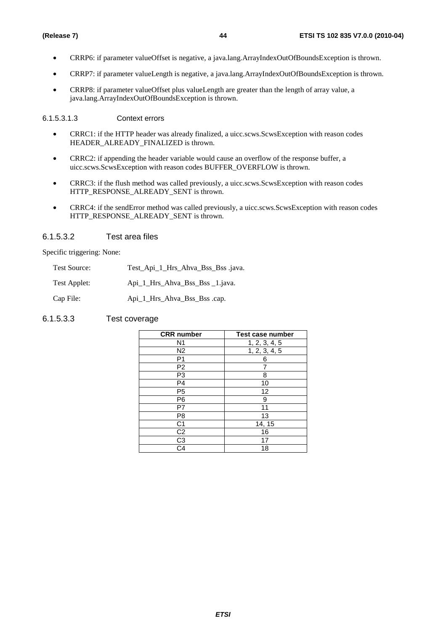- CRRP6: if parameter valueOffset is negative, a java.lang.ArrayIndexOutOfBoundsException is thrown.
- CRRP7: if parameter valueLength is negative, a java.lang.ArrayIndexOutOfBoundsException is thrown.
- CRRP8: if parameter valueOffset plus valueLength are greater than the length of array value, a java.lang.ArrayIndexOutOfBoundsException is thrown.

#### 6.1.5.3.1.3 Context errors

- CRRC1: if the HTTP header was already finalized, a uicc.scws.ScwsException with reason codes HEADER\_ALREADY\_FINALIZED is thrown.
- CRRC2: if appending the header variable would cause an overflow of the response buffer, a uicc.scws.ScwsException with reason codes BUFFER\_OVERFLOW is thrown.
- CRRC3: if the flush method was called previously, a uicc.scws.ScwsException with reason codes HTTP\_RESPONSE\_ALREADY\_SENT is thrown.
- CRRC4: if the sendError method was called previously, a uicc.scws.ScwsException with reason codes HTTP\_RESPONSE\_ALREADY\_SENT is thrown.

## 6.1.5.3.2 Test area files

Specific triggering: None:

| Test Source: | Test_Api_1_Hrs_Ahva_Bss_Bss .java. |
|--------------|------------------------------------|
|--------------|------------------------------------|

Test Applet: Api\_1\_Hrs\_Ahva\_Bss\_Bss \_1.java.

Cap File: Api\_1\_Hrs\_Ahva\_Bss\_Bss .cap.

## 6.1.5.3.3 Test coverage

| <b>CRR</b> number      | <b>Test case number</b> |
|------------------------|-------------------------|
| N1                     | 1, 2, 3, 4, 5           |
| N <sub>2</sub>         | 1, 2, 3, 4, 5           |
| P1                     | 6                       |
| P <sub>2</sub>         |                         |
| P3                     | 8                       |
| P <sub>4</sub>         | 10                      |
| P <sub>5</sub>         | 12                      |
| P <sub>6</sub>         | 9                       |
| P7                     | 11                      |
| P <sub>8</sub>         | 13                      |
| C <sub>1</sub>         | 14, 15                  |
| $\overline{C2}$        | 16                      |
| C <sub>3</sub>         | 17                      |
| $\overline{\text{C4}}$ | 18                      |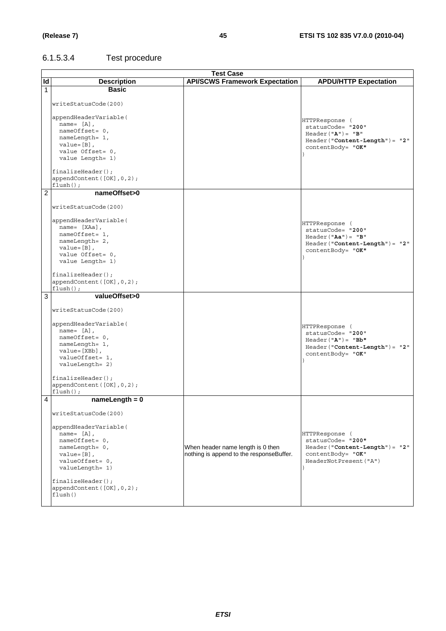$\overline{a}$ 

# 6.1.5.3.4 Test procedure

|                | <b>Test Case</b>                                                           |                                                                               |                                                                         |  |
|----------------|----------------------------------------------------------------------------|-------------------------------------------------------------------------------|-------------------------------------------------------------------------|--|
| ld             | <b>Description</b>                                                         | <b>API/SCWS Framework Expectation</b>                                         | <b>APDU/HTTP Expectation</b>                                            |  |
| $\mathbf{1}$   | <b>Basic</b>                                                               |                                                                               |                                                                         |  |
|                | writeStatusCode(200)                                                       |                                                                               |                                                                         |  |
|                | appendHeaderVariable(<br>name= $[A]$ ,<br>nameOffset= 0,                   |                                                                               | HTTPResponse (<br>statusCode= "200"<br>$Header("A") = "B"$              |  |
|                | nameLength= 1,<br>$value = [B]$ ,<br>value Offset= 0,                      |                                                                               | $\texttt{Header('{}"Content-Length"); = "2"}$<br>contentBody= "OK"      |  |
|                | value Length= 1)                                                           |                                                                               |                                                                         |  |
|                | $finalizeHeader()$ ;<br>appendContent ([OK], 0, 2);<br>$flush()$ ;         |                                                                               |                                                                         |  |
| $\overline{2}$ | nameOffset>0                                                               |                                                                               |                                                                         |  |
|                | writeStatusCode(200)                                                       |                                                                               |                                                                         |  |
|                | appendHeaderVariable(<br>$name = [XAa],$                                   |                                                                               | HTTPResponse (                                                          |  |
|                | nameOffset= 1,                                                             |                                                                               | statusCode= "200"<br>$Header('Aa") = "B"$                               |  |
|                | nameLength= 2,                                                             |                                                                               | $Header('Content-Length") = "2"$                                        |  |
|                | $value = [B]$ .                                                            |                                                                               | contentBody= "OK"                                                       |  |
|                | value Offset= 0,                                                           |                                                                               |                                                                         |  |
|                | value Length= 1)                                                           |                                                                               |                                                                         |  |
|                | $finalizeHeader()$ ;                                                       |                                                                               |                                                                         |  |
|                | appendContent ([OK], 0, 2);<br>$flush()$ ;                                 |                                                                               |                                                                         |  |
| 3              | valueOffset>0                                                              |                                                                               |                                                                         |  |
|                | writeStatusCode(200)                                                       |                                                                               |                                                                         |  |
|                | appendHeaderVariable(                                                      |                                                                               | HTTPResponse (                                                          |  |
|                | name= $[A]$ ,                                                              |                                                                               | statusCode= "200"                                                       |  |
|                | nameOffset= 0,                                                             |                                                                               | $Header('A") = "Bb"$                                                    |  |
|                | nameLength= 1,                                                             |                                                                               | $Header('Content-Length") = "2"$                                        |  |
|                | $value = [XBb]$ ,                                                          |                                                                               | contentBody= "OK"                                                       |  |
|                | valueOffset= 1,<br>valueLength= 2)                                         |                                                                               |                                                                         |  |
|                | $finalizeHeader()$ ;                                                       |                                                                               |                                                                         |  |
|                | appendContent ([OK], 0, 2);                                                |                                                                               |                                                                         |  |
|                | $flush()$ ;                                                                |                                                                               |                                                                         |  |
| 4              | $nameLength = 0$                                                           |                                                                               |                                                                         |  |
|                | writeStatusCode(200)                                                       |                                                                               |                                                                         |  |
|                | appendHeaderVariable(<br>name= $[A]$ ,<br>nameOffset= 0,<br>nameLength= 0, |                                                                               | HTTPResponse (<br>statusCode= "200"<br>$Header('Content-Length") = "2"$ |  |
|                | $value = [B]$ ,                                                            | When header name length is 0 then<br>nothing is append to the responseBuffer. | contentBody= "OK"                                                       |  |
|                | valueOffset= 0,                                                            |                                                                               | HeaderNotPresent ("A")                                                  |  |
|                | valueLength= 1)                                                            |                                                                               |                                                                         |  |
|                |                                                                            |                                                                               |                                                                         |  |
|                | finalizeHeader();                                                          |                                                                               |                                                                         |  |
|                | appendContent ([OK], 0, 2);                                                |                                                                               |                                                                         |  |
|                | flush()                                                                    |                                                                               |                                                                         |  |
|                |                                                                            |                                                                               |                                                                         |  |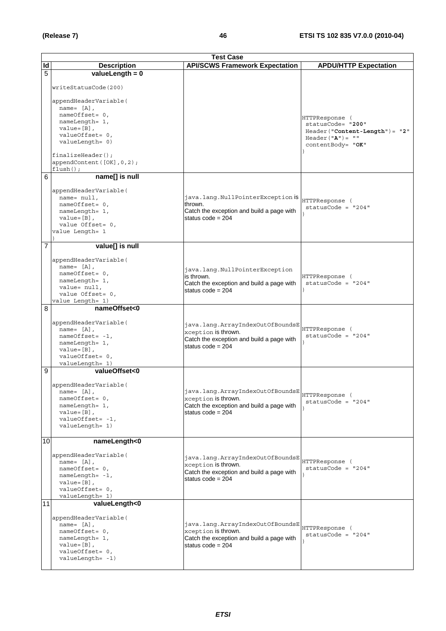|    | <b>Test Case</b>                                                                                                                                      |                                                                                                                             |                                                                                                                                           |
|----|-------------------------------------------------------------------------------------------------------------------------------------------------------|-----------------------------------------------------------------------------------------------------------------------------|-------------------------------------------------------------------------------------------------------------------------------------------|
| ld | <b>Description</b>                                                                                                                                    | <b>API/SCWS Framework Expectation</b>                                                                                       | <b>APDU/HTTP Expectation</b>                                                                                                              |
| 5  | valueLength = $0$                                                                                                                                     |                                                                                                                             |                                                                                                                                           |
|    | writeStatusCode(200)<br>appendHeaderVariable(<br>name= $[A]$ ,                                                                                        |                                                                                                                             |                                                                                                                                           |
|    | nameOffset= 0,<br>nameLength= 1,<br>$value = [B]$ ,<br>valueOffset= 0,<br>valueLength= 0)<br>$finalizeHeader()$ ;<br>appendContent([OK], 0, 2);       |                                                                                                                             | HTTPResponse (<br>statusCode= "200"<br>$Header('Content-Length") = "2"$<br>Header( $"\mathbf{A}"$ ) = $"\mathbf{""}$<br>contentBody= "OK" |
|    | $flush()$ ;                                                                                                                                           |                                                                                                                             |                                                                                                                                           |
| 6  | name[] is null                                                                                                                                        |                                                                                                                             |                                                                                                                                           |
|    | appendHeaderVariable(<br>$name = null$ ,<br>nameOffset= 0,<br>nameLength= 1,<br>$value = [B]$ ,<br>value Offset= 0,<br>value Length= 1                | java.lang.NullPointerException is<br>thrown.<br>Catch the exception and build a page with<br>status $code = 204$            | HTTPResponse (<br>$statusCode = "204"$                                                                                                    |
| 7  | value[] is null                                                                                                                                       |                                                                                                                             |                                                                                                                                           |
|    | appendHeaderVariable(<br>name= $[A]$ ,<br>nameOffset= 0,<br>nameLength= 1,<br>value= null,<br>value Offset= 0,<br>value Length= 1)                    | java.lang.NullPointerException<br>is thrown.<br>Catch the exception and build a page with<br>status $code = 204$            | HTTPResponse (<br>statusCode = $"204"$                                                                                                    |
| 8  | nameOffset<0                                                                                                                                          |                                                                                                                             |                                                                                                                                           |
|    | appendHeaderVariable(<br>name= $[A]$ ,<br>$nameOffset = -1$ ,<br>nameLength= 1,<br>$value = [B]$ ,<br>valueOffset= 0,<br>valueLength= 1)              | java.lang.ArrayIndexOutOfBoundsE<br>xception is thrown.<br>Catch the exception and build a page with<br>status $code = 204$ | HTTPResponse (<br>$statusCode = "204"$                                                                                                    |
| 9  | valueOffset<0                                                                                                                                         |                                                                                                                             |                                                                                                                                           |
|    | appendHeaderVariable(<br>name= $[A]$ ,<br>nameOffset= 0,<br>nameLength= 1,<br>$value = [B]$ ,<br>$valueOffset = -1,$<br>valueLength= 1)               | java.lang.ArrayIndexOutOfBoundsE<br>xception is thrown.<br>Catch the exception and build a page with<br>status $code = 204$ | HTTPResponse (<br>$statusCode = "204"$                                                                                                    |
| 10 | nameLength<0                                                                                                                                          |                                                                                                                             |                                                                                                                                           |
|    | appendHeaderVariable(<br>name= $[A]$ ,<br>nameOffset= 0,<br>nameLength= -1,<br>$value = [B]$ ,<br>valueOffset= 0,<br>valueLength= 1)                  | java.lang.ArrayIndexOutOfBoundsE<br>xception is thrown.<br>Catch the exception and build a page with<br>status $code = 204$ | HTTPResponse (<br>$statusCode = "204"$                                                                                                    |
| 11 | valueLength<0<br>appendHeaderVariable(<br>name= $[A]$ ,<br>nameOffset= 0,<br>nameLength= 1,<br>$value = [B]$ ,<br>valueOffset= 0,<br>valueLength= -1) | java.lang.ArrayIndexOutOfBoundsE<br>xception is thrown.<br>Catch the exception and build a page with<br>status $code = 204$ | HTTPResponse (<br>$statusCode = "204"$                                                                                                    |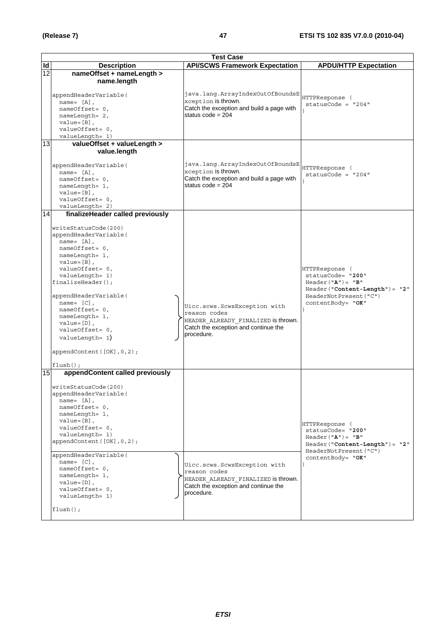|    | <b>Test Case</b>                                                                                                                                                                                                                                                                                                                                                                                                |                                                                                                                                           |                                                                                                                                               |  |
|----|-----------------------------------------------------------------------------------------------------------------------------------------------------------------------------------------------------------------------------------------------------------------------------------------------------------------------------------------------------------------------------------------------------------------|-------------------------------------------------------------------------------------------------------------------------------------------|-----------------------------------------------------------------------------------------------------------------------------------------------|--|
| ld | <b>Description</b>                                                                                                                                                                                                                                                                                                                                                                                              | <b>API/SCWS Framework Expectation</b>                                                                                                     | <b>APDU/HTTP Expectation</b>                                                                                                                  |  |
| 12 | nameOffset + nameLength ><br>name.length<br>appendHeaderVariable(<br>$name = [A],$<br>nameOffset= 0,<br>nameLength= 2,<br>$value = [B]$ ,<br>valueOffset= 0,<br>valueLength= 1)                                                                                                                                                                                                                                 | java.lang.ArrayIndexOutOfBoundsE<br>xception is thrown.<br>Catch the exception and build a page with<br>status $code = 204$               | HTTPResponse (<br>$statusCode = "204"$                                                                                                        |  |
| 13 | valueOffset + valueLength ><br>value.length<br>appendHeaderVariable(<br>name= $[A]$ ,<br>nameOffset= 0,<br>nameLength= 1,<br>$value = [B]$ ,<br>valueOffset= 0,<br>valueLength= 2)                                                                                                                                                                                                                              | java.lang.ArrayIndexOutOfBoundsE<br>xception is thrown.<br>Catch the exception and build a page with<br>status code = $204$               | HTTPResponse (<br>$statusCode = "204"$                                                                                                        |  |
| 14 | finalizeHeader called previously<br>writeStatusCode(200)<br>appendHeaderVariable(<br>$name = [A]$ ,<br>nameOffset= 0,<br>nameLength= 1,<br>$value = [B]$ ,<br>valueOffset= 0,<br>valueLength= 1)<br>$finalizeHeader()$ ;<br>appendHeaderVariable(<br>name= $[C]$ ,<br>nameOffset= 0,<br>nameLength= 1,<br>$value = [D]$ ,<br>valueOffset= 0,<br>$valueLength = 1)$<br>appendContent([OK], 0, 2);<br>$flush()$ ; | Uicc.scws.ScwsException with<br>reason codes<br>HEADER ALREADY FINALIZED is thrown.<br>Catch the exception and continue the<br>procedure. | HTTPResponse (<br>statusCode= "200"<br>$Header("A") = "B"$<br>$Header('Content-Length") = "2"$<br>HeaderNotPresent ("C")<br>contentBody= "OK" |  |
| 15 | appendContent called previously<br>writeStatusCode(200)<br>appendHeaderVariable(<br>$name = [A],$<br>nameOffset= 0,<br>nameLength= 1,<br>$value = [B]$ ,<br>valueOffset= 0,<br>valueLength= 1)<br>appendContent([OK], 0, 2);<br>appendHeaderVariable(<br>name= $[C]$ ,<br>nameOffset= 0,<br>nameLength= 1,<br>$value=[D]$ ,<br>valueOffset= 0,<br>valueLength= 1)<br>$flush()$ ;                                | Uicc.scws.ScwsException with<br>reason codes<br>HEADER_ALREADY_FINALIZED is thrown.<br>Catch the exception and continue the<br>procedure. | HTTPResponse (<br>statusCode= "200"<br>$Header("A") = "B"$<br>$Header('Content-Length") = "2"$<br>HeaderNotPresent ("C")<br>contentBody= "OK" |  |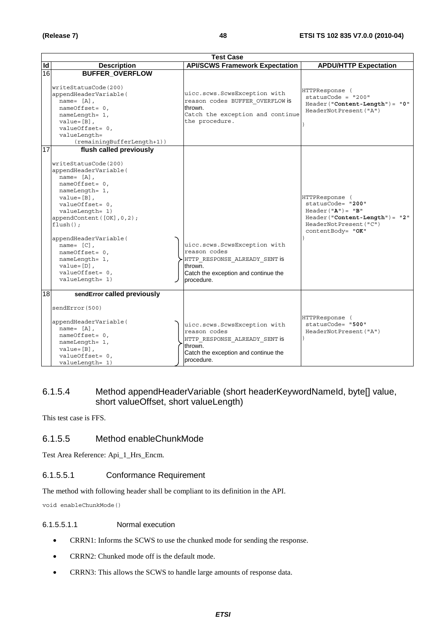|    | <b>Test Case</b>                                                                                                                                                                                                                                                                                                                                                                     |                                                                                                                                                |                                                                                                                                               |  |
|----|--------------------------------------------------------------------------------------------------------------------------------------------------------------------------------------------------------------------------------------------------------------------------------------------------------------------------------------------------------------------------------------|------------------------------------------------------------------------------------------------------------------------------------------------|-----------------------------------------------------------------------------------------------------------------------------------------------|--|
| Id | <b>Description</b>                                                                                                                                                                                                                                                                                                                                                                   | <b>API/SCWS Framework Expectation</b>                                                                                                          | <b>APDU/HTTP Expectation</b>                                                                                                                  |  |
| 16 | <b>BUFFER OVERFLOW</b><br>writeStatusCode(200)                                                                                                                                                                                                                                                                                                                                       |                                                                                                                                                | HTTPResponse (                                                                                                                                |  |
|    | appendHeaderVariable(<br>$name = [A],$<br>nameOffset= 0,<br>nameLength= 1,<br>$value = [B]$ .<br>valueOffset= 0,<br>valueLength=<br>(remainingBufferLength+1))                                                                                                                                                                                                                       | uicc.scws.ScwsException with<br>reason codes BUFFER OVERFLOW is<br>thrown.<br>Catch the exception and continue<br>the procedure.               | $statusCode = "200"$<br>$Header("Content-Length") = "0"$<br>HeaderNotPresent ("A")                                                            |  |
| 17 | flush called previously<br>writeStatusCode(200)<br>appendHeaderVariable(<br>$name = [A]$ ,<br>$nameOffset = 0$ ,<br>nameLength= 1,<br>$value = [B]$ ,<br>valueOffset= 0,<br>valueLength= 1)<br>appendContent ([OK], 0, 2);<br>$flush()$ ;<br>appendHeaderVariable(<br>name= $[C]$ ,<br>$nameOffset = 0$ ,<br>nameLength= 1,<br>$value = [D]$ ,<br>valueOffset= 0,<br>valueLength= 1) | uicc.scws.ScwsException with<br>reason codes<br>HTTP RESPONSE ALREADY SENT is<br>thrown.<br>Catch the exception and continue the<br>procedure. | HTTPResponse (<br>statusCode= "200"<br>$Header("A") = "B"$<br>$Header('Content-Length") = "2"$<br>HeaderNotPresent ("C")<br>contentBody= "OK" |  |
| 18 | sendError called previously<br>sendError(500)<br>appendHeaderVariable(<br>name= $[A]$ ,<br>$nameOffset = 0$ ,<br>nameLength= 1,<br>$value = [B]$ ,<br>valueOffset= 0,<br>valueLength= 1)                                                                                                                                                                                             | uicc.scws.ScwsException with<br>reason codes<br>HTTP RESPONSE ALREADY SENT is<br>thrown.<br>Catch the exception and continue the<br>procedure. | HTTPResponse (<br>statusCode= "500"<br>HeaderNotPresent ("A")                                                                                 |  |

## 6.1.5.4 Method appendHeaderVariable (short headerKeywordNameId, byte[] value, short valueOffset, short valueLength)

This test case is FFS.

## 6.1.5.5 Method enableChunkMode

Test Area Reference: Api\_1\_Hrs\_Encm.

## 6.1.5.5.1 Conformance Requirement

The method with following header shall be compliant to its definition in the API.

void enableChunkMode()

## 6.1.5.5.1.1 Normal execution

- CRRN1: Informs the SCWS to use the chunked mode for sending the response.
- CRRN2: Chunked mode off is the default mode.
- CRRN3: This allows the SCWS to handle large amounts of response data.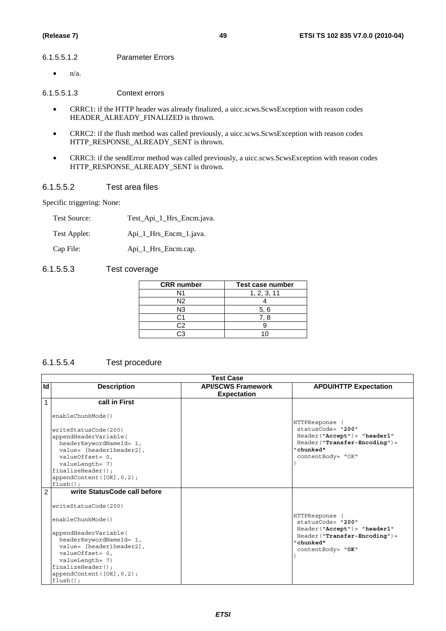#### 6.1.5.5.1.2 Parameter Errors

 $\bullet$  n/a.

6.1.5.5.1.3 Context errors

- CRRC1: if the HTTP header was already finalized, a uicc.scws.ScwsException with reason codes HEADER\_ALREADY\_FINALIZED is thrown.
- CRRC2: if the flush method was called previously, a uicc.scws.ScwsException with reason codes HTTP\_RESPONSE\_ALREADY\_SENT is thrown.
- CRRC3: if the sendError method was called previously, a uicc.scws.ScwsException with reason codes HTTP\_RESPONSE\_ALREADY\_SENT is thrown.

## 6.1.5.5.2 Test area files

Specific triggering: None:

| <b>Test Source:</b> | Test_Api_1_Hrs_Encm.java. |
|---------------------|---------------------------|
| Test Applet:        | Api_1_Hrs_Encm_1.java.    |

Cap File: Api\_1\_Hrs\_Encm.cap.

## 6.1.5.5.3 Test coverage

| <b>CRR</b> number | Test case number |
|-------------------|------------------|
| N1                | 1, 2, 3, 11      |
| N2                |                  |
| N3                | 5, 6             |
|                   | 7. 8             |
| פר                |                  |
|                   |                  |

## 6.1.5.5.4 Test procedure

|                | <b>Test Case</b>                                                                                                                                                                                                                                                            |                                                 |                                                                                                                                          |  |
|----------------|-----------------------------------------------------------------------------------------------------------------------------------------------------------------------------------------------------------------------------------------------------------------------------|-------------------------------------------------|------------------------------------------------------------------------------------------------------------------------------------------|--|
| Id             | <b>Description</b>                                                                                                                                                                                                                                                          | <b>API/SCWS Framework</b><br><b>Expectation</b> | <b>APDU/HTTP Expectation</b>                                                                                                             |  |
| $\mathbf{1}$   | call in First                                                                                                                                                                                                                                                               |                                                 |                                                                                                                                          |  |
|                | enableChunkMode()<br>writeStatusCode(200)<br>appendHeaderVariable(<br>headerKeywordNameId= 1,<br>value= [header1header2],<br>$valueOffset = 0,$<br>valueLength= 7)<br>finalizeHeader()<br>appendContent $([OK], 0, 2)$ ;<br>$flush()$ :                                     |                                                 | HTTPResponse<br>statusCode= "200"<br>$Header('Accept") = "header1"$<br>$Header("Transfer-Encoding") =$<br>"chunked"<br>contentBody= "OK" |  |
| $\overline{2}$ | write StatusCode call before<br>writeStatusCode(200)<br>enableChunkMode()<br>appendHeaderVariable(<br>headerKeywordNameId= 1,<br>value= [header1header2],<br>$valueOffset = 0,$<br>valueLength= 7)<br>$finalizeHeader()$ ;<br>appendContent $([OK], 0, 2)$ ;<br>$flush()$ ; |                                                 | HTTPResponse<br>statusCode= "200"<br>$Header('Accept") = "header1"$<br>$Header("Transfer-Encoding") =$<br>"chunked"<br>contentBody= "OK" |  |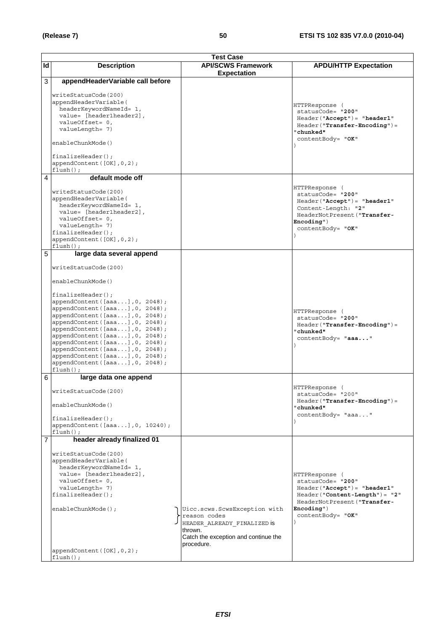|                | <b>Test Case</b>                                                                                                                                                                                                                                                                                                                                                                         |                                                                                                                                              |                                                                                                                                                                                |  |
|----------------|------------------------------------------------------------------------------------------------------------------------------------------------------------------------------------------------------------------------------------------------------------------------------------------------------------------------------------------------------------------------------------------|----------------------------------------------------------------------------------------------------------------------------------------------|--------------------------------------------------------------------------------------------------------------------------------------------------------------------------------|--|
| ld             | <b>Description</b>                                                                                                                                                                                                                                                                                                                                                                       | <b>API/SCWS Framework</b><br><b>Expectation</b>                                                                                              | <b>APDU/HTTP Expectation</b>                                                                                                                                                   |  |
| 3              | appendHeaderVariable call before                                                                                                                                                                                                                                                                                                                                                         |                                                                                                                                              |                                                                                                                                                                                |  |
|                | writeStatusCode(200)<br>appendHeaderVariable(<br>headerKeywordNameId= 1,<br>value= [header1header2],<br>valueOffset= 0,<br>valueLength= 7)<br>enableChunkMode()<br>$finalizeHeader()$ ;<br>appendContent([OK], 0, 2);<br>$flush()$ ;                                                                                                                                                     |                                                                                                                                              | HTTPResponse (<br>statusCode= "200"<br>$Header('Accept") = "header1"$<br>Header("Transfer-Encoding")=<br>"chunked"<br>contentBody= "OK"                                        |  |
| 4              | default mode off                                                                                                                                                                                                                                                                                                                                                                         |                                                                                                                                              |                                                                                                                                                                                |  |
|                | writeStatusCode(200)<br>appendHeaderVariable(<br>headerKeywordNameId= 1,<br>value= [header1header2],<br>valueOffset= 0,<br>valueLength= 7)<br>$finalizeHeader()$ ;<br>appendContent ([OK], 0, 2);<br>$flush()$ ;                                                                                                                                                                         |                                                                                                                                              | HTTPResponse (<br>statusCode= "200"<br>$Header('Accept") = "header1"$<br>Content-Length: "2"<br>HeaderNotPresent ("Transfer-<br>Encoder <sub>1</sub><br>contentBody= "OK"      |  |
| 5              | large data several append                                                                                                                                                                                                                                                                                                                                                                |                                                                                                                                              |                                                                                                                                                                                |  |
|                | writeStatusCode(200)                                                                                                                                                                                                                                                                                                                                                                     |                                                                                                                                              |                                                                                                                                                                                |  |
|                | enableChunkMode()                                                                                                                                                                                                                                                                                                                                                                        |                                                                                                                                              |                                                                                                                                                                                |  |
|                | $finalizeHeader()$ ;<br>appendContent([aaa], 0, 2048);<br>appendContent([aaa], 0, 2048);<br>appendContent([aaa], 0, 2048);<br>appendContent([aaa], 0, 2048);<br>appendContent([aaa], 0, 2048);<br>appendContent([aaa], 0, 2048);<br>appendContent([aaa], 0, 2048);<br>appendContent([aaa], 0, 2048);<br>appendContent([aaa], 0, 2048);<br>appendContent ([aaa], 0, 2048);<br>$flush()$ : |                                                                                                                                              | HTTPResponse (<br>statusCode= "200"<br>Header("Transfer-Encoding")=<br>"chunked"<br>contentBody= "aaa"                                                                         |  |
| 6              | large data one append                                                                                                                                                                                                                                                                                                                                                                    |                                                                                                                                              |                                                                                                                                                                                |  |
|                | writeStatusCode(200)<br>enableChunkMode()<br>$finalizeHeader()$ ;<br>appendContent ([aaa], 0, 10240);<br>$flush()$ ;                                                                                                                                                                                                                                                                     |                                                                                                                                              | HTTPResponse (<br>statusCode= "200"<br>$Header("Transfer-Encoder") =$<br>"chunked"<br>contentBody= "aaa"                                                                       |  |
| $\overline{7}$ | header already finalized 01                                                                                                                                                                                                                                                                                                                                                              |                                                                                                                                              |                                                                                                                                                                                |  |
|                | writeStatusCode(200)<br>appendHeaderVariable(<br>headerKeywordNameId= 1,<br>value= [header1header2],<br>valueOffset= 0,<br>valueLength= 7)<br>$finalizeHeader()$ ;<br>enableChunkMode();<br>appendContent([OK], 0, 2);<br>$flush()$ ;                                                                                                                                                    | Uicc.scws.ScwsException with<br>reason codes<br>HEADER ALREADY FINALIZED is<br>thrown.<br>Catch the exception and continue the<br>procedure. | HTTPResponse (<br>statusCode= "200"<br>$Header('Accept") = "header1"$<br>$Header('Content-Length") = "2"$<br>HeaderNotPresent ("Transfer-<br>$Encoder"$ )<br>contentBody= "OK" |  |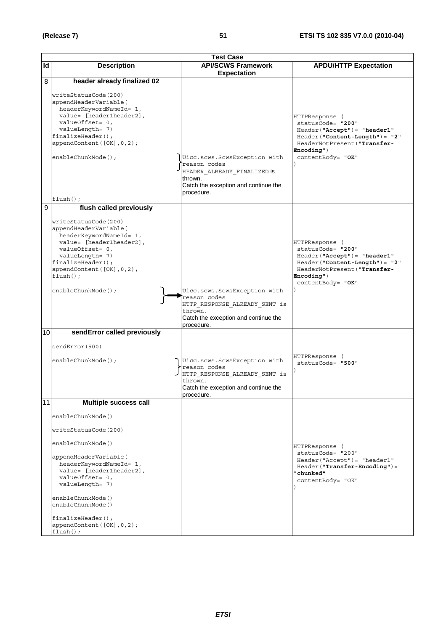|    | <b>Test Case</b>                                                                                                                                                                                                                                                                                 |                                                                                                                                                |                                                                                                                                                                                       |  |
|----|--------------------------------------------------------------------------------------------------------------------------------------------------------------------------------------------------------------------------------------------------------------------------------------------------|------------------------------------------------------------------------------------------------------------------------------------------------|---------------------------------------------------------------------------------------------------------------------------------------------------------------------------------------|--|
| Id | <b>Description</b>                                                                                                                                                                                                                                                                               | <b>API/SCWS Framework</b>                                                                                                                      | <b>APDU/HTTP Expectation</b>                                                                                                                                                          |  |
|    |                                                                                                                                                                                                                                                                                                  | <b>Expectation</b>                                                                                                                             |                                                                                                                                                                                       |  |
| 8  | header already finalized 02                                                                                                                                                                                                                                                                      |                                                                                                                                                |                                                                                                                                                                                       |  |
|    | writeStatusCode(200)<br>appendHeaderVariable(<br>headerKeywordNameId= 1,<br>value= [header1header2],<br>valueOffset= 0,<br>valueLength= 7)<br>finalizeHeader();<br>appendContent([OK], 0, 2);<br>enableChunkMode();<br>$flush()$ ;                                                               | Uicc.scws.ScwsException with<br>reason codes<br>HEADER ALREADY FINALIZED is<br>thrown.<br>Catch the exception and continue the<br>procedure.   | HTTPResponse (<br>statusCode= "200"<br>$Header('Accept") = "header1"$<br>Header ("Content-Length") = "2"<br>HeaderNotPresent ("Transfer-<br>Encoding")<br>contentBody= "OK"           |  |
| 9  | flush called previously                                                                                                                                                                                                                                                                          |                                                                                                                                                |                                                                                                                                                                                       |  |
|    | writeStatusCode(200)<br>appendHeaderVariable(<br>headerKeywordNameId= 1,<br>value= [header1header2],<br>valueOffset= 0,<br>valueLength= 7)<br>finalizeHeader();<br>appendContent([OK], 0, 2);<br>$flush()$ ;<br>enableChunkMode();                                                               | Uicc.scws.ScwsException with<br>reason codes<br>HTTP RESPONSE ALREADY SENT is<br>thrown.<br>Catch the exception and continue the<br>procedure. | HTTPResponse (<br>statusCode= "200"<br>$Header('Accept") = "header1"$<br>Header("Content-Length")= "2"<br>HeaderNotPresent ("Transfer-<br>$\texttt{Encoding}$ ")<br>contentBody= "OK" |  |
| 10 | sendError called previously                                                                                                                                                                                                                                                                      |                                                                                                                                                |                                                                                                                                                                                       |  |
|    | sendError (500)<br>enableChunkMode();                                                                                                                                                                                                                                                            | Uicc.scws.ScwsException with<br>reason codes<br>HTTP RESPONSE ALREADY SENT is<br>thrown.<br>Catch the exception and continue the<br>procedure. | HTTPResponse (<br>statusCode= "500"                                                                                                                                                   |  |
| 11 | <b>Multiple success call</b>                                                                                                                                                                                                                                                                     |                                                                                                                                                |                                                                                                                                                                                       |  |
|    | enableChunkMode()<br>writeStatusCode(200)<br>enableChunkMode()<br>appendHeaderVariable(<br>headerKeywordNameId= 1,<br>value= [header1header2],<br>valueOffset= 0,<br>valueLength= 7)<br>enableChunkMode()<br>enableChunkMode()<br>finalizeHeader();<br>appendContent([OK], 0, 2);<br>$flush()$ ; |                                                                                                                                                | HTTPResponse (<br>statusCode= "200"<br>Header("Accept")= "header1"<br>$Header("Transfer-Encoding") =$<br>"chunked"<br>contentBody= "OK"                                               |  |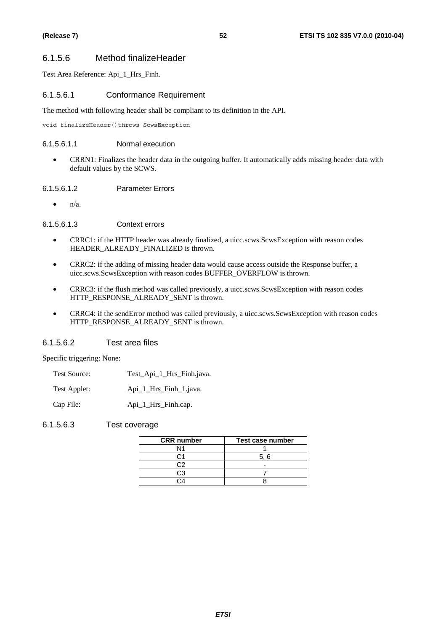## 6.1.5.6 Method finalizeHeader

Test Area Reference: Api\_1\_Hrs\_Finh.

## 6.1.5.6.1 Conformance Requirement

The method with following header shall be compliant to its definition in the API.

void finalizeHeader()throws ScwsException

### 6.1.5.6.1.1 Normal execution

• CRRN1: Finalizes the header data in the outgoing buffer. It automatically adds missing header data with default values by the SCWS.

## 6.1.5.6.1.2 Parameter Errors

 $n/a$ .

6.1.5.6.1.3 Context errors

- CRRC1: if the HTTP header was already finalized, a uicc.scws.ScwsException with reason codes HEADER\_ALREADY\_FINALIZED is thrown.
- CRRC2: if the adding of missing header data would cause access outside the Response buffer, a uicc.scws.ScwsException with reason codes BUFFER\_OVERFLOW is thrown.
- CRRC3: if the flush method was called previously, a uicc.scws.ScwsException with reason codes HTTP\_RESPONSE\_ALREADY\_SENT is thrown.
- CRRC4: if the sendError method was called previously, a uicc.scws.ScwsException with reason codes HTTP\_RESPONSE\_ALREADY\_SENT is thrown.

## 6.1.5.6.2 Test area files

Specific triggering: None:

| Test Source: | Test_Api_1_Hrs_Finh.java. |
|--------------|---------------------------|
|--------------|---------------------------|

Test Applet: Api\_1\_Hrs\_Finh\_1.java.

Cap File: Api\_1\_Hrs\_Finh.cap.

6.1.5.6.3 Test coverage

| <b>CRR</b> number | Test case number |
|-------------------|------------------|
| N1                |                  |
|                   | 5.6              |
| $\cdot$           |                  |
| CЗ                |                  |
|                   |                  |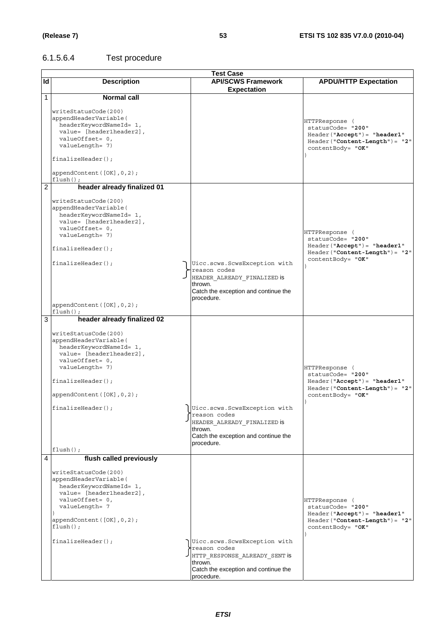# 6.1.5.6.4 Test procedure

|              | <b>Test Case</b>               |                                                 |                                     |  |
|--------------|--------------------------------|-------------------------------------------------|-------------------------------------|--|
| Id           | <b>Description</b>             | <b>API/SCWS Framework</b>                       | <b>APDU/HTTP Expectation</b>        |  |
|              |                                | <b>Expectation</b>                              |                                     |  |
| $\mathbf{1}$ | <b>Normal call</b>             |                                                 |                                     |  |
|              |                                |                                                 |                                     |  |
|              | writeStatusCode(200)           |                                                 |                                     |  |
|              | appendHeaderVariable(          |                                                 |                                     |  |
|              | headerKeywordNameId= 1,        |                                                 | HTTPResponse (                      |  |
|              | value= [header1header2],       |                                                 | statusCode= "200"                   |  |
|              | valueOffset= 0,                |                                                 | Header("Accept")= "header1"         |  |
|              | valueLength= 7)                |                                                 | Header ("Content-Length") = "2"     |  |
|              |                                |                                                 | contentBody= "OK"                   |  |
|              | finalizeHeader();              |                                                 |                                     |  |
|              |                                |                                                 |                                     |  |
|              | appendContent ([OK], 0, 2);    |                                                 |                                     |  |
|              | $flush()$ ;                    |                                                 |                                     |  |
| 2            | header already finalized 01    |                                                 |                                     |  |
|              |                                |                                                 |                                     |  |
|              | writeStatusCode(200)           |                                                 |                                     |  |
|              | appendHeaderVariable(          |                                                 |                                     |  |
|              | headerKeywordNameId= 1,        |                                                 |                                     |  |
|              | value= [header1header2],       |                                                 |                                     |  |
|              | valueOffset= 0,                |                                                 |                                     |  |
|              | valueLength= 7)                |                                                 | HTTPResponse (<br>statusCode= "200" |  |
|              |                                |                                                 | $Header('Accept") = "header1"$      |  |
|              | $finalizeHeader()$ ;           |                                                 | $Header('Content-Length") = "2"$    |  |
|              |                                |                                                 | contentBody= "OK"                   |  |
|              | $finalizeHeader()$ ;           | Uicc.scws.ScwsException with                    |                                     |  |
|              |                                | reason codes                                    |                                     |  |
|              |                                | HEADER ALREADY FINALIZED IS                     |                                     |  |
|              |                                | thrown.                                         |                                     |  |
|              |                                | Catch the exception and continue the            |                                     |  |
|              |                                | procedure.                                      |                                     |  |
|              | appendContent ([OK], 0, 2);    |                                                 |                                     |  |
|              | $flush()$ ;                    |                                                 |                                     |  |
| 3            | header already finalized 02    |                                                 |                                     |  |
|              |                                |                                                 |                                     |  |
|              | writeStatusCode(200)           |                                                 |                                     |  |
|              | appendHeaderVariable(          |                                                 |                                     |  |
|              | headerKeywordNameId= 1,        |                                                 |                                     |  |
|              | value= [header1header2],       |                                                 |                                     |  |
|              | valueOffset= 0,                |                                                 |                                     |  |
|              | valueLength= 7)                |                                                 | HTTPResponse (                      |  |
|              |                                |                                                 | statusCode= "200"                   |  |
|              | $finalizeHeader()$ ;           |                                                 | Header("Accept")= "header1"         |  |
|              |                                |                                                 | $Header("Content-Length") = "2"$    |  |
|              | appendContent $([OK], 0, 2)$ ; |                                                 | contentBody= "OK"                   |  |
|              |                                |                                                 |                                     |  |
|              | finalizeHeader();              | Uicc.scws.ScwsException with                    |                                     |  |
|              |                                | reason codes                                    |                                     |  |
|              |                                | HEADER ALREADY FINALIZED is                     |                                     |  |
|              |                                | thrown.<br>Catch the exception and continue the |                                     |  |
|              |                                | procedure.                                      |                                     |  |
|              | $flush()$ ;                    |                                                 |                                     |  |
|              |                                |                                                 |                                     |  |
| 4            | flush called previously        |                                                 |                                     |  |
|              | writeStatusCode(200)           |                                                 |                                     |  |
|              | appendHeaderVariable(          |                                                 |                                     |  |
|              | headerKeywordNameId= 1,        |                                                 |                                     |  |
|              | value= [header1header2],       |                                                 |                                     |  |
|              | valueOffset= 0,                |                                                 | HTTPResponse (                      |  |
|              | valueLength= 7                 |                                                 | statusCode= "200"                   |  |
|              |                                |                                                 | $Header("Accept") = "header1"$      |  |
|              | appendContent([OK], 0, 2);     |                                                 | $Header("Content-Length") = "2"$    |  |
|              | $flush()$ ;                    |                                                 | contentBody= "OK"                   |  |
|              |                                |                                                 |                                     |  |
|              | $finalizeHeader()$ ;           | Uicc.scws.ScwsException with                    |                                     |  |
|              |                                | reason codes                                    |                                     |  |
|              |                                | JHTTP RESPONSE_ALREADY_SENT is                  |                                     |  |
|              |                                | thrown.                                         |                                     |  |
|              |                                | Catch the exception and continue the            |                                     |  |
|              |                                | procedure.                                      |                                     |  |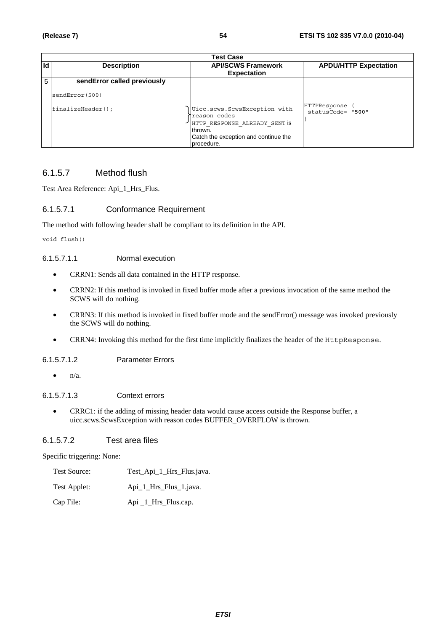|    | Test Case                               |                                                                                                                                                |                                   |  |  |
|----|-----------------------------------------|------------------------------------------------------------------------------------------------------------------------------------------------|-----------------------------------|--|--|
| Id | <b>Description</b>                      | <b>API/SCWS Framework</b>                                                                                                                      | <b>APDU/HTTP Expectation</b>      |  |  |
|    |                                         | <b>Expectation</b>                                                                                                                             |                                   |  |  |
| 5  | sendError called previously             |                                                                                                                                                |                                   |  |  |
|    | sendError (500)<br>$finalizeHeader()$ ; | Uicc.scws.ScwsException with<br>reason codes<br>HTTP RESPONSE ALREADY SENT IS<br>thrown.<br>Catch the exception and continue the<br>procedure. | HTTPResponse<br>statusCode= "500" |  |  |

## 6.1.5.7 Method flush

Test Area Reference: Api\_1\_Hrs\_Flus.

## 6.1.5.7.1 Conformance Requirement

The method with following header shall be compliant to its definition in the API.

void flush()

## 6.1.5.7.1.1 Normal execution

- CRRN1: Sends all data contained in the HTTP response.
- CRRN2: If this method is invoked in fixed buffer mode after a previous invocation of the same method the SCWS will do nothing.
- CRRN3: If this method is invoked in fixed buffer mode and the sendError() message was invoked previously the SCWS will do nothing.
- CRRN4: Invoking this method for the first time implicitly finalizes the header of the HttpResponse.

## 6.1.5.7.1.2 Parameter Errors

 $\bullet$   $n/a$ .

## 6.1.5.7.1.3 Context errors

• CRRC1: if the adding of missing header data would cause access outside the Response buffer, a uicc.scws.ScwsException with reason codes BUFFER\_OVERFLOW is thrown.

## 6.1.5.7.2 Test area files

Specific triggering: None:

- Test Source: Test\_Api\_1\_Hrs\_Flus.java.
- Test Applet: Api\_1\_Hrs\_Flus\_1.java.
- Cap File: Api \_1\_Hrs\_Flus.cap.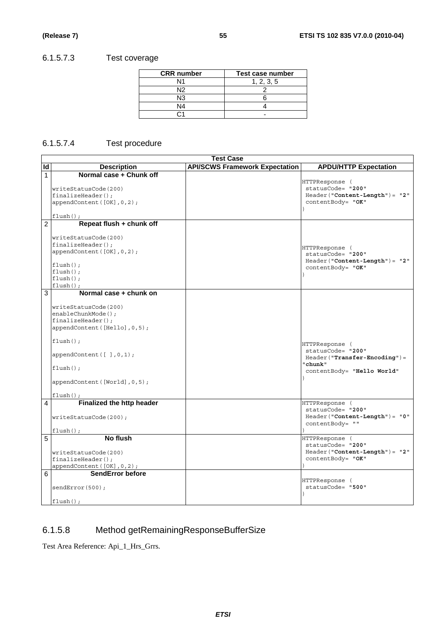# 6.1.5.7.3 Test coverage

| <b>CRR</b> number | Test case number |
|-------------------|------------------|
| N1                | 1, 2, 3, 5       |
| N2                |                  |
| N3                |                  |
| N4                |                  |
|                   |                  |

## 6.1.5.7.4 Test procedure

|                     |                                                                                                                                                                                                                                         | <b>Test Case</b>                      |                                                                                                              |
|---------------------|-----------------------------------------------------------------------------------------------------------------------------------------------------------------------------------------------------------------------------------------|---------------------------------------|--------------------------------------------------------------------------------------------------------------|
| Id                  | <b>Description</b>                                                                                                                                                                                                                      | <b>API/SCWS Framework Expectation</b> | <b>APDU/HTTP Expectation</b>                                                                                 |
| 1<br>$\overline{2}$ | Normal case + Chunk off<br>writeStatusCode(200)<br>$finalizeHeader()$ ;<br>appendContent([OK], 0, 2);<br>$flush()$ ;<br>Repeat flush + chunk off                                                                                        |                                       | HTTPResponse (<br>statusCode= "200"<br>$Header('Content-Length") = "2"$<br>contentBody= "OK"                 |
|                     | writeStatusCode(200)<br>finalizeHeader();<br>appendContent ([OK], 0, 2);<br>$flush()$ ;<br>$flush()$ ;<br>$flush()$ ;<br>$flush()$ ;                                                                                                    |                                       | HTTPResponse (<br>statusCode= "200"<br>$Header('Content-Length") = "2"$<br>contentBody= "OK"<br>$\lambda$    |
| 3                   | Normal case + chunk on<br>writeStatusCode(200)<br>enableChunkMode();<br>$finalizeHeader()$ ;<br>appendContent ([Hello], 0, 5);<br>$flush()$ ;<br>appendContent([ ],0,1);<br>$flush()$ ;<br>appendContent([World], 0, 5);<br>$flush()$ ; |                                       | HTTPResponse (<br>statusCode= "200"<br>Header("Transfer-Encoding")=<br>"chunk"<br>contentBody= "Hello World" |
| 4                   | Finalized the http header<br>writeStatusCode(200);<br>$flush()$ ;                                                                                                                                                                       |                                       | HTTPResponse (<br>statusCode= "200"<br>$Header('Content-Length") = "0"$<br>contentBody= ""                   |
| 5                   | No flush<br>writeStatusCode(200)<br>$finalizeHeader()$ ;<br>appendContent ([OK], 0, 2);                                                                                                                                                 |                                       | HTTPResponse (<br>statusCode= "200"<br>$Header('Content-Length") = "2"$<br>contentBody= "OK"                 |
| 6                   | SendError before<br>sendError(500);<br>$flush()$ ;                                                                                                                                                                                      |                                       | HTTPResponse (<br>statusCode= "500"                                                                          |

# 6.1.5.8 Method getRemainingResponseBufferSize

Test Area Reference: Api\_1\_Hrs\_Grrs.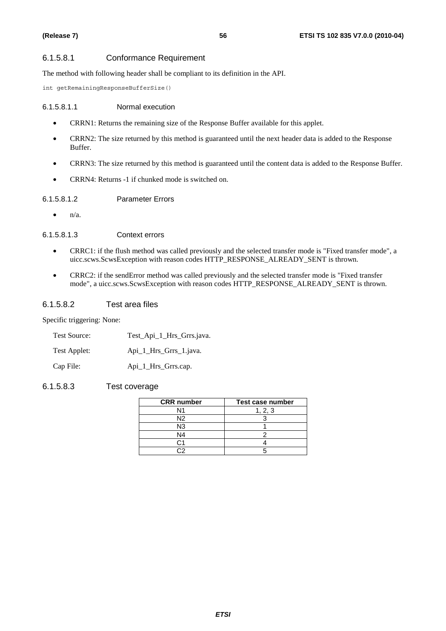### 6.1.5.8.1 Conformance Requirement

The method with following header shall be compliant to its definition in the API.

int getRemainingResponseBufferSize()

#### 6.1.5.8.1.1 Normal execution

- CRRN1: Returns the remaining size of the Response Buffer available for this applet.
- CRRN2: The size returned by this method is guaranteed until the next header data is added to the Response Buffer.
- CRRN3: The size returned by this method is guaranteed until the content data is added to the Response Buffer.
- CRRN4: Returns -1 if chunked mode is switched on.

## 6.1.5.8.1.2 Parameter Errors

 $\bullet$   $n/a$ .

### 6.1.5.8.1.3 Context errors

- CRRC1: if the flush method was called previously and the selected transfer mode is "Fixed transfer mode", a uicc.scws.ScwsException with reason codes HTTP\_RESPONSE\_ALREADY\_SENT is thrown.
- CRRC2: if the sendError method was called previously and the selected transfer mode is "Fixed transfer mode", a uicc.scws.ScwsException with reason codes HTTP\_RESPONSE\_ALREADY\_SENT is thrown.

### 6.1.5.8.2 Test area files

Specific triggering: None:

| <b>Test Source:</b> | Test_Api_1_Hrs_Grrs.java. |
|---------------------|---------------------------|
| Test Applet:        | Api 1 Hrs Grrs 1. java.   |
| Cap File:           | Api_1_Hrs_Grrs.cap.       |

### 6.1.5.8.3 Test coverage

| <b>CRR</b> number | Test case number |
|-------------------|------------------|
| N1                | 1, 2, 3          |
| N2                |                  |
| N3                |                  |
| N4                |                  |
|                   |                  |
|                   |                  |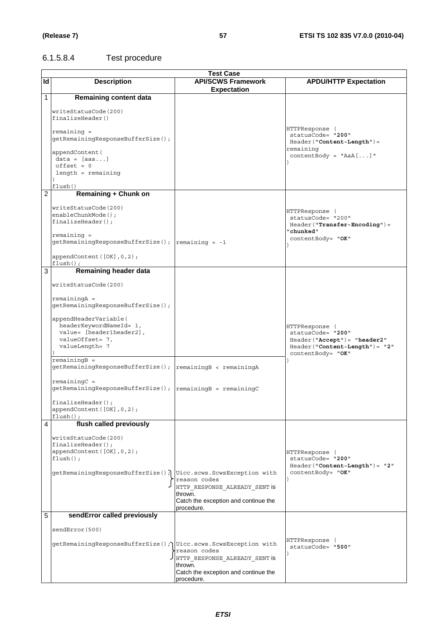# 6.1.5.8.4 Test procedure

|                | <b>Test Case</b>                                                                                                                                                                                                                                                                                                                                                        |                                                                                                                |                                                                                                                          |  |
|----------------|-------------------------------------------------------------------------------------------------------------------------------------------------------------------------------------------------------------------------------------------------------------------------------------------------------------------------------------------------------------------------|----------------------------------------------------------------------------------------------------------------|--------------------------------------------------------------------------------------------------------------------------|--|
| Id             | <b>Description</b>                                                                                                                                                                                                                                                                                                                                                      | <b>API/SCWS Framework</b><br><b>Expectation</b>                                                                | <b>APDU/HTTP Expectation</b>                                                                                             |  |
| $\mathbf{1}$   | <b>Remaining content data</b>                                                                                                                                                                                                                                                                                                                                           |                                                                                                                |                                                                                                                          |  |
|                | writeStatusCode(200)<br>finalizeHeader()<br>$remaining =$<br>getRemainingResponseBufferSize();<br>appendContent (<br>$data = [aaa]$<br>$offset = 0$<br>$length = remaining$<br>flush()                                                                                                                                                                                  |                                                                                                                | HTTPResponse (<br>statusCode= "200"<br>Header("Content-Length")=<br>remaining<br>$contentBody = "AaA[]$ "                |  |
| $\overline{2}$ | <b>Remaining + Chunk on</b>                                                                                                                                                                                                                                                                                                                                             |                                                                                                                |                                                                                                                          |  |
|                | writeStatusCode(200)<br>enableChunkMode();<br>$finalizeHeader()$ ;<br>$remaining =$<br>$getRemainingResponseBufferSize()$ ; $remaining = -1$<br>appendContent([OK], 0, 2);                                                                                                                                                                                              |                                                                                                                | HTTPResponse (<br>statusCode= "200"<br>$Header("Transfer-Encoding") =$<br>"chunked"<br>contentBody= "OK"                 |  |
| 3              | $flush()$ ;<br>Remaining header data                                                                                                                                                                                                                                                                                                                                    |                                                                                                                |                                                                                                                          |  |
|                | writeStatusCode(200)<br>$remainingA =$<br>getRemainingResponseBufferSize();<br>appendHeaderVariable(<br>headerKeywordNameId= 1,<br>value= [header1header2],<br>valueOffset= 7,<br>valueLength= 7<br>$remainingB =$<br>getRemainingResponseBufferSize(); remainingB < remainingA<br>$remainingC =$<br>$finalizeHeader()$ ;<br>appendContent ([OK], 0, 2);<br>$flush()$ ; |                                                                                                                | HTTPResponse (<br>statusCode= "200"<br>Header("Accept")= "header2"<br>Header("Content-Length")= "2"<br>contentBody= "OK" |  |
| 4              | flush called previously                                                                                                                                                                                                                                                                                                                                                 |                                                                                                                |                                                                                                                          |  |
|                | writeStatusCode(200)<br>$finalizeHeader()$ ;<br>appendContent([OK], 0, 2);<br>$flush()$ ;<br>qetRemaininqResponseBufferSize(); Uicc.scws.ScwsException with                                                                                                                                                                                                             | reason codes<br>HTTP RESPONSE ALREADY SENT is<br>thrown.<br>Catch the exception and continue the<br>procedure. | HTTPResponse (<br>statusCode= "200"<br>$Header('Content-Length") = "2"$<br>contentBody= "OK"                             |  |
| 5              | sendError called previously                                                                                                                                                                                                                                                                                                                                             |                                                                                                                |                                                                                                                          |  |
|                | sendError(500)<br>getRemainingResponseBufferSize(); Uicc.scws.ScwsException with                                                                                                                                                                                                                                                                                        | reason codes<br>HTTP RESPONSE ALREADY SENT is<br>thrown.<br>Catch the exception and continue the               | HTTPResponse (<br>statusCode= "500"                                                                                      |  |
|                |                                                                                                                                                                                                                                                                                                                                                                         | procedure.                                                                                                     |                                                                                                                          |  |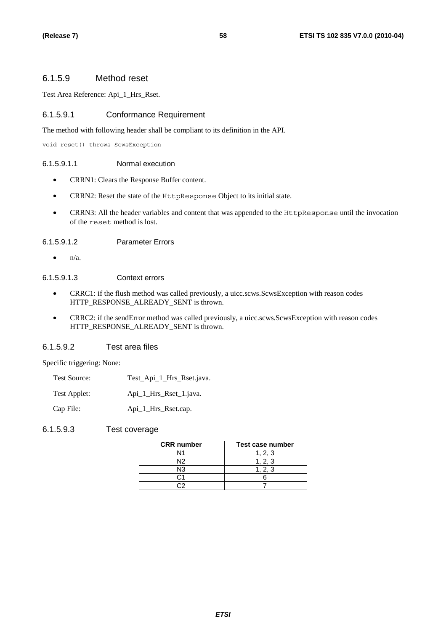## 6.1.5.9 Method reset

Test Area Reference: Api\_1\_Hrs\_Rset.

## 6.1.5.9.1 Conformance Requirement

The method with following header shall be compliant to its definition in the API.

void reset() throws ScwsException

## 6.1.5.9.1.1 Normal execution

- CRRN1: Clears the Response Buffer content.
- CRRN2: Reset the state of the HttpResponse Object to its initial state.
- CRRN3: All the header variables and content that was appended to the HttpResponse until the invocation of the reset method is lost.

## 6.1.5.9.1.2 Parameter Errors

 $\bullet$  n/a.

## 6.1.5.9.1.3 Context errors

- CRRC1: if the flush method was called previously, a uicc.scws.ScwsException with reason codes HTTP\_RESPONSE\_ALREADY\_SENT is thrown.
- CRRC2: if the sendError method was called previously, a uicc.scws.ScwsException with reason codes HTTP\_RESPONSE\_ALREADY\_SENT is thrown.

## 6.1.5.9.2 Test area files

Specific triggering: None:

- Test Source: Test Api 1 Hrs Rset.java.
- Test Applet: Api\_1\_Hrs\_Rset\_1.java.

Cap File: Api\_1\_Hrs\_Rset.cap.

## 6.1.5.9.3 Test coverage

| <b>CRR</b> number | Test case number |
|-------------------|------------------|
| Ν1                | 1, 2, 3          |
| N2                | 1.2.3            |
| N3                | 1, 2, 3          |
|                   |                  |
|                   |                  |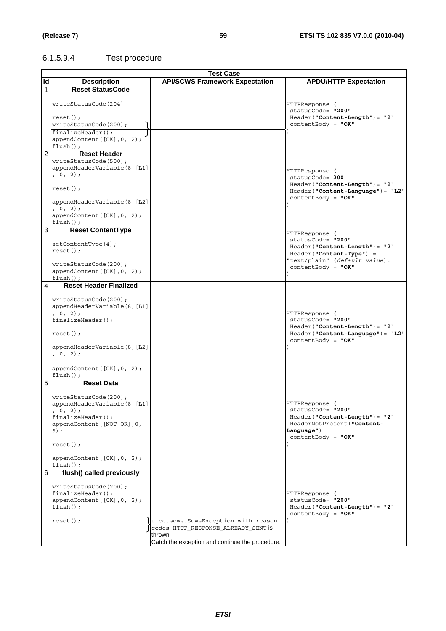# 6.1.5.9.4 Test procedure

|                | <b>Test Case</b>                                      |                                                 |                                                                 |  |  |
|----------------|-------------------------------------------------------|-------------------------------------------------|-----------------------------------------------------------------|--|--|
| ld             | <b>Description</b>                                    | <b>API/SCWS Framework Expectation</b>           | <b>APDU/HTTP Expectation</b>                                    |  |  |
| $\mathbf{1}$   | <b>Reset StatusCode</b>                               |                                                 |                                                                 |  |  |
|                |                                                       |                                                 |                                                                 |  |  |
|                | writeStatusCode(204)                                  |                                                 | HTTPResponse (                                                  |  |  |
|                |                                                       |                                                 | statusCode= "200"                                               |  |  |
|                | $reset()$ ;                                           |                                                 | $Header('Content-Length") = "2"$                                |  |  |
|                | writeStatusCode(200);                                 |                                                 | contentBody = $"OK"$                                            |  |  |
|                | $finalizeHeader()$ ;                                  |                                                 |                                                                 |  |  |
|                | appendContent([OK], 0, 2);                            |                                                 |                                                                 |  |  |
|                | $flush()$ ;                                           |                                                 |                                                                 |  |  |
| $\overline{2}$ | <b>Reset Header</b>                                   |                                                 |                                                                 |  |  |
|                | writeStatusCode(500);<br>appendHeaderVariable(8, [L1] |                                                 |                                                                 |  |  |
|                | , 0, 2);                                              |                                                 | HTTPResponse (                                                  |  |  |
|                |                                                       |                                                 | statusCode= 200                                                 |  |  |
|                | $reset()$ ;                                           |                                                 | $Header("Content-Length") = "2"$                                |  |  |
|                |                                                       |                                                 | $Header('Content-Language") = "L2"$<br>contentBody = $"OK"$     |  |  |
|                | appendHeaderVariable(8, [L2]                          |                                                 |                                                                 |  |  |
|                | , 0, 2);                                              |                                                 |                                                                 |  |  |
|                | appendContent([OK], 0, 2);                            |                                                 |                                                                 |  |  |
|                | $flush()$ ;                                           |                                                 |                                                                 |  |  |
| 3              | <b>Reset ContentType</b>                              |                                                 | HTTPResponse (                                                  |  |  |
|                | setContentType(4);                                    |                                                 | statusCode= "200"                                               |  |  |
|                | $reset()$ ;                                           |                                                 | $Header('Content-Length") = "2"$                                |  |  |
|                |                                                       |                                                 | Header("Content-Type") =                                        |  |  |
|                | writeStatusCode(200);                                 |                                                 | "text/plain" (default value).<br>contentBody = $"OK"$           |  |  |
|                | appendContent([OK], 0, 2);                            |                                                 |                                                                 |  |  |
|                | $flush()$ ;                                           |                                                 |                                                                 |  |  |
| 4              | <b>Reset Header Finalized</b>                         |                                                 |                                                                 |  |  |
|                |                                                       |                                                 |                                                                 |  |  |
|                | writeStatusCode(200);                                 |                                                 |                                                                 |  |  |
|                | appendHeaderVariable(8, [L1]<br>, 0, 2);              |                                                 | HTTPResponse (                                                  |  |  |
|                | finalizeHeader();                                     |                                                 | statusCode= "200"                                               |  |  |
|                |                                                       |                                                 | $Header("Content-Length") = "2"$                                |  |  |
|                | $reset()$ ;                                           |                                                 | Header ("Content-Language") = "L2"                              |  |  |
|                |                                                       |                                                 | $contentBody = "OK"$                                            |  |  |
|                | appendHeaderVariable(8, [L2]                          |                                                 |                                                                 |  |  |
|                | , 0, 2);                                              |                                                 |                                                                 |  |  |
|                |                                                       |                                                 |                                                                 |  |  |
|                | appendContent([OK], 0, 2);<br>$flush()$ ;             |                                                 |                                                                 |  |  |
| 5              | <b>Reset Data</b>                                     |                                                 |                                                                 |  |  |
|                |                                                       |                                                 |                                                                 |  |  |
|                | writeStatusCode(200);                                 |                                                 |                                                                 |  |  |
|                | appendHeaderVariable(8, [L1]                          |                                                 | HTTPResponse (                                                  |  |  |
|                | , 0, 2);                                              |                                                 | statusCode= "200"                                               |  |  |
|                | $finalizeHeader()$ ;<br>appendContent ([NOT OK], 0,   |                                                 | $Header('Content-Length") = "2"$<br>HeaderNotPresent ("Content- |  |  |
|                | $6)$ ;                                                |                                                 | $Language$ ")                                                   |  |  |
|                |                                                       |                                                 | $contentBody = "OK"$                                            |  |  |
|                | $reset()$ ;                                           |                                                 |                                                                 |  |  |
|                |                                                       |                                                 |                                                                 |  |  |
|                | appendContent([OK], 0, 2);                            |                                                 |                                                                 |  |  |
|                | $flush()$ ;                                           |                                                 |                                                                 |  |  |
| 6              | flush() called previously                             |                                                 |                                                                 |  |  |
|                |                                                       |                                                 |                                                                 |  |  |
|                | writeStatusCode(200);<br>$finalizeHeader()$ ;         |                                                 | HTTPResponse (                                                  |  |  |
|                | appendContent([OK], 0, 2);                            |                                                 | statusCode= "200"                                               |  |  |
|                | $flush()$ ;                                           |                                                 | $Header('Content-Length") = "2"$                                |  |  |
|                |                                                       |                                                 | contentBody = $"OK"$                                            |  |  |
|                | $reset()$ ;                                           | uicc.scws.ScwsException with reason             |                                                                 |  |  |
|                |                                                       | codes HTTP RESPONSE ALREADY SENT is             |                                                                 |  |  |
|                |                                                       | thrown.                                         |                                                                 |  |  |
|                |                                                       | Catch the exception and continue the procedure. |                                                                 |  |  |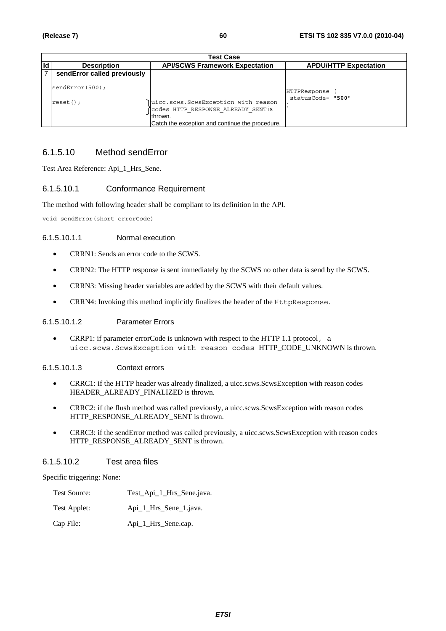| <b>Test Case</b>               |                                                                                                                                           |                                   |  |  |
|--------------------------------|-------------------------------------------------------------------------------------------------------------------------------------------|-----------------------------------|--|--|
| <b>Description</b>             | <b>API/SCWS Framework Expectation</b>                                                                                                     | <b>APDU/HTTP Expectation</b>      |  |  |
| sendError called previously    |                                                                                                                                           |                                   |  |  |
| sendError(500);<br>$reset()$ ; | uicc.scws.ScwsException with reason<br>Codes HTTP RESPONSE ALREADY SENT is<br>Ithrown.<br>Catch the exception and continue the procedure. | HTTPResponse<br>statusCode= "500" |  |  |

## 6.1.5.10 Method sendError

Test Area Reference: Api\_1\_Hrs\_Sene.

## 6.1.5.10.1 Conformance Requirement

The method with following header shall be compliant to its definition in the API.

void sendError(short errorCode)

#### 6.1.5.10.1.1 Normal execution

- CRRN1: Sends an error code to the SCWS.
- CRRN2: The HTTP response is sent immediately by the SCWS no other data is send by the SCWS.
- CRRN3: Missing header variables are added by the SCWS with their default values.
- CRRN4: Invoking this method implicitly finalizes the header of the HttpResponse.

#### 6.1.5.10.1.2 Parameter Errors

• CRRP1: if parameter errorCode is unknown with respect to the HTTP 1.1 protocol, a uicc.scws.ScwsException with reason codes HTTP\_CODE\_UNKNOWN is thrown.

#### 6.1.5.10.1.3 Context errors

- CRRC1: if the HTTP header was already finalized, a uicc.scws.ScwsException with reason codes HEADER\_ALREADY\_FINALIZED is thrown.
- CRRC2: if the flush method was called previously, a uicc.scws.ScwsException with reason codes HTTP\_RESPONSE\_ALREADY\_SENT is thrown.
- CRRC3: if the sendError method was called previously, a uicc.scws.ScwsException with reason codes HTTP\_RESPONSE\_ALREADY\_SENT is thrown.

### 6.1.5.10.2 Test area files

Specific triggering: None:

| <b>Test Source:</b> | Test_Api_1_Hrs_Sene.java. |
|---------------------|---------------------------|
| Test Applet:        | Api_1_Hrs_Sene_1.java.    |

Cap File: Api\_1\_Hrs\_Sene.cap.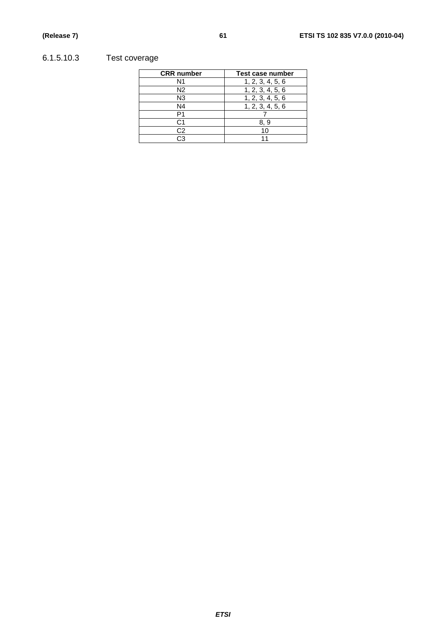# 6.1.5.10.3 Test coverage

| <b>CRR</b> number | Test case number |
|-------------------|------------------|
| N1                | 1, 2, 3, 4, 5, 6 |
| N <sub>2</sub>    | 1, 2, 3, 4, 5, 6 |
| N <sub>3</sub>    | 1, 2, 3, 4, 5, 6 |
| N4                | 1, 2, 3, 4, 5, 6 |
| P1                |                  |
| C1                | 8.9              |
| C <sub>2</sub>    | 10               |
| د.                | 11               |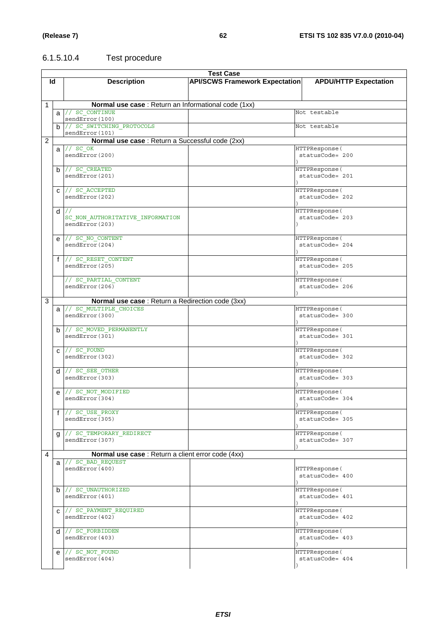# 6.1.5.10.4 Test procedure

|   | <b>Test Case</b> |                                                      |                                       |                              |  |
|---|------------------|------------------------------------------------------|---------------------------------------|------------------------------|--|
|   | ld               | <b>Description</b>                                   | <b>API/SCWS Framework Expectation</b> | <b>APDU/HTTP Expectation</b> |  |
|   |                  |                                                      |                                       |                              |  |
|   |                  |                                                      |                                       |                              |  |
|   |                  |                                                      |                                       |                              |  |
| 1 |                  | Normal use case : Return an Informational code (1xx) |                                       |                              |  |
|   |                  | $a$ // $sc$ continue                                 |                                       | Not testable                 |  |
|   |                  | sendError(100)                                       |                                       |                              |  |
|   |                  | b // SC_SWITCHING_PROTOCOLS                          |                                       | Not testable                 |  |
|   |                  | sendError(101)                                       |                                       |                              |  |
| 2 |                  | Normal use case : Return a Successful code (2xx)     |                                       |                              |  |
|   |                  | $a$ // $\overline{SC\ OK}$                           |                                       | HTTPResponse (               |  |
|   |                  | sendError(200)                                       |                                       | statusCode= 200              |  |
|   |                  |                                                      |                                       |                              |  |
|   |                  | $b$ // SC CREATED                                    |                                       | HTTPResponse (               |  |
|   |                  | sendError(201)                                       |                                       | statusCode= 201              |  |
|   |                  |                                                      |                                       |                              |  |
|   |                  | $C$ // SC_ACCEPTED                                   |                                       | HTTPResponse (               |  |
|   |                  | sendError(202)                                       |                                       | statusCode= 202              |  |
|   |                  |                                                      |                                       |                              |  |
|   |                  |                                                      |                                       | HTTPResponse (               |  |
|   |                  | $d$ //                                               |                                       | statusCode= 203              |  |
|   |                  | SC NON AUTHORITATIVE INFORMATION<br>sendError(203)   |                                       |                              |  |
|   |                  |                                                      |                                       |                              |  |
|   |                  |                                                      |                                       |                              |  |
|   |                  | $e$ // SC NO CONTENT                                 |                                       | HTTPResponse (               |  |
|   |                  | sendError(204)                                       |                                       | statusCode= 204              |  |
|   |                  |                                                      |                                       |                              |  |
|   |                  | f // SC_RESET_CONTENT                                |                                       | HTTPResponse (               |  |
|   |                  | sendError(205)                                       |                                       | $statusCode = 205$           |  |
|   |                  |                                                      |                                       |                              |  |
|   |                  | // SC PARTIAL CONTENT                                |                                       | HTTPResponse (               |  |
|   |                  | sendError(206)                                       |                                       | statusCode= 206              |  |
|   |                  |                                                      |                                       |                              |  |
| 3 |                  | Normal use case : Return a Redirection code (3xx)    |                                       |                              |  |
|   |                  | a // SC_MULTIPLE_CHOICES                             |                                       | HTTPResponse(                |  |
|   |                  | sendError(300)                                       |                                       | statusCode= 300              |  |
|   |                  |                                                      |                                       |                              |  |
|   |                  | $b$ // SC MOVED PERMANENTLY                          |                                       | HTTPResponse (               |  |
|   |                  | sendError(301)                                       |                                       | statusCode= 301              |  |
|   |                  |                                                      |                                       |                              |  |
|   |                  | $c$ // $sc$ FOUND                                    |                                       | HTTPResponse (               |  |
|   |                  | sendError(302)                                       |                                       | statusCode= 302              |  |
|   |                  |                                                      |                                       |                              |  |
|   |                  |                                                      |                                       |                              |  |
|   |                  | $d$ // SC_SEE_OTHER                                  |                                       | HTTPResponse(                |  |
|   |                  | sendError(303)                                       |                                       | statusCode= 303              |  |
|   |                  |                                                      |                                       |                              |  |
|   | e                | // SC NOT MODIFIED                                   |                                       | HTTPResponse (               |  |
|   |                  | sendError(304)                                       |                                       | statusCode= 304              |  |
|   |                  |                                                      | $\rightarrow$                         |                              |  |
|   |                  | f // SC_USE_PROXY                                    |                                       | HTTPResponse (               |  |
|   |                  | sendError(305)                                       |                                       | statusCode= 305              |  |
|   |                  |                                                      |                                       |                              |  |
|   | g                | // SC TEMPORARY REDIRECT                             |                                       | HTTPResponse (               |  |
|   |                  | sendError(307)                                       |                                       | statusCode= 307              |  |
|   |                  |                                                      |                                       |                              |  |
| 4 |                  | Normal use case : Return a client error code (4xx)   |                                       |                              |  |
|   |                  | $a$ // $SC$ BAD REQUEST                              |                                       |                              |  |
|   |                  | sendError(400)                                       |                                       | HTTPResponse (               |  |
|   |                  |                                                      |                                       | statusCode= 400              |  |
|   |                  |                                                      |                                       |                              |  |
|   |                  | $b$ // SC UNAUTHORIZED                               |                                       | HTTPResponse (               |  |
|   |                  | sendError(401)                                       |                                       | statusCode= 401              |  |
|   |                  |                                                      |                                       |                              |  |
|   |                  |                                                      |                                       | HTTPResponse (               |  |
|   |                  | C // SC_PAYMENT_REQUIRED                             |                                       |                              |  |
|   |                  | sendError(402)                                       |                                       | statusCode= 402              |  |
|   |                  |                                                      |                                       |                              |  |
|   |                  | $d$ // SC FORBIDDEN                                  |                                       | HTTPResponse (               |  |
|   |                  | sendError(403)                                       |                                       | statusCode= 403              |  |
|   |                  |                                                      |                                       |                              |  |
|   |                  | $e$ // $SCNOT$ FOUND                                 |                                       | HTTPResponse (               |  |
|   |                  | sendError(404)                                       |                                       | statusCode= 404              |  |
|   |                  |                                                      |                                       |                              |  |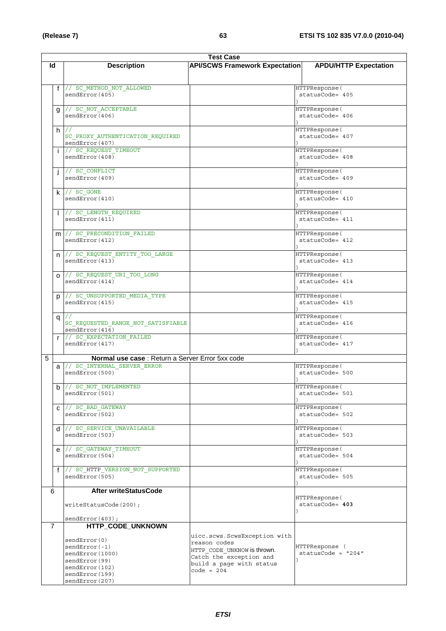|   | <b>Test Case</b> |                                                  |                                       |                              |
|---|------------------|--------------------------------------------------|---------------------------------------|------------------------------|
|   | ld               | <b>Description</b>                               | <b>API/SCWS Framework Expectation</b> | <b>APDU/HTTP Expectation</b> |
|   |                  |                                                  |                                       |                              |
|   |                  |                                                  |                                       |                              |
|   |                  | f // SC METHOD NOT ALLOWED                       |                                       | HTTPResponse (               |
|   |                  | sendError(405)                                   |                                       | statusCode= 405              |
|   |                  |                                                  |                                       |                              |
|   | g                | // SC NOT ACCEPTABLE                             |                                       | HTTPResponse (               |
|   |                  | sendError(406)                                   |                                       | statusCode= 406              |
|   |                  |                                                  |                                       |                              |
|   |                  | $h$ //                                           |                                       | HTTPResponse(                |
|   |                  | SC PROXY AUTHENTICATION REQUIRED                 |                                       | statusCode= 407              |
|   |                  | sendError(407)                                   |                                       |                              |
|   |                  |                                                  |                                       |                              |
|   |                  | // SC REQUEST TIMEOUT                            |                                       | HTTPResponse (               |
|   |                  | sendError(408)                                   |                                       | statusCode= 408              |
|   |                  |                                                  |                                       |                              |
|   |                  | // SC_CONFLICT                                   |                                       | HTTPResponse (               |
|   |                  | sendError(409)                                   |                                       | statusCode= 409              |
|   |                  |                                                  |                                       |                              |
|   |                  | $k$ // sc GONE                                   |                                       | HTTPResponse(                |
|   |                  | sendError(410)                                   |                                       | statusCode= 410              |
|   |                  |                                                  |                                       |                              |
|   |                  | // SC LENGTH REQUIRED                            |                                       | HTTPResponse (               |
|   |                  | sendError(411)                                   |                                       | statusCode= 411              |
|   |                  |                                                  |                                       |                              |
|   |                  | m // SC_PRECONDITION FAILED                      |                                       | HTTPResponse (               |
|   |                  | sendError(412)                                   |                                       | $statusCode = 412$           |
|   |                  |                                                  |                                       |                              |
|   |                  | n // SC_REQUEST_ENTITY_TOO_LARGE                 |                                       | HTTPResponse(                |
|   |                  | seror(413)                                       |                                       | statusCode= 413              |
|   |                  |                                                  |                                       |                              |
|   |                  | // SC_REQUEST_URI_TOO LONG                       |                                       | HTTPResponse(                |
|   | $\Omega$         | sendError(414)                                   |                                       | statusCode= 414              |
|   |                  |                                                  |                                       |                              |
|   |                  |                                                  |                                       |                              |
|   | p                | // SC UNSUPPORTED MEDIA TYPE                     |                                       | HTTPResponse (               |
|   |                  | sendError (415)                                  |                                       | statusCode= 415              |
|   |                  |                                                  |                                       |                              |
|   | q                | $\frac{1}{2}$                                    |                                       | HTTPResponse (               |
|   |                  | SC REQUESTED RANGE NOT SATISFIABLE               |                                       | statusCode= 416              |
|   |                  | sendError (416)                                  |                                       |                              |
|   | $\mathsf{r}$     | // SC EXPECTATION FAILED                         |                                       | HTTPResponse (               |
|   |                  | sendError(417)                                   |                                       | statusCode= 417              |
|   |                  |                                                  |                                       |                              |
| 5 |                  | Normal use case : Return a Server Error 5xx code |                                       |                              |
|   |                  | a // SC_INTERNAL_SERVER ERROR                    |                                       | HTTPResponse (               |
|   |                  | searchError(500)                                 |                                       | statusCode= 500              |
|   |                  |                                                  |                                       |                              |
|   |                  | $b$ // SC NOT IMPLEMENTED                        |                                       | HTTPResponse (               |
|   |                  | sendError(501)                                   |                                       | statusCode= 501              |
|   |                  |                                                  |                                       |                              |
|   | $\mathbf{C}$     | // SC BAD GATEWAY                                |                                       | HTTPResponse(                |
|   |                  | sendError(502)                                   |                                       | statusCode= 502              |
|   |                  |                                                  |                                       |                              |
|   |                  | $d$ // SC_SERVICE UNAVAILABLE                    |                                       | HTTPResponse (               |
|   |                  | sendError(503)                                   |                                       | statusCode= 503              |
|   |                  |                                                  |                                       |                              |
|   |                  | $e$ // SC GATEWAY TIMEOUT                        |                                       | HTTPResponse(                |
|   |                  | sendError(504)                                   |                                       | statusCode= 504              |
|   |                  |                                                  |                                       |                              |
|   | $\mathbf{f}$     | // SC_HTTP_VERSION_NOT SUPPORTED                 |                                       | HTTPResponse (               |
|   |                  | sendError(505)                                   |                                       | statusCode= 505              |
|   |                  |                                                  |                                       |                              |
|   | 6                | <b>After writeStatusCode</b>                     |                                       |                              |
|   |                  |                                                  |                                       | HTTPResponse (               |
|   |                  | writeStatusCode(200);                            |                                       | statusCode= 403              |
|   |                  |                                                  |                                       |                              |
|   |                  | sendError(403);                                  |                                       |                              |
|   |                  |                                                  |                                       |                              |
|   | $\overline{7}$   | HTTP_CODE_UNKNOWN                                |                                       |                              |
|   |                  |                                                  | uicc.scws.ScwsException with          |                              |
|   |                  | sendError(0)                                     | reason codes                          |                              |
|   |                  | $sendError(-1)$                                  | HTTP CODE UNKNOW is thrown.           | HTTPResponse (               |
|   |                  | sendError(1000)                                  | Catch the exception and               | statusCode = $"204"$         |
|   |                  | sendError(99)                                    | build a page with status              |                              |
|   |                  | sendError(102)                                   | $code = 204$                          |                              |
|   |                  | sendError(199)                                   |                                       |                              |
|   |                  | sendError(207)                                   |                                       |                              |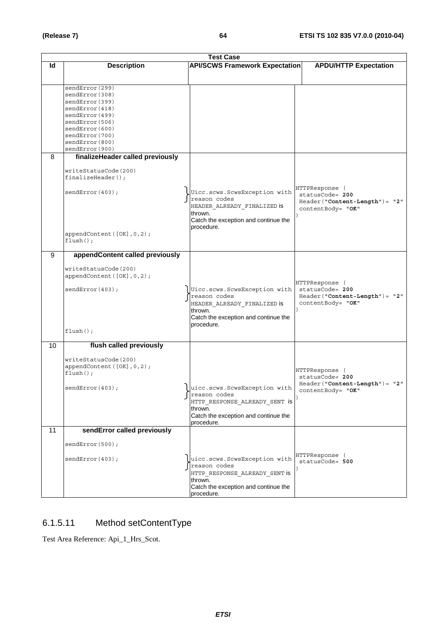|    | <b>Test Case</b>                                    |  |                                               |                                                    |
|----|-----------------------------------------------------|--|-----------------------------------------------|----------------------------------------------------|
| Id | <b>Description</b>                                  |  | <b>API/SCWS Framework Expectation</b>         | <b>APDU/HTTP Expectation</b>                       |
|    |                                                     |  |                                               |                                                    |
|    | sendError(299)                                      |  |                                               |                                                    |
|    | sendError(308)                                      |  |                                               |                                                    |
|    | sendError(399)                                      |  |                                               |                                                    |
|    | sendError(418)                                      |  |                                               |                                                    |
|    | sendError(499)                                      |  |                                               |                                                    |
|    | sendError(506)<br>sendError(600)                    |  |                                               |                                                    |
|    | sendError(700)                                      |  |                                               |                                                    |
|    | sendError(800)                                      |  |                                               |                                                    |
|    | sendError(900)                                      |  |                                               |                                                    |
| 8  | finalizeHeader called previously                    |  |                                               |                                                    |
|    | writeStatusCode(200)<br>$finalizeHeader()$ ;        |  |                                               |                                                    |
|    |                                                     |  |                                               | HTTPResponse (                                     |
|    | sendError(403);                                     |  | Uicc.scws.ScwsException with<br>reason codes  | statusCode= 200                                    |
|    |                                                     |  | HEADER_ALREADY_FINALIZED is                   | Header("Content-Length")= "2"<br>contentBody= "OK" |
|    |                                                     |  | thrown.                                       |                                                    |
|    |                                                     |  | Catch the exception and continue the          |                                                    |
|    | appendContent ([OK], 0, 2);                         |  | procedure.                                    |                                                    |
|    | $flush()$ ;                                         |  |                                               |                                                    |
|    |                                                     |  |                                               |                                                    |
| 9  | appendContent called previously                     |  |                                               |                                                    |
|    | writeStatusCode(200)                                |  |                                               |                                                    |
|    | appendContent ([OK], 0, 2);                         |  |                                               |                                                    |
|    |                                                     |  |                                               | HTTPResponse (                                     |
|    | sendError(403);                                     |  | Uicc.scws.ScwsException with<br>reason codes  | statusCode= 200<br>Header("Content-Length")= "2"   |
|    |                                                     |  | HEADER_ALREADY_FINALIZED is                   | contentBody= "OK"                                  |
|    |                                                     |  | thrown.                                       |                                                    |
|    |                                                     |  | Catch the exception and continue the          |                                                    |
|    | $flush()$ ;                                         |  | procedure.                                    |                                                    |
|    |                                                     |  |                                               |                                                    |
| 10 | flush called previously                             |  |                                               |                                                    |
|    |                                                     |  |                                               |                                                    |
|    | writeStatusCode(200)<br>appendContent ([OK], 0, 2); |  |                                               |                                                    |
|    | $flush()$ ;                                         |  |                                               | HTTPResponse (                                     |
|    |                                                     |  |                                               | statusCode= 200<br>Header("Content-Length")= "2"   |
|    | sendError(403);                                     |  | uicc.scws.ScwsException with                  | contentBody= "OK"                                  |
|    |                                                     |  | reason codes<br>HTTP RESPONSE ALREADY SENT IS |                                                    |
|    |                                                     |  | thrown.                                       |                                                    |
|    |                                                     |  | Catch the exception and continue the          |                                                    |
|    |                                                     |  | procedure.                                    |                                                    |
| 11 | sendError called previously                         |  |                                               |                                                    |
|    | sendError(500);                                     |  |                                               |                                                    |
|    |                                                     |  |                                               | HTTPResponse (                                     |
|    | sendError(403);                                     |  | uicc.scws.ScwsException with                  | $statusCode = 500$                                 |
|    |                                                     |  | reason codes<br>HTTP RESPONSE ALREADY SENT is |                                                    |
|    |                                                     |  | thrown.                                       |                                                    |
|    |                                                     |  | Catch the exception and continue the          |                                                    |
|    |                                                     |  | procedure.                                    |                                                    |

# 6.1.5.11 Method setContentType

Test Area Reference: Api\_1\_Hrs\_Scot.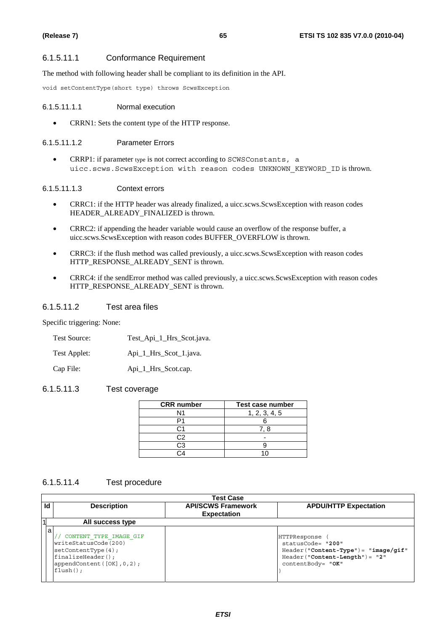## 6.1.5.11.1 Conformance Requirement

The method with following header shall be compliant to its definition in the API.

void setContentType(short type) throws ScwsException

#### 6.1.5.11.1.1 Normal execution

• CRRN1: Sets the content type of the HTTP response.

#### 6.1.5.11.1.2 Parameter Errors

• CRRP1: if parameter type is not correct according to SCWSConstants, a uicc.scws.ScwsException with reason codes UNKNOWN\_KEYWORD\_ID is thrown.

## 6.1.5.11.1.3 Context errors

- CRRC1: if the HTTP header was already finalized, a uicc.scws.ScwsException with reason codes HEADER\_ALREADY\_FINALIZED is thrown.
- CRRC2: if appending the header variable would cause an overflow of the response buffer, a uicc.scws.ScwsException with reason codes BUFFER\_OVERFLOW is thrown.
- CRRC3: if the flush method was called previously, a uicc.scws.ScwsException with reason codes HTTP\_RESPONSE\_ALREADY\_SENT is thrown.
- CRRC4: if the sendError method was called previously, a uicc.scws.ScwsException with reason codes HTTP\_RESPONSE\_ALREADY\_SENT is thrown.

## 6.1.5.11.2 Test area files

Specific triggering: None:

| Test Source: |  |  | Test_Api_1_Hrs_Scot.java. |
|--------------|--|--|---------------------------|
|--------------|--|--|---------------------------|

| Test Applet: |  |  |  | Api_1_Hrs_Scot_1.java. |
|--------------|--|--|--|------------------------|
|--------------|--|--|--|------------------------|

Cap File: Api\_1\_Hrs\_Scot.cap.

## 6.1.5.11.3 Test coverage

| <b>CRR</b> number | Test case number |
|-------------------|------------------|
| N1                | 1, 2, 3, 4, 5    |
|                   |                  |
|                   | 78               |
| C <sub>2</sub>    |                  |
| CЗ                |                  |
|                   |                  |

## 6.1.5.11.4 Test procedure

|              | <b>Test Case</b>                                                                                                                                     |                                                 |                                                                                                                                      |  |
|--------------|------------------------------------------------------------------------------------------------------------------------------------------------------|-------------------------------------------------|--------------------------------------------------------------------------------------------------------------------------------------|--|
| Id           | <b>Description</b>                                                                                                                                   | <b>API/SCWS Framework</b><br><b>Expectation</b> | <b>APDU/HTTP Expectation</b>                                                                                                         |  |
| $\mathbf{1}$ | All success type                                                                                                                                     |                                                 |                                                                                                                                      |  |
| a            | CONTENT TYPE IMAGE GIF<br>writeStatusCode(200)<br>setContextType(4);<br>$finalizeHeader()$ ;<br>appendContent ( $[OK]$ , $0$ , $2$ );<br>$flush()$ ; |                                                 | HTTPResponse<br>statusCode= "200"<br>$Header("Content-Type") = "image/gif"$<br>$Header('Content-Length") = "2"$<br>contentBody= "OK" |  |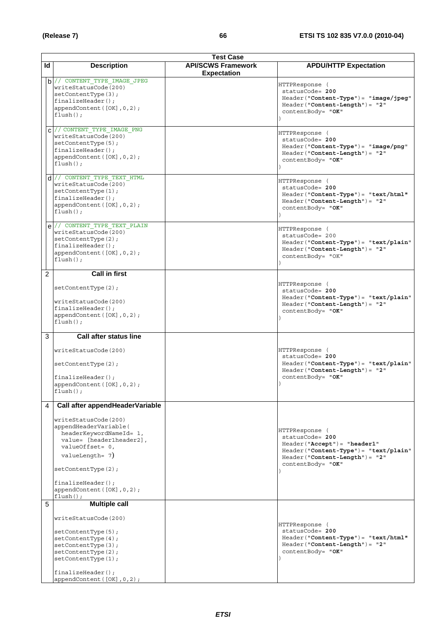|                | <b>Test Case</b>                                                                                                                                                                                                                                                          |                                                 |                                                                                                                                                                     |  |
|----------------|---------------------------------------------------------------------------------------------------------------------------------------------------------------------------------------------------------------------------------------------------------------------------|-------------------------------------------------|---------------------------------------------------------------------------------------------------------------------------------------------------------------------|--|
| ld             | <b>Description</b>                                                                                                                                                                                                                                                        | <b>API/SCWS Framework</b><br><b>Expectation</b> | <b>APDU/HTTP Expectation</b>                                                                                                                                        |  |
|                | $b$ // CONTENT_TYPE_IMAGE_JPEG<br>writeStatusCode(200)<br>setContextType(3);<br>$finalizeHeader()$ ;<br>appendContent ([OK], 0, 2);<br>$flush()$ ;                                                                                                                        |                                                 | HTTPResponse (<br>statusCode= 200<br>Header("Content-Type")= "image/jpeg"<br>Header("Content-Length")= "2"<br>contentBody= "OK"                                     |  |
|                | $C$ // CONTENT_TYPE_IMAGE PNG<br>writeStatusCode(200)<br>setContextType(5);<br>$finalizeHeader()$ ;<br>appendContent ([OK], 0, 2);<br>$flush()$ ;                                                                                                                         |                                                 | HTTPResponse (<br>statusCode= 200<br>$Header("Content-Type") = "image/png"$<br>$Header('Content-Length") = "2"$<br>contentBody= "OK"                                |  |
|                | $d$ // CONTENT TYPE TEXT HTML<br>writeStatusCode(200)<br>setContextType(1);<br>$finalizeHeader()$ ;<br>appendContent ([OK], 0, 2);<br>$flush()$ ;                                                                                                                         |                                                 | HTTPResponse (<br>statusCode= 200<br>Header ("Content-Type") = "text/html"<br>$Header('Content-Length") = "2"$<br>contentBody= "OK"                                 |  |
|                | e // CONTENT TYPE TEXT PLAIN<br>writeStatusCode(200)<br>setContextType(2);<br>$finalizeHeader()$ ;<br>appendContent ([OK], 0, 2);<br>$flush()$ ;                                                                                                                          |                                                 | HTTPResponse (<br>statusCode= 200<br>$Header("Content-Type") = "text/plain"$<br>$Header('Content-Length") = "2"$<br>contentBody= "OK"                               |  |
| $\overline{2}$ | <b>Call in first</b>                                                                                                                                                                                                                                                      |                                                 |                                                                                                                                                                     |  |
|                | setContextType(2);<br>writeStatusCode(200)<br>$finalizeHeader()$ ;<br>appendContent([OK], 0, 2);<br>$flush()$ ;                                                                                                                                                           |                                                 | HTTPResponse (<br>statusCode= 200<br>$Header("Content-Type") = "text/plain"$<br>$Header('Content-Length") = "2"$<br>contentBody= "OK"                               |  |
| 3              | Call after status line<br>writeStatusCode(200)<br>setContextType(2);<br>$finalizeHeader()$ ;<br>appendContent ([OK], 0, 2);<br>$flush()$ ;                                                                                                                                |                                                 | HTTPResponse (<br>statusCode= 200<br>$Header("Content-Type") = "text/plain"$<br>Header("Content-Length")= "2"<br>contentBody= "OK"                                  |  |
| 4              | Call after appendHeaderVariable<br>writeStatusCode(200)<br>appendHeaderVariable(<br>headerKeywordNameId= 1,<br>value= [header1header2],<br>valueOffset= 0,<br>valueLength= 7)<br>setContextType(2);<br>$finalizeHeader()$ ;<br>appendContent ([OK], 0, 2);<br>$flush()$ ; |                                                 | HTTPResponse (<br>statusCode= 200<br>Header ("Accept") = "header1"<br>Header("Content-Type")= "text/plain"<br>$Header('Content-Length") = "2"$<br>contentBody= "OK" |  |
| 5              | <b>Multiple call</b><br>writeStatusCode(200)<br>setContextType(5);<br>setContextType(4);<br>setContextType(3);<br>setContextType(2);<br>setContextType(1);<br>$finalizeHeader()$ ;<br>appendContent $([OK], 0, 2)$ ;                                                      |                                                 | HTTPResponse (<br>statusCode= 200<br>Header("Content-Type")= "text/html"<br>$Header('Content-Length") = "2"$<br>contentBody= "OK"                                   |  |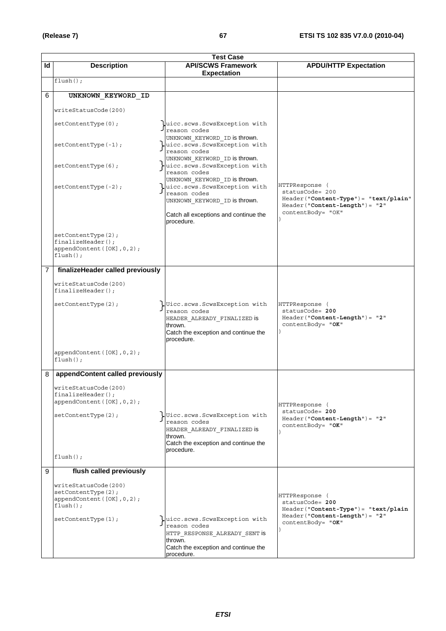|                | <b>Test Case</b>                                                                         |                                                                                                                                                |                                                                                                                |  |
|----------------|------------------------------------------------------------------------------------------|------------------------------------------------------------------------------------------------------------------------------------------------|----------------------------------------------------------------------------------------------------------------|--|
| ld             | <b>Description</b>                                                                       | <b>API/SCWS Framework</b><br><b>Expectation</b>                                                                                                | <b>APDU/HTTP Expectation</b>                                                                                   |  |
|                | $flush()$ ;                                                                              |                                                                                                                                                |                                                                                                                |  |
| 6              | UNKNOWN KEYWORD ID                                                                       |                                                                                                                                                |                                                                                                                |  |
|                | writeStatusCode(200)                                                                     |                                                                                                                                                |                                                                                                                |  |
|                | setContextType(0);                                                                       | uicc.scws.ScwsException with<br>reason codes                                                                                                   |                                                                                                                |  |
|                | $setContextType(-1);$                                                                    | UNKNOWN KEYWORD ID is thrown.<br>uicc.scws.ScwsException with<br>reason codes<br>UNKNOWN KEYWORD ID is thrown.                                 |                                                                                                                |  |
|                | setContextType(6);                                                                       | uicc.scws.ScwsException with<br>reason codes                                                                                                   |                                                                                                                |  |
|                | $setContextType(-2);$                                                                    | UNKNOWN_KEYWORD_ID is thrown.<br>uicc.scws.ScwsException with<br>reason codes<br>UNKNOWN KEYWORD ID is thrown.                                 | HTTPResponse (<br>statusCode= 200<br>Header ("Content-Type") = "text/plain"<br>Header ("Content-Length") = "2" |  |
|                |                                                                                          | Catch all exceptions and continue the<br>procedure.                                                                                            | contentBody= "OK"                                                                                              |  |
|                | setContextType(2);<br>$finalizeHeader()$ ;<br>appendContent ([OK], 0, 2);<br>$flush()$ ; |                                                                                                                                                |                                                                                                                |  |
| $\overline{7}$ | finalizeHeader called previously                                                         |                                                                                                                                                |                                                                                                                |  |
|                | writeStatusCode(200)<br>$finalizeHeader()$ ;                                             |                                                                                                                                                |                                                                                                                |  |
|                | setContextType(2);                                                                       | Ulicc.scws.ScwsException with<br>reason codes<br>HEADER_ALREADY_FINALIZED is<br>thrown.<br>Catch the exception and continue the<br>procedure.  | HTTPResponse (<br>statusCode= 200<br>Header ("Content-Length") = "2"<br>contentBody= "OK"                      |  |
|                | appendContent ([OK], 0, 2);<br>$flush()$ ;                                               |                                                                                                                                                |                                                                                                                |  |
| 8              | appendContent called previously                                                          |                                                                                                                                                |                                                                                                                |  |
|                | writeStatusCode(200)<br>$finalizeHeader()$ ;<br>appendContent([OK], 0, 2);               |                                                                                                                                                | HTTPResponse (                                                                                                 |  |
|                | setContextType(2);                                                                       | Ulicc.scws.ScwsException with<br>reason codes<br>HEADER ALREADY FINALIZED IS<br>thrown.<br>Catch the exception and continue the<br>procedure.  | statusCode= 200<br>$Header('Content-Length") = "2"$<br>contentBody= "OK"                                       |  |
|                | $flush()$ ;                                                                              |                                                                                                                                                |                                                                                                                |  |
| 9              | flush called previously                                                                  |                                                                                                                                                |                                                                                                                |  |
|                | writeStatusCode(200)<br>setContextType(2);<br>appendContent([OK], 0, 2);<br>$flush()$ ;  |                                                                                                                                                | HTTPResponse (<br>statusCode= 200<br>Header("Content-Type")= "text/plain<br>$Header('Content-Length") = "2"$   |  |
|                | setContextType(1);                                                                       | uicc.scws.ScwsException with<br>reason codes<br>HTTP RESPONSE ALREADY SENT is<br>thrown.<br>Catch the exception and continue the<br>procedure. | contentBody= "OK"                                                                                              |  |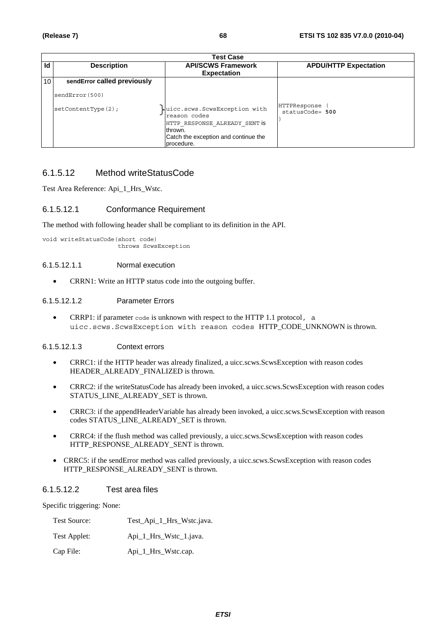|    | <b>Test Case</b>                               |                                                                                                                                                |                                    |  |  |
|----|------------------------------------------------|------------------------------------------------------------------------------------------------------------------------------------------------|------------------------------------|--|--|
| Id | <b>Description</b>                             | <b>API/SCWS Framework</b><br><b>Expectation</b>                                                                                                | <b>APDU/HTTP Expectation</b>       |  |  |
| 10 | sendError called previously<br>sendError (500) |                                                                                                                                                |                                    |  |  |
|    | setContextType(2);                             | uicc.scws.ScwsException with<br>reason codes<br>HTTP RESPONSE ALREADY SENT IS<br>thrown.<br>Catch the exception and continue the<br>procedure. | HTTPResponse<br>$statusCode = 500$ |  |  |

## 6.1.5.12 Method writeStatusCode

Test Area Reference: Api\_1\_Hrs\_Wstc.

## 6.1.5.12.1 Conformance Requirement

The method with following header shall be compliant to its definition in the API.

void writeStatusCode(short code) throws ScwsException

### 6.1.5.12.1.1 Normal execution

• CRRN1: Write an HTTP status code into the outgoing buffer.

### 6.1.5.12.1.2 Parameter Errors

• CRRP1: if parameter  $\cosh$  is unknown with respect to the HTTP 1.1 protocol, a uicc.scws.ScwsException with reason codes HTTP\_CODE\_UNKNOWN is thrown.

### 6.1.5.12.1.3 Context errors

- CRRC1: if the HTTP header was already finalized, a uicc.scws.ScwsException with reason codes HEADER\_ALREADY\_FINALIZED is thrown.
- CRRC2: if the writeStatusCode has already been invoked, a uicc.scws.ScwsException with reason codes STATUS\_LINE\_ALREADY\_SET is thrown.
- CRRC3: if the appendHeaderVariable has already been invoked, a uicc.scws.ScwsException with reason codes STATUS\_LINE\_ALREADY\_SET is thrown.
- CRRC4: if the flush method was called previously, a uicc.scws.ScwsException with reason codes HTTP\_RESPONSE\_ALREADY\_SENT is thrown.
- CRRC5: if the sendError method was called previously, a uicc.scws.ScwsException with reason codes HTTP\_RESPONSE\_ALREADY\_SENT is thrown.

## 6.1.5.12.2 Test area files

Specific triggering: None:

| Test Source: | Test_Api_1_Hrs_Wstc.java. |
|--------------|---------------------------|
| Test Applet: | Api_1_Hrs_Wstc_1.java.    |
| Cap File:    | Api_1_Hrs_Wstc.cap.       |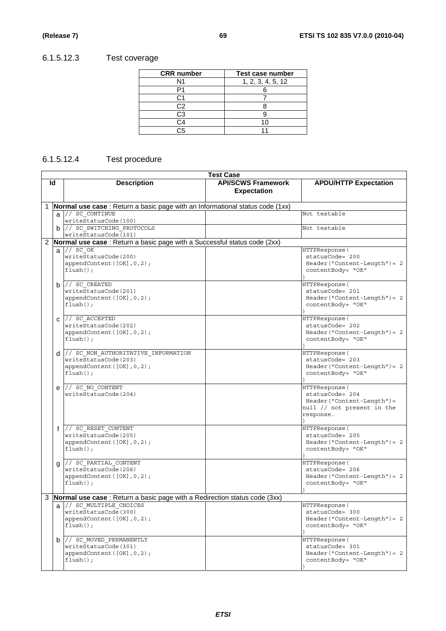# 6.1.5.12.3 Test coverage

| <b>CRR</b> number | <b>Test case number</b> |
|-------------------|-------------------------|
| N1                | 1, 2, 3, 4, 5, 12       |
|                   |                         |
| C 1               |                         |
| C2                |                         |
| CЗ                |                         |
|                   |                         |
| ^հ                |                         |

# 6.1.5.12.4 Test procedure

|                |   |                                                                                                               | <b>Test Case</b>                                |                                                                                                          |
|----------------|---|---------------------------------------------------------------------------------------------------------------|-------------------------------------------------|----------------------------------------------------------------------------------------------------------|
| ld             |   | <b>Description</b>                                                                                            | <b>API/SCWS Framework</b><br><b>Expectation</b> | <b>APDU/HTTP Expectation</b>                                                                             |
| 1              |   | <b>Normal use case</b> : Return a basic page with an Informational status code (1xx)                          |                                                 |                                                                                                          |
|                |   | $a$ // $sc$ continue<br>writeStatusCode(100)                                                                  |                                                 | Not testable                                                                                             |
|                |   | b // SC SWITCHING PROTOCOLS<br>writeStatusCode(101)                                                           |                                                 | Not testable                                                                                             |
| $\overline{2}$ |   | Normal use case: Return a basic page with a Successful status code (2xx)                                      |                                                 |                                                                                                          |
|                |   | $a$ // $sc$ $\overline{ox}$<br>writeStatusCode(200)<br>appendContent ([OK], 0, 2);<br>$flush()$ ;             |                                                 | HTTPResponse (<br>statusCode= 200<br>$Header('Content-Length') = 2$<br>contentBody= "OK"                 |
|                |   | $b$ // SC CREATED<br>writeStatusCode(201)<br>appendContent ([OK], 0, 2);<br>$flush()$ ;                       |                                                 | HTTPResponse (<br>statusCode= 201<br>$Header('Content-Length") = 2$<br>contentBody= "OK"                 |
|                | C | // SC ACCEPTED<br>writeStatusCode(202)<br>appendContent ([OK], 0, 2);<br>$flush()$ ;                          |                                                 | HTTPResponse (<br>statusCode= 202<br>$Header('Content-Length") = 2$<br>contentBody= "OK"                 |
|                |   | $d$ // SC NON AUTHORITATIVE INFORMATION<br>writeStatusCode(203)<br>appendContent ([OK], 0, 2);<br>$flush()$ ; |                                                 | HTTPResponse (<br>statusCode= 203<br>$Header('Content-Length") = 2$<br>contentBody= "OK"                 |
|                |   | $e$ // SC NO CONTENT<br>writeStatusCode(204)                                                                  |                                                 | HTTPResponse(<br>statusCode= 204<br>Header("Content-Length")=<br>null // not present in the<br>response. |
|                |   | $f$ // SC RESET CONTENT<br>writeStatusCode(205)<br>appendContent ([OK], 0, 2);<br>$flush()$ ;                 |                                                 | HTTPResponse(<br>statusCode= 205<br>$Header('Content-Length") = 2$<br>contentBody= "OK"                  |
|                | a | // SC PARTIAL CONTENT<br>writeStatusCode(206)<br>appendContent ([OK], 0, 2);<br>$flush()$ ;                   |                                                 | HTTPResponse(<br>statusCode= 206<br>$Header('Content-Length") = 2$<br>contentBody= "OK"                  |
| 3              |   | Normal use case: Return a basic page with a Redirection status code (3xx)                                     |                                                 |                                                                                                          |
|                |   | a // SC_MULTIPLE CHOICES<br>writeStatusCode(300)<br>appendContent ([OK], 0, 2);<br>$flush()$ ;                |                                                 | HTTPResponse (<br>statusCode= 300<br>$Header('Content-Length") = 2$<br>contentBody= "OK"                 |
|                | b | // SC MOVED PERMANENTLY<br>writeStatusCode(301)<br>appendContent([OK], 0, 2);<br>$flush()$ ;                  |                                                 | HTTPResponse (<br>statusCode= 301<br>$Header('Content-Length') = 2$<br>contentBody= "OK"                 |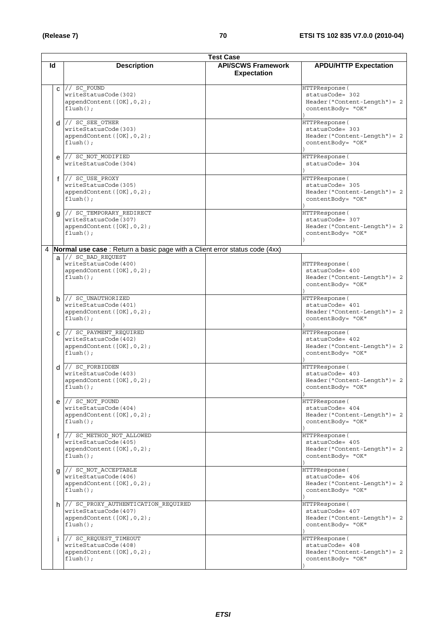|    | <b>Test Case</b>                                                                                           |                                                 |                                                                                          |  |
|----|------------------------------------------------------------------------------------------------------------|-------------------------------------------------|------------------------------------------------------------------------------------------|--|
| ld | <b>Description</b>                                                                                         | <b>API/SCWS Framework</b><br><b>Expectation</b> | <b>APDU/HTTP Expectation</b>                                                             |  |
|    | $c$ // $s\overline{c}$ FOUND<br>writeStatusCode(302)<br>appendContent ([OK], 0, 2);<br>$flush()$ ;         |                                                 | HTTPResponse(<br>statusCode= 302<br>$Header('Content-Length") = 2$<br>contentBody= "OK"  |  |
|    | $d$ // $SC$ $SEE$ $OTHER$<br>writeStatusCode(303)<br>appendContent ([OK], 0, 2);<br>$flush()$ ;            |                                                 | HTTPResponse(<br>statusCode= 303<br>$Header('Content-Length") = 2$<br>contentBody= "OK"  |  |
| e  | // SC NOT MODIFIED<br>writeStatusCode(304)                                                                 |                                                 | HTTPResponse (<br>statusCode= 304                                                        |  |
|    | f // SC_USE_PROXY<br>writeStatusCode(305)<br>appendContent([OK], 0, 2);<br>$flush()$ ;                     |                                                 | HTTPResponse (<br>statusCode= 305<br>$Header('Content-Length") = 2$<br>contentBody= "OK" |  |
|    | g // SC_TEMPORARY_REDIRECT<br>writeStatusCode(307)<br>appendContent([OK], 0, 2);<br>$flush()$ ;            |                                                 | HTTPResponse (<br>statusCode= 307<br>$Header('Content-Length") = 2$<br>contentBody= "OK" |  |
|    | 4 <b>Normal use case</b> : Return a basic page with a Client error status code (4xx)                       |                                                 |                                                                                          |  |
|    | a // SC_BAD REQUEST<br>writeStatusCode(400)<br>appendContent([OK], 0, 2);<br>$flush()$ ;                   |                                                 | HTTPResponse(<br>statusCode= 400<br>$Header('Content-Length") = 2$<br>contentBody= "OK"  |  |
|    | $b$ // SC UNAUTHORIZED<br>writeStatusCode(401)<br>appendContent([OK], 0, 2);<br>$flush()$ ;                |                                                 | HTTPResponse(<br>statusCode= 401<br>$Header('Content-Length") = 2$<br>contentBody= "OK"  |  |
|    | $C$ // SC PAYMENT REQUIRED<br>writeStatusCode(402)<br>appendContent([OK], 0, 2);<br>$flush()$ ;            |                                                 | HTTPResponse (<br>statusCode= 402<br>$Header('Content-Length") = 2$<br>contentBody= "OK" |  |
|    | $d$ // $SC_FORBIDDEN$<br>writeStatusCode(403)<br>appendContent([OK], 0, 2);<br>$flush()$ ;                 |                                                 | HTTPResponse (<br>statusCode= 403<br>$Header("Content-Length") = 2$<br>contentBody= "OK" |  |
|    | $e$ // $SC_NOT_FOUND$<br>writeStatusCode(404)<br>appendContent ([OK], 0, 2);<br>$flush()$ ;                |                                                 | HTTPResponse (<br>statusCode= 404<br>$Header('Content-Length') = 2$<br>contentBody= "OK" |  |
|    | f // SC METHOD NOT ALLOWED<br>writeStatusCode(405)<br>appendContent([OK], 0, 2);<br>$flush()$ ;            |                                                 | HTTPResponse (<br>statusCode= 405<br>$Header('Content-Length") = 2$<br>contentBody= "OK" |  |
| g  | // SC NOT ACCEPTABLE<br>writeStatusCode(406)<br>appendContent([OK], 0, 2);<br>$flush()$ ;                  |                                                 | HTTPResponse (<br>statusCode= 406<br>$Header('Content-Length") = 2$<br>contentBody= "OK" |  |
|    | h // SC PROXY_AUTHENTICATION_REQUIRED<br>writeStatusCode(407)<br>appendContent([OK], 0, 2);<br>$flush()$ ; |                                                 | HTTPResponse(<br>statusCode= 407<br>Header("Content-Length") = 2<br>contentBody= "OK"    |  |
| İ. | // SC REQUEST TIMEOUT<br>writeStatusCode(408)<br>appendContent([OK], 0, 2);<br>$flush()$ ;                 |                                                 | HTTPResponse (<br>statusCode= 408<br>$Header('Content-Length") = 2$<br>contentBody= "OK" |  |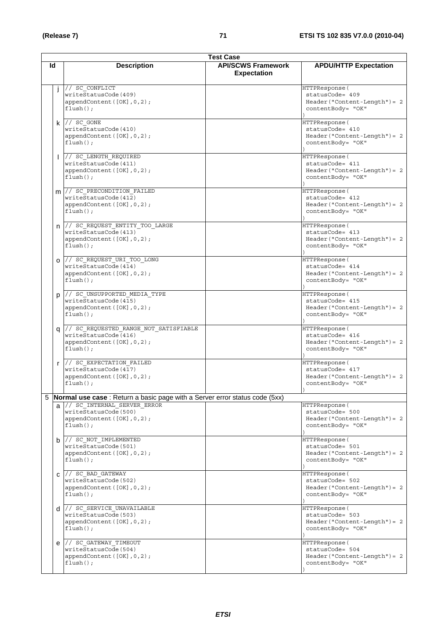|    | <b>Test Case</b>                                                                                           |                                                 |                                                                                                            |  |  |  |
|----|------------------------------------------------------------------------------------------------------------|-------------------------------------------------|------------------------------------------------------------------------------------------------------------|--|--|--|
| ld | <b>Description</b>                                                                                         | <b>API/SCWS Framework</b><br><b>Expectation</b> | <b>APDU/HTTP Expectation</b>                                                                               |  |  |  |
| j  | // SC CONFLICT<br>writeStatusCode(409)<br>appendContent ([OK], 0, 2);<br>$flush()$ ;                       |                                                 | HTTPResponse (<br>statusCode= 409<br>$Header('Content-Length') = 2$<br>contentBody= "OK"                   |  |  |  |
|    | $k$ // $SC$ GONE<br>writeStatusCode(410)<br>appendContent ([OK], 0, 2);<br>$flush()$ ;                     |                                                 | HTTPResponse (<br>statusCode= 410<br>$Header('Content-Length') = 2$<br>contentBody= "OK"                   |  |  |  |
|    | // SC LENGTH REQUIRED<br>writeStatusCode(411)<br>appendContent([OK], 0, 2);<br>$flush()$ ;                 |                                                 | HTTPResponse(<br>statusCode= 411<br>$Header('Content-Length") = 2$<br>contentBody= "OK"                    |  |  |  |
|    | m // SC_PRECONDITION FAILED<br>writeStatusCode(412)<br>appendContent ([OK], 0, 2);<br>$flush()$ ;          |                                                 | HTTPResponse (<br>statusCode= 412<br>$Header('Content-Length") = 2$<br>contentBody= "OK"                   |  |  |  |
|    | n // SC_REQUEST_ENTITY_TOO_LARGE<br>writeStatusCode(413)<br>appendContent ([OK], 0, 2);<br>$flush()$ ;     |                                                 | HTTPResponse(<br>statusCode= 413<br>$Header('Content-Length') = 2$<br>contentBody= "OK"                    |  |  |  |
|    | 0 // SC_REQUEST_URI_TOO LONG<br>writeStatusCode(414)<br>appendContent([OK], 0, 2);<br>$flush()$ ;          |                                                 | HTTPResponse(<br>statusCode= 414<br>$Header('Content-Length') = 2$<br>contentBody= "OK"                    |  |  |  |
|    | p // SC_UNSUPPORTED_MEDIA TYPE<br>writeStatusCode(415)<br>appendContent([OK], 0, 2);<br>$flush()$ ;        |                                                 | HTTPResponse (<br>statusCode= 415<br>$Header('Content-Length') = 2$<br>contentBody= "OK"                   |  |  |  |
| a  | // SC REQUESTED RANGE NOT SATISFIABLE<br>writeStatusCode(416)<br>appendContent([OK], 0, 2);<br>$flush()$ ; |                                                 | HTTPResponse (<br>statusCode= 416<br>$Header('Content-Length') = 2$<br>contentBody= "OK"                   |  |  |  |
| r  | $\frac{1}{2}$ SC EXPECTATION FAILED<br>writeStatusCode(417)<br>appendContent([OK], 0, 2);<br>$flush()$ ;   |                                                 | HTTPResponse (<br>statusCode= 417<br>Header("Content-Length") = 2<br>contentBody= "OK"<br>$\left( \right)$ |  |  |  |
|    | 5   Normal use case : Return a basic page with a Server error status code (5xx)                            |                                                 |                                                                                                            |  |  |  |
|    | a // SC INTERNAL SERVER ERROR<br>writeStatusCode(500)<br>appendContent ([OK], 0, 2);<br>$flush()$ ;        |                                                 | HTTPResponse (<br>statusCode= 500<br>$Header('Content-Length") = 2$<br>contentBody= "OK"                   |  |  |  |
| b  | // SC_NOT_IMPLEMENTED<br>writeStatusCode(501)<br>appendContent ([OK], 0, 2);<br>$flush()$ ;                |                                                 | HTTPResponse (<br>statusCode= 501<br>$Header('Content-Length") = 2$<br>contentBody= "OK"                   |  |  |  |
| C  | $\frac{1}{2}$ SC BAD GATEWAY<br>writeStatusCode(502)<br>appendContent ([OK], 0, 2);<br>$flush()$ ;         |                                                 | HTTPResponse (<br>statusCode= 502<br>$Header('Content-Length") = 2$<br>contentBody= "OK"                   |  |  |  |
|    | d // SC_SERVICE_UNAVAILABLE<br>writeStatusCode(503)<br>appendContent ([OK], 0, 2);<br>$flush()$ ;          |                                                 | HTTPResponse (<br>statusCode= 503<br>$Header('Content-Length") = 2$<br>contentBody= "OK"                   |  |  |  |
| e  | // SC GATEWAY TIMEOUT<br>writeStatusCode(504)<br>appendContent([OK], 0, 2);<br>$flush()$ ;                 |                                                 | HTTPResponse (<br>statusCode= 504<br>$Header('Content-Length") = 2$<br>contentBody= "OK"                   |  |  |  |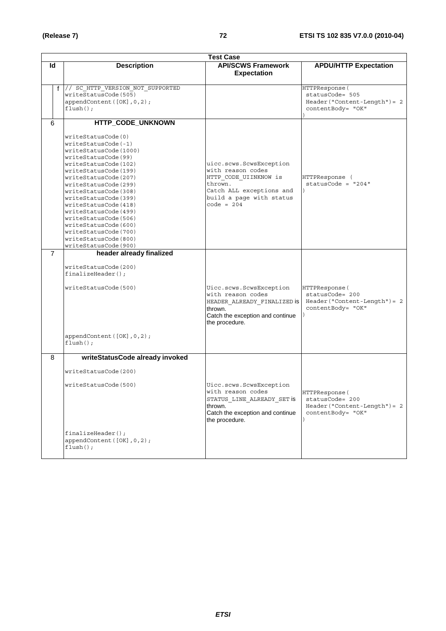| <b>Test Case</b> |                |                                                                                                                                                                                                                                                                                                                                                                                                                   |                                                                                                                                                          |                                                                                          |  |  |
|------------------|----------------|-------------------------------------------------------------------------------------------------------------------------------------------------------------------------------------------------------------------------------------------------------------------------------------------------------------------------------------------------------------------------------------------------------------------|----------------------------------------------------------------------------------------------------------------------------------------------------------|------------------------------------------------------------------------------------------|--|--|
|                  | Id             | <b>Description</b>                                                                                                                                                                                                                                                                                                                                                                                                | <b>API/SCWS Framework</b><br><b>Expectation</b>                                                                                                          | <b>APDU/HTTP Expectation</b>                                                             |  |  |
|                  |                | f // SC HTTP VERSION NOT SUPPORTED<br>writeStatusCode(505)<br>appendContent([OK], 0, 2);<br>$flush()$ ;                                                                                                                                                                                                                                                                                                           |                                                                                                                                                          | HTTPResponse(<br>statusCode= 505<br>$Header('Content-Length") = 2$<br>contentBody= "OK"  |  |  |
|                  | 6              | HTTP_CODE_UNKNOWN                                                                                                                                                                                                                                                                                                                                                                                                 |                                                                                                                                                          |                                                                                          |  |  |
|                  |                | writeStatusCode(0)<br>writeStatusCode(-1)<br>writeStatusCode(1000)<br>writeStatusCode(99)<br>writeStatusCode(102)<br>writeStatusCode(199)<br>writeStatusCode(207)<br>writeStatusCode(299)<br>writeStatusCode(308)<br>writeStatusCode(399)<br>writeStatusCode(418)<br>writeStatusCode(499)<br>writeStatusCode(506)<br>writeStatusCode(600)<br>writeStatusCode(700)<br>writeStatusCode(800)<br>writeStatusCode(900) | uicc.scws.ScwsException<br>with reason codes<br>HTTP CODE UIINKNOW is<br>thrown.<br>Catch ALL exceptions and<br>build a page with status<br>code = $204$ | HTTPResponse (<br>$statusCode = "204"$                                                   |  |  |
|                  | $\overline{7}$ | header already finalized<br>writeStatusCode(200)<br>$finalizeHeader()$ ;<br>writeStatusCode(500)<br>appendContent([OK], 0, 2);<br>$flush()$ ;                                                                                                                                                                                                                                                                     | Uicc.scws.ScwsException<br>with reason codes<br>HEADER ALREADY FINALIZED is<br>thrown.<br>Catch the exception and continue<br>the procedure.             | HTTPResponse (<br>statusCode= 200<br>$Header('Content-Length") = 2$<br>contentBody= "OK" |  |  |
|                  | 8              | writeStatusCode already invoked                                                                                                                                                                                                                                                                                                                                                                                   |                                                                                                                                                          |                                                                                          |  |  |
|                  |                | writeStatusCode(200)<br>writeStatusCode(500)                                                                                                                                                                                                                                                                                                                                                                      | Uicc.scws.ScwsException<br>with reason codes<br>STATUS LINE ALREADY SET is<br>thrown.<br>Catch the exception and continue                                | HTTPResponse (<br>statusCode= 200<br>$Header('Content-Length") = 2$<br>contentBody= "OK" |  |  |
|                  |                | $finalizeHeader()$ ;<br>appendContent([OK], 0, 2);<br>$flush()$ ;                                                                                                                                                                                                                                                                                                                                                 | the procedure.                                                                                                                                           |                                                                                          |  |  |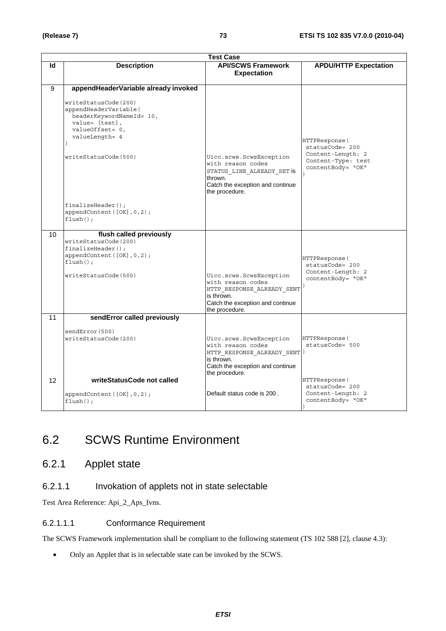|    | <b>Test Case</b>                                                                                                                                                                                                                                                       |                                                                                                                                                |                                                                                                   |  |  |
|----|------------------------------------------------------------------------------------------------------------------------------------------------------------------------------------------------------------------------------------------------------------------------|------------------------------------------------------------------------------------------------------------------------------------------------|---------------------------------------------------------------------------------------------------|--|--|
| ld | <b>Description</b>                                                                                                                                                                                                                                                     | <b>API/SCWS Framework</b><br><b>Expectation</b>                                                                                                | <b>APDU/HTTP Expectation</b>                                                                      |  |  |
| 9  | appendHeaderVariable already invoked<br>writeStatusCode(200)<br>appendHeaderVariable(<br>headerKeywordNameId= 10,<br>value= [test],<br>valueOffset= 0,<br>valueLength= 4<br>writeStatusCode(500)<br>$finalizeHeader()$ ;<br>appendContent ([OK], 0, 2);<br>$flush()$ ; | Uicc.scws.ScwsException<br>with reason codes<br>STATUS LINE ALREADY SET IS<br>thrown.<br>Catch the exception and continue<br>the procedure.    | HTTPResponse (<br>statusCode= 200<br>Content-Length: 2<br>Content-Type: test<br>contentBody= "OK" |  |  |
| 10 | flush called previously<br>writeStatusCode(200)<br>$finalizeHeader()$ ;<br>appendContent([OK], 0, 2);<br>$flush()$ ;<br>writeStatusCode(500)                                                                                                                           | Uicc.scws.ScwsException<br>with reason codes<br>HTTP_RESPONSE_ALREADY_SENT<br>is thrown.<br>Catch the exception and continue<br>the procedure. | HTTPResponse(<br>statusCode= 200<br>Content-Length: 2<br>contentBody= "OK"                        |  |  |
| 11 | sendError called previously<br>sendError(500)<br>writeStatusCode(200)                                                                                                                                                                                                  | Uicc.scws.ScwsException<br>with reason codes<br>HTTP RESPONSE ALREADY SENT<br>is thrown.<br>Catch the exception and continue<br>the procedure. | HTTPResponse (<br>statusCode= 500                                                                 |  |  |
| 12 | writeStatusCode not called<br>appendContent([OK], 0, 2);<br>$flush()$ ;                                                                                                                                                                                                | Default status code is 200.                                                                                                                    | HTTPResponse(<br>statusCode= 200<br>Content-Length: 2<br>contentBody= "OK"                        |  |  |

### 6.2 SCWS Runtime Environment

### 6.2.1 Applet state

#### 6.2.1.1 Invokation of applets not in state selectable

Test Area Reference: Api\_2\_Aps\_Ivns.

#### 6.2.1.1.1 Conformance Requirement

The SCWS Framework implementation shall be compliant to the following statement (TS 102 588 [2], clause 4.3):

• Only an Applet that is in selectable state can be invoked by the SCWS.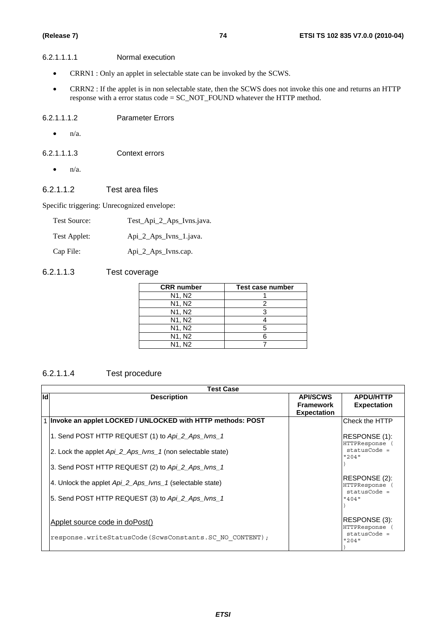#### 6.2.1.1.1.1 Normal execution

- CRRN1 : Only an applet in selectable state can be invoked by the SCWS.
- CRRN2 : If the applet is in non selectable state, then the SCWS does not invoke this one and returns an HTTP response with a error status code = SC\_NOT\_FOUND whatever the HTTP method.

#### 6.2.1.1.1.2 Parameter Errors

- $\bullet$  n/a.
- 6.2.1.1.1.3 Context errors
	- $\bullet$  n/a.

#### 6.2.1.1.2 Test area files

Specific triggering: Unrecognized envelope:

| <b>Test Source:</b> | Test_Api_2_Aps_Ivns.java. |
|---------------------|---------------------------|
| Test Applet:        | Api_2_Aps_Ivns_1.java.    |
| Cap File:           | Api_2_Aps_Ivns.cap.       |

#### 6.2.1.1.3 Test coverage

| <b>CRR</b> number               | Test case number |
|---------------------------------|------------------|
| N <sub>1</sub> , N <sub>2</sub> |                  |
| N <sub>1</sub> , N <sub>2</sub> |                  |
| N1, N2                          |                  |
| N <sub>1</sub> , N <sub>2</sub> |                  |
| N <sub>1</sub> , N <sub>2</sub> |                  |
| N1, N2                          |                  |
| N <sub>1</sub> . N <sub>2</sub> |                  |

#### 6.2.1.1.4 Test procedure

|     | <b>Test Case</b>                                               |                                                           |                                                 |  |  |
|-----|----------------------------------------------------------------|-----------------------------------------------------------|-------------------------------------------------|--|--|
| lld | <b>Description</b>                                             | <b>API/SCWS</b><br><b>Framework</b><br><b>Expectation</b> | <b>APDU/HTTP</b><br><b>Expectation</b>          |  |  |
|     | 1   Invoke an applet LOCKED / UNLOCKED with HTTP methods: POST |                                                           | Check the HTTP                                  |  |  |
|     | 1. Send POST HTTP REQUEST (1) to Api_2_Aps_Ivns_1              |                                                           | RESPONSE (1):<br>HTTPResponse (                 |  |  |
|     | 2. Lock the applet Api_2_Aps_Ivns_1 (non selectable state)     |                                                           | $statusCode =$<br>"204"                         |  |  |
|     | 3. Send POST HTTP REQUEST (2) to Api_2_Aps_lvns_1              |                                                           |                                                 |  |  |
|     | 4. Unlock the applet Api 2 Aps Ivns 1 (selectable state)       |                                                           | RESPONSE (2):<br>HTTPResponse<br>$statusCode =$ |  |  |
|     | 5. Send POST HTTP REQUEST (3) to Api_2_Aps_lvns_1              |                                                           | "404"                                           |  |  |
|     | Applet source code in doPost()                                 |                                                           | RESPONSE (3):<br>HTTPResponse<br>$statusCode =$ |  |  |
|     | response.writeStatusCode(ScwsConstants.SC NO CONTENT);         |                                                           | 12041                                           |  |  |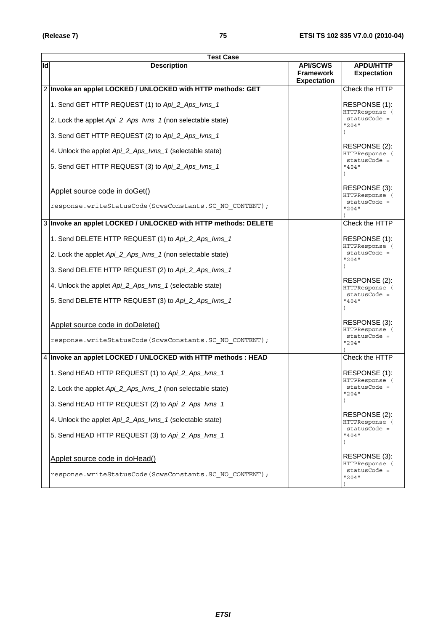|    | <b>Test Case</b>                                               |                                                           |                                                   |
|----|----------------------------------------------------------------|-----------------------------------------------------------|---------------------------------------------------|
| ld | <b>Description</b>                                             | <b>API/SCWS</b><br><b>Framework</b><br><b>Expectation</b> | <b>APDU/HTTP</b><br><b>Expectation</b>            |
|    | 2 Invoke an applet LOCKED / UNLOCKED with HTTP methods: GET    |                                                           | Check the HTTP                                    |
|    | 1. Send GET HTTP REQUEST (1) to Api_2_Aps_lvns_1               |                                                           | RESPONSE (1):<br>HTTPResponse (                   |
|    | 2. Lock the applet Api_2_Aps_Ivns_1 (non selectable state)     |                                                           | statusCode =<br>"204"                             |
|    | 3. Send GET HTTP REQUEST (2) to Api_2_Aps_lvns_1               |                                                           |                                                   |
|    | 4. Unlock the applet Api_2_Aps_Ivns_1 (selectable state)       |                                                           | RESPONSE (2):<br>HTTPResponse (<br>$statusCode =$ |
|    | 5. Send GET HTTP REQUEST (3) to Api_2_Aps_lvns_1               |                                                           | "404"                                             |
|    | Applet source code in doGet()                                  |                                                           | RESPONSE (3):<br>HTTPResponse (                   |
|    | response.writeStatusCode(ScwsConstants.SC NO CONTENT);         |                                                           | $statusCode =$<br>"204"                           |
|    | 3 Invoke an applet LOCKED / UNLOCKED with HTTP methods: DELETE |                                                           | Check the HTTP                                    |
|    | 1. Send DELETE HTTP REQUEST (1) to Api_2_Aps_lvns_1            |                                                           | RESPONSE (1):<br>HTTPResponse (                   |
|    | 2. Lock the applet Api_2_Aps_Ivns_1 (non selectable state)     |                                                           | statusCode =<br>"204"                             |
|    | 3. Send DELETE HTTP REQUEST (2) to Api_2_Aps_lvns_1            |                                                           |                                                   |
|    | 4. Unlock the applet Api_2_Aps_Ivns_1 (selectable state)       |                                                           | RESPONSE (2):<br>HTTPResponse (<br>$statusCode =$ |
|    | 5. Send DELETE HTTP REQUEST (3) to Api_2_Aps_lvns_1            |                                                           | "404"                                             |
|    | Applet source code in doDelete()                               |                                                           | RESPONSE (3):<br>HTTPResponse (                   |
|    | response.writeStatusCode(ScwsConstants.SC NO CONTENT);         |                                                           | $statusCode =$<br>"204"                           |
|    | 4 Invoke an applet LOCKED / UNLOCKED with HTTP methods : HEAD  |                                                           | Check the HTTP                                    |
|    | 1. Send HEAD HTTP REQUEST (1) to Api_2_Aps_lvns_1              |                                                           | RESPONSE (1):<br>HTTPResponse (                   |
|    | 2. Lock the applet Api_2_Aps_Ivns_1 (non selectable state)     |                                                           | statusCode =<br>"204"                             |
|    | 3. Send HEAD HTTP REQUEST (2) to Api_2_Aps_lvns_1              |                                                           |                                                   |
|    | 4. Unlock the applet Api_2_Aps_Ivns_1 (selectable state)       |                                                           | RESPONSE (2):<br>HTTPResponse (<br>statusCode =   |
|    | 5. Send HEAD HTTP REQUEST (3) to Api_2_Aps_lvns_1              |                                                           | "404"                                             |
|    | Applet source code in doHead()                                 |                                                           | RESPONSE (3):                                     |
|    | response.writeStatusCode(ScwsConstants.SC NO CONTENT);         |                                                           | HTTPResponse (<br>statusCode =<br>"204"           |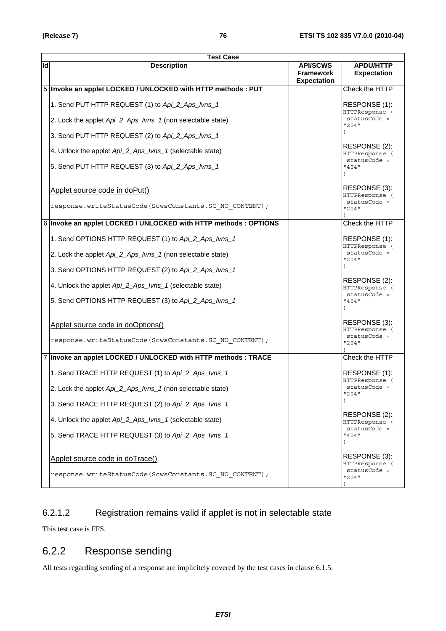|    | <b>Test Case</b>                                                 |                                                           |                                                   |
|----|------------------------------------------------------------------|-----------------------------------------------------------|---------------------------------------------------|
| ld | <b>Description</b>                                               | <b>API/SCWS</b><br><b>Framework</b><br><b>Expectation</b> | <b>APDU/HTTP</b><br><b>Expectation</b>            |
|    | 5 Invoke an applet LOCKED / UNLOCKED with HTTP methods : PUT     |                                                           | Check the HTTP                                    |
|    | 1. Send PUT HTTP REQUEST (1) to Api_2_Aps_lvns_1                 |                                                           | RESPONSE (1):<br>HTTPResponse (                   |
|    | 2. Lock the applet Api_2_Aps_Ivns_1 (non selectable state)       |                                                           | statusCode =<br>"204"                             |
|    | 3. Send PUT HTTP REQUEST (2) to Api_2_Aps_lvns_1                 |                                                           |                                                   |
|    | 4. Unlock the applet Api_2_Aps_Ivns_1 (selectable state)         |                                                           | RESPONSE (2):<br>HTTPResponse (<br>$statusCode =$ |
|    | 5. Send PUT HTTP REQUEST (3) to Api_2_Aps_lvns_1                 |                                                           | "404"                                             |
|    | Applet source code in doPut()                                    |                                                           | RESPONSE (3):<br>HTTPResponse (                   |
|    | response.writeStatusCode(ScwsConstants.SC NO CONTENT);           |                                                           | statusCode =<br>"204"                             |
|    | 6 Invoke an applet LOCKED / UNLOCKED with HTTP methods : OPTIONS |                                                           | Check the HTTP                                    |
|    | 1. Send OPTIONS HTTP REQUEST (1) to Api_2_Aps_lvns_1             |                                                           | RESPONSE (1):<br>HTTPResponse (                   |
|    | 2. Lock the applet Api_2_Aps_Ivns_1 (non selectable state)       |                                                           | statusCode =<br>"204"                             |
|    | 3. Send OPTIONS HTTP REQUEST (2) to Api_2_Aps_lvns_1             |                                                           |                                                   |
|    | 4. Unlock the applet Api_2_Aps_Ivns_1 (selectable state)         |                                                           | RESPONSE (2):<br>HTTPResponse (                   |
|    | 5. Send OPTIONS HTTP REQUEST (3) to Api_2_Aps_lvns_1             |                                                           | statusCode =<br>"404"                             |
|    | Applet source code in doOptions()                                |                                                           | RESPONSE (3):<br>HTTPResponse (                   |
|    | response.writeStatusCode(ScwsConstants.SC NO CONTENT);           |                                                           | statusCode =<br>"204"                             |
|    | 7 Invoke an applet LOCKED / UNLOCKED with HTTP methods : TRACE   |                                                           | Check the HTTP                                    |
|    | 1. Send TRACE HTTP REQUEST (1) to Api_2_Aps_lvns_1               |                                                           | RESPONSE (1):<br>HTTPResponse (                   |
|    | 2. Lock the applet Api_2_Aps_Ivns_1 (non selectable state)       |                                                           | statusCode =<br>"204"                             |
|    | 3. Send TRACE HTTP REQUEST (2) to Api_2_Aps_lvns_1               |                                                           |                                                   |
|    | 4. Unlock the applet Api_2_Aps_Ivns_1 (selectable state)         |                                                           | RESPONSE (2):<br>HTTPResponse (                   |
|    | 5. Send TRACE HTTP REQUEST (3) to Api_2_Aps_lvns_1               |                                                           | statusCode =<br>"404"                             |
|    | Applet source code in doTrace()                                  |                                                           | RESPONSE (3):<br>HTTPResponse (                   |
|    | response.writeStatusCode(ScwsConstants.SC NO CONTENT);           |                                                           | statusCode =<br>"204"                             |

#### 6.2.1.2 Registration remains valid if applet is not in selectable state

This test case is FFS.

### 6.2.2 Response sending

All tests regarding sending of a response are implicitely covered by the test cases in clause 6.1.5.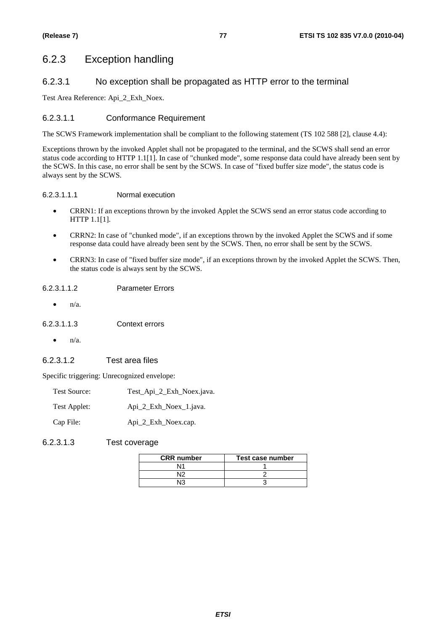### 6.2.3 Exception handling

#### 6.2.3.1 No exception shall be propagated as HTTP error to the terminal

Test Area Reference: Api\_2\_Exh\_Noex.

#### 6.2.3.1.1 Conformance Requirement

The SCWS Framework implementation shall be compliant to the following statement (TS 102 588 [2], clause 4.4):

Exceptions thrown by the invoked Applet shall not be propagated to the terminal, and the SCWS shall send an error status code according to HTTP 1.1[1]. In case of "chunked mode", some response data could have already been sent by the SCWS. In this case, no error shall be sent by the SCWS. In case of "fixed buffer size mode", the status code is always sent by the SCWS.

#### 6.2.3.1.1.1 Normal execution

- CRRN1: If an exceptions thrown by the invoked Applet the SCWS send an error status code according to HTTP 1.1[1].
- CRRN2: In case of "chunked mode", if an exceptions thrown by the invoked Applet the SCWS and if some response data could have already been sent by the SCWS. Then, no error shall be sent by the SCWS.
- CRRN3: In case of "fixed buffer size mode", if an exceptions thrown by the invoked Applet the SCWS. Then, the status code is always sent by the SCWS.

#### 6.2.3.1.1.2 Parameter Errors

 $n/a$ .

6.2.3.1.1.3 Context errors

• n/a.

#### 6.2.3.1.2 Test area files

Specific triggering: Unrecognized envelope:

| Test Source: | Test_Api_2_Exh_Noex.java. |
|--------------|---------------------------|
| Test Applet: | Api 2 Exh Noex 1. java.   |
| Cap File:    | Api 2 Exh Noex.cap.       |

6.2.3.1.3 Test coverage

| <b>CRR</b> number | Test case number |
|-------------------|------------------|
| N14               |                  |
|                   |                  |
|                   |                  |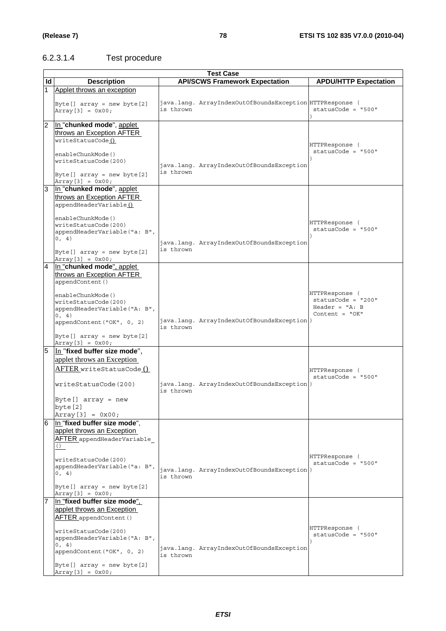#### 6.2.3.1.4 Test procedure

|                | <b>Test Case</b>                                                                                                                                                                                                                                     |                                                                       |                                                                                |  |  |
|----------------|------------------------------------------------------------------------------------------------------------------------------------------------------------------------------------------------------------------------------------------------------|-----------------------------------------------------------------------|--------------------------------------------------------------------------------|--|--|
| Id             | <b>Description</b>                                                                                                                                                                                                                                   | <b>API/SCWS Framework Expectation</b>                                 | <b>APDU/HTTP Expectation</b>                                                   |  |  |
| 1.             | Applet throws an exception                                                                                                                                                                                                                           |                                                                       |                                                                                |  |  |
|                | Byte[] $array = new byte[2]$<br>$Array[3] = 0x00;$                                                                                                                                                                                                   | java.lang. ArrayIndexOutOfBoundsException HTTPResponse (<br>is thrown | statusCode = "500"                                                             |  |  |
| $\overline{2}$ | In "chunked mode", applet<br>throws an Exception AFTER<br>writeStatusCode()<br>enableChunkMode()<br>writeStatusCode(200)<br>Byte[] $array = new byte[2]$                                                                                             | java.lang. ArrayIndexOutOfBoundsException<br>is thrown                | HTTPResponse (<br>$statusCode = "500"$                                         |  |  |
| $\overline{3}$ | $Array[3] = 0x00;$<br>In "chunked mode", applet<br>throws an Exception AFTER<br>appendHeaderVariable()<br>enableChunkMode()<br>writeStatusCode(200)<br>appendHeaderVariable("a: B",<br>0, 4)<br>Byte[] $array = new byte[2]$<br>$Array[3] = 0x00;$   | java.lang. ArrayIndexOutOfBoundsException<br>is thrown                | HTTPResponse (<br>$statusCode = "500"$                                         |  |  |
| $\overline{4}$ | In "chunked mode", applet<br>throws an Exception AFTER<br>appendContent()<br>enableChunkMode()<br>writeStatusCode(200)<br>appendHeaderVariable("A: B",<br>0, 4)<br>appendContent ("OK", 0, 2)<br>Byte[] $array = new byte[2]$<br>Array [3] = $0x00;$ | java.lang. ArrayIndexOutOfBoundsException)<br>is thrown               | HTTPResponse (<br>$statusCode = "200"$<br>Header = $"A: B$<br>Content = $"OK"$ |  |  |
| 5              | In "fixed buffer size mode",<br>applet throws an Exception<br>AFTER writeStatusCode ()<br>writeStatusCode(200)<br>Byte $[]$ array = new<br>byte [2]<br>$Array[3] = 0x00;$                                                                            | java.lang. ArrayIndexOutOfBoundsException)<br>is thrown               | HTTPResponse (<br>$statusCode = "500"$                                         |  |  |
| $\overline{6}$ | In "fixed buffer size mode",<br>applet throws an Exception<br>AFTER appendHeaderVariable<br>()<br>writeStatusCode(200)<br>appendHeaderVariable("a: B",<br>0, 4)<br>Byte $[]$ array = new byte $[2]$<br>$Array[3] = 0x00;$                            | java.lang. ArrayIndexOutOfBoundsException)<br>is thrown               | HTTPResponse (<br>$statusCode = "500"$                                         |  |  |
|                | In "fixed buffer size mode".<br>applet throws an Exception<br>AFTER appendContent ()<br>writeStatusCode(200)<br>appendHeaderVariable("A: B",<br>0, 4)<br>appendContent ("OK", 0, 2)<br>Byte[] $array = new byte[2]$<br>$Array[3] = 0x00;$            | java.lang. ArrayIndexOutOfBoundsException<br>is thrown                | HTTPResponse (<br>$statusCode = "500"$                                         |  |  |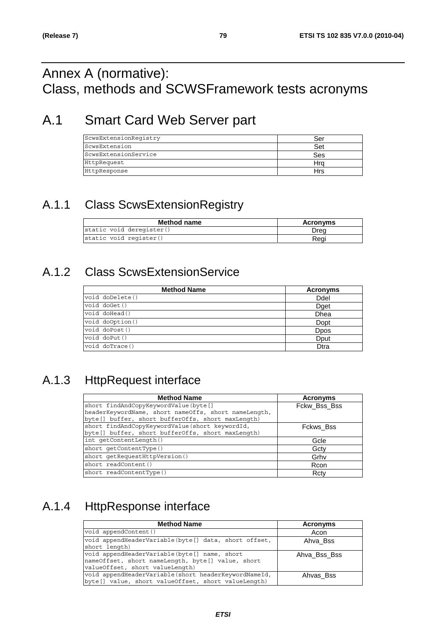### Annex A (normative): Class, methods and SCWSFramework tests acronyms

## A.1 Smart Card Web Server part

| ScwsExtensionRegistry | Ser |
|-----------------------|-----|
| ScwsExtension         | Set |
| ScwsExtensionService  | Ses |
| HttpRequest           | Hra |
| HttpResponse          | Hrs |

### A.1.1 Class ScwsExtensionRegistry

| <b>Method name</b>       | Acronyms |
|--------------------------|----------|
| static void deregister() | Drea     |
| static void register()   | Reai     |

### A.1.2 Class ScwsExtensionService

| <b>Method Name</b> | <b>Acronyms</b> |
|--------------------|-----------------|
| void doDelete()    | Ddel            |
| void doGet()       | Dget            |
| void doHead()      | <b>Dhea</b>     |
| void doOption()    | Dopt            |
| void doPost()      | <b>D</b> pos    |
| void doPut()       | Dput            |
| void doTrace()     | Dtra            |

### A.1.3 HttpRequest interface

| <b>Method Name</b>                                   | Acronyms     |
|------------------------------------------------------|--------------|
| short findAndCopyKeywordValue(byte[]                 | Fckw_Bss_Bss |
| headerKeywordName, short nameOffs, short nameLength, |              |
| byte[] buffer, short bufferOffs, short maxLength)    |              |
| short findAndCopyKeywordValue(short keywordId,       | Fckws Bss    |
| byte[] buffer, short bufferOffs, short maxLength)    |              |
| int qetContentLength()                               | Gcle         |
| short getContentType()                               | Gctv         |
| short getRequestHttpVersion()                        | Grhv         |
| short readContent()                                  | Rcon         |
| short readContentType()                              | Rcty         |

## A.1.4 HttpResponse interface

| <b>Method Name</b>                                                                                                                   | Acronyms     |
|--------------------------------------------------------------------------------------------------------------------------------------|--------------|
| void appendContent()                                                                                                                 | Acon         |
| void appendHeaderVariable(byte[] data, short offset,<br>short length)                                                                | Ahva Bss     |
| void appendHeaderVariable(byte[] name, short<br>nameOffset, short nameLength, byte[] value, short<br>valueOffset, short valueLength) | Ahva Bss Bss |
| void appendHeaderVariable (short headerKeywordNameId,<br>byte[] value, short valueOffset, short valueLength)                         | Ahvas Bss    |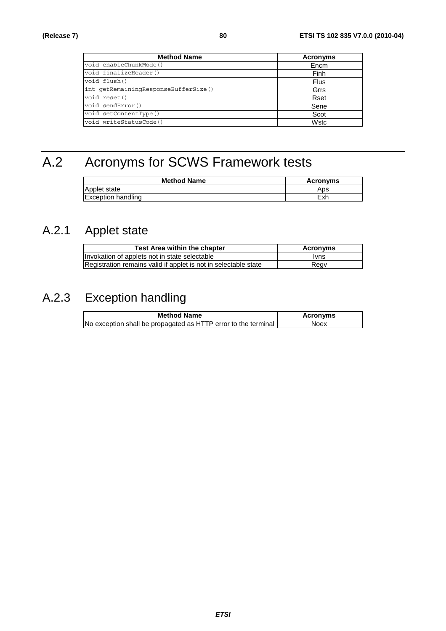| <b>Method Name</b>                   | <b>Acronyms</b> |
|--------------------------------------|-----------------|
| void enableChunkMode()               | Encm            |
| void finalizeHeader()                | Finh            |
| void flush()                         | Flus            |
| int getRemainingResponseBufferSize() | Grrs            |
| void reset()                         | Rset            |
| void sendError()                     | Sene            |
| void setContentType()                | Scot            |
| void writeStatusCode()               | Wstc            |

# A.2 Acronyms for SCWS Framework tests

| <b>Method Name</b>        | Acronyms |
|---------------------------|----------|
| Applet state              | Aps      |
| <b>Exception handling</b> | Exh      |

## A.2.1 Applet state

| <b>Test Area within the chapter</b>                             | Acronyms |
|-----------------------------------------------------------------|----------|
| Invokation of applets not in state selectable                   | lvns     |
| Registration remains valid if applet is not in selectable state | Regv     |

### A.2.3 Exception handling

| <b>Method Name</b>                                             | <b>Acronyms</b> |
|----------------------------------------------------------------|-----------------|
| No exception shall be propagated as HTTP error to the terminal | Noex            |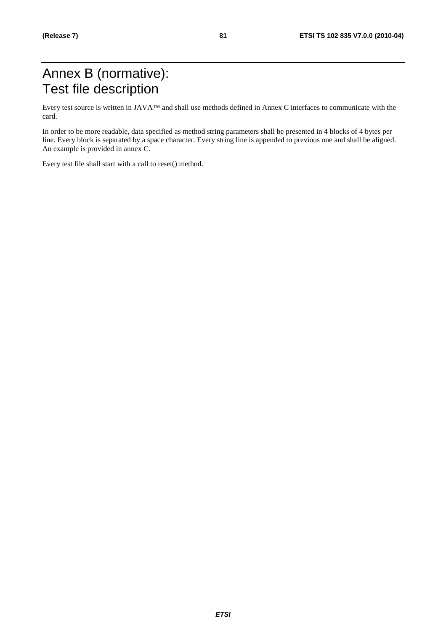### Annex B (normative): Test file description

Every test source is written in JAVA™ and shall use methods defined in Annex C interfaces to communicate with the card.

In order to be more readable, data specified as method string parameters shall be presented in 4 blocks of 4 bytes per line. Every block is separated by a space character. Every string line is appended to previous one and shall be aligned. An example is provided in annex C.

Every test file shall start with a call to reset() method.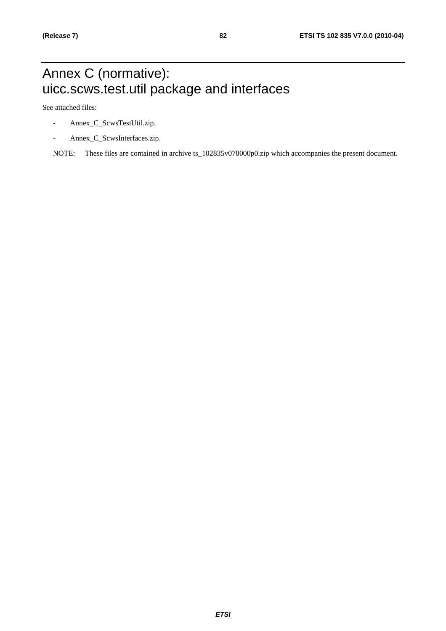## Annex C (normative): uicc.scws.test.util package and interfaces

See attached files:

- Annex\_C\_ScwsTestUtil.zip.
- Annex\_C\_ScwsInterfaces.zip.

NOTE: These files are contained in archive ts\_102835v070000p0.zip which accompanies the present document.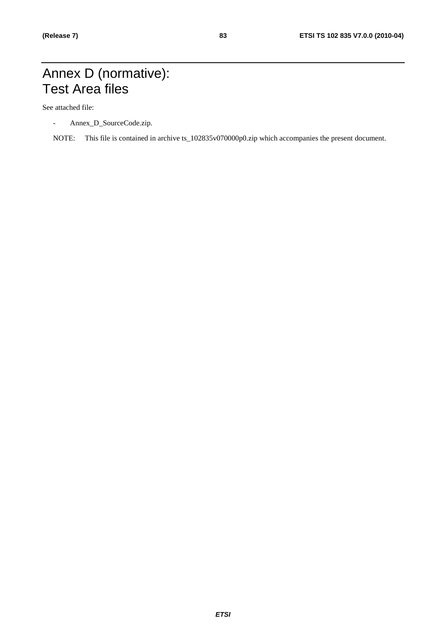### Annex D (normative): Test Area files

See attached file:

- Annex\_D\_SourceCode.zip.
- NOTE: This file is contained in archive ts\_102835v070000p0.zip which accompanies the present document.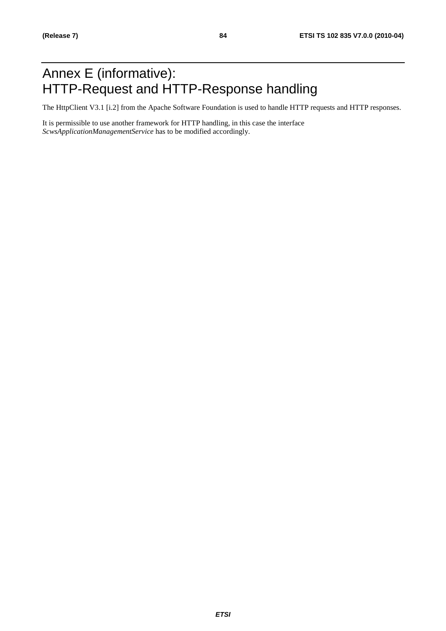## Annex E (informative): HTTP-Request and HTTP-Response handling

The HttpClient V3.1 [i.2] from the Apache Software Foundation is used to handle HTTP requests and HTTP responses.

It is permissible to use another framework for HTTP handling, in this case the interface *ScwsApplicationManagementService* has to be modified accordingly.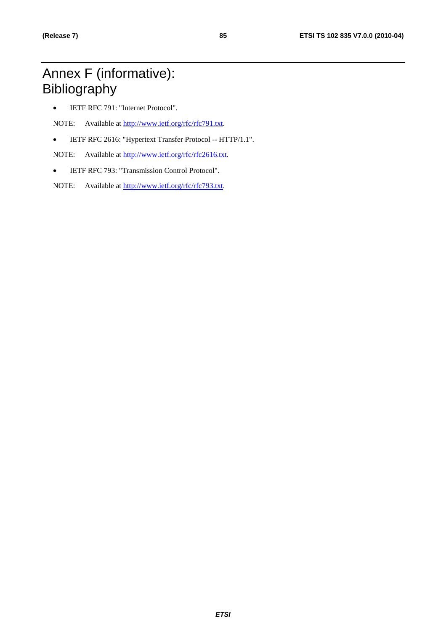## Annex F (informative): Bibliography

• IETF RFC 791: "Internet Protocol".

NOTE: Available at [http://www.ietf.org/rfc/rfc791.txt.](http://www.ietf.org/rfc/rfc791.txt)

• IETF RFC 2616: "Hypertext Transfer Protocol -- HTTP/1.1".

NOTE: Available at [http://www.ietf.org/rfc/rfc2616.txt.](http://www.ietf.org/rfc/rfc2616.txt)

• IETF RFC 793: "Transmission Control Protocol".

NOTE: Available at [http://www.ietf.org/rfc/rfc793.txt.](http://www.ietf.org/rfc/rfc793.txt)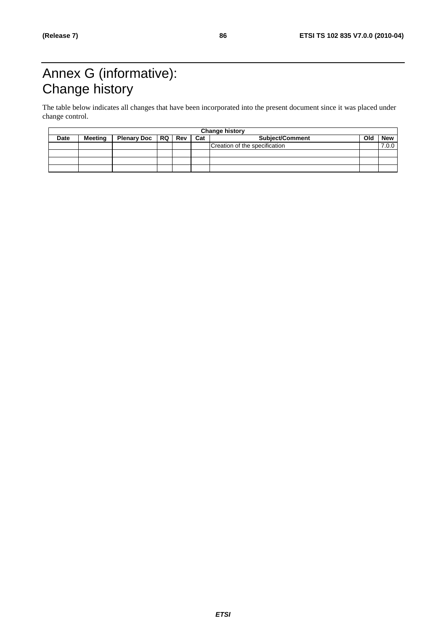# Annex G (informative): Change history

The table below indicates all changes that have been incorporated into the present document since it was placed under change control.

| <b>Change history</b> |         |                |  |     |     |                               |     |            |
|-----------------------|---------|----------------|--|-----|-----|-------------------------------|-----|------------|
| Date                  | Meetina | Plenary Doc RQ |  | Rev | Cat | <b>Subject/Comment</b>        | Old | <b>New</b> |
|                       |         |                |  |     |     | Creation of the specification |     | 7.0.0      |
|                       |         |                |  |     |     |                               |     |            |
|                       |         |                |  |     |     |                               |     |            |
|                       |         |                |  |     |     |                               |     |            |